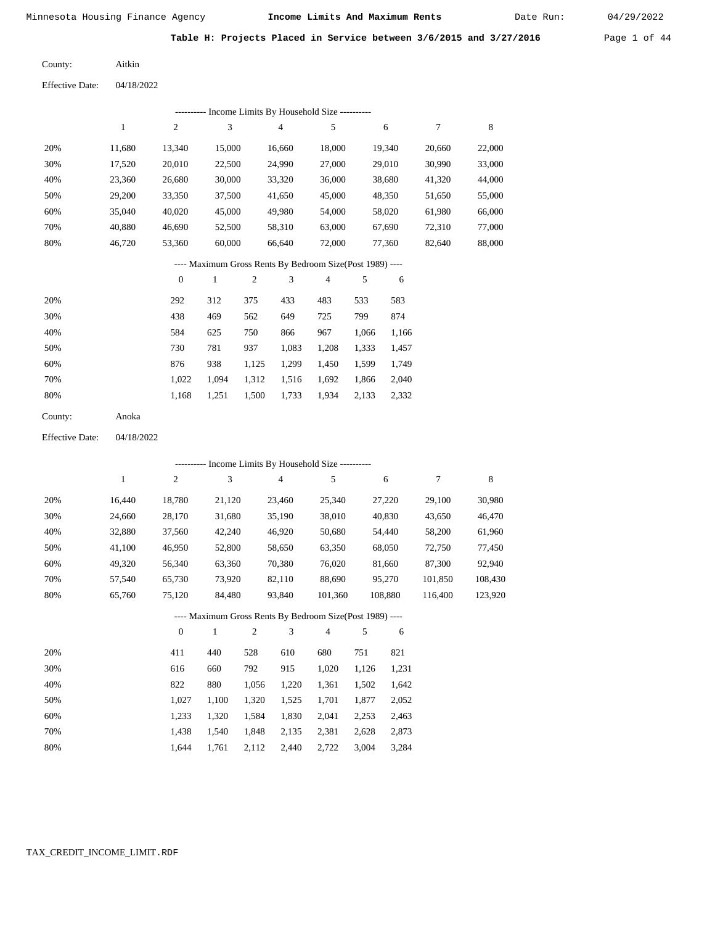Date Run:

Table H: Projects Placed in Service between 3/6/2015 and 3/27/2016 Page 1 of 44

Aitkin County:

Effective Date: 04/18/2022

|                        |              |                  |              |                | --------- Income Limits By Household Size ----------     |         |       |         |         |         |
|------------------------|--------------|------------------|--------------|----------------|----------------------------------------------------------|---------|-------|---------|---------|---------|
|                        | $\mathbf{1}$ | $\boldsymbol{2}$ | 3            |                | $\overline{4}$                                           | 5       |       | 6       | $\tau$  | 8       |
| 20%                    | 11,680       | 13,340           | 15,000       |                | 16,660                                                   | 18,000  |       | 19,340  | 20,660  | 22,000  |
| 30%                    | 17,520       | 20,010           | 22,500       |                | 24,990                                                   | 27,000  |       | 29,010  | 30,990  | 33,000  |
| 40%                    | 23,360       | 26,680           | 30,000       |                | 33,320                                                   | 36,000  |       | 38,680  | 41,320  | 44,000  |
| 50%                    | 29,200       | 33,350           | 37,500       |                | 41,650                                                   | 45,000  |       | 48,350  | 51,650  | 55,000  |
| 60%                    | 35,040       | 40,020           | 45,000       |                | 49,980                                                   | 54,000  |       | 58,020  | 61,980  | 66,000  |
| 70%                    | 40,880       | 46,690           | 52,500       |                | 58,310                                                   | 63,000  |       | 67,690  | 72,310  | 77,000  |
| 80%                    | 46,720       | 53,360           | 60,000       |                | 66,640                                                   | 72,000  |       | 77,360  | 82,640  | 88,000  |
|                        |              |                  |              |                | ---- Maximum Gross Rents By Bedroom Size(Post 1989) ---- |         |       |         |         |         |
|                        |              | $\mathbf{0}$     | $\mathbf{1}$ | $\sqrt{2}$     | 3                                                        | 4       | 5     | 6       |         |         |
| 20%                    |              | 292              | 312          | 375            | 433                                                      | 483     | 533   | 583     |         |         |
| 30%                    |              | 438              | 469          | 562            | 649                                                      | 725     | 799   | 874     |         |         |
| 40%                    |              | 584              | 625          | 750            | 866                                                      | 967     | 1,066 | 1,166   |         |         |
| 50%                    |              | 730              | 781          | 937            | 1,083                                                    | 1,208   | 1,333 | 1,457   |         |         |
| 60%                    |              | 876              | 938          | 1,125          | 1,299                                                    | 1,450   | 1,599 | 1,749   |         |         |
| 70%                    |              | 1,022            | 1,094        | 1,312          | 1,516                                                    | 1,692   | 1,866 | 2,040   |         |         |
| 80%                    |              | 1,168            | 1,251        | 1,500          | 1,733                                                    | 1,934   | 2,133 | 2,332   |         |         |
| County:                | Anoka        |                  |              |                |                                                          |         |       |         |         |         |
| <b>Effective Date:</b> | 04/18/2022   |                  |              |                |                                                          |         |       |         |         |         |
|                        |              |                  |              |                | --------- Income Limits By Household Size ----------     |         |       |         |         |         |
|                        | $\mathbf{1}$ | $\overline{c}$   | 3            |                | 4                                                        | 5       |       | 6       | 7       | 8       |
| 20%                    | 16,440       | 18,780           | 21,120       |                | 23,460                                                   | 25,340  |       | 27,220  | 29,100  | 30,980  |
| 30%                    | 24,660       | 28,170           | 31,680       |                | 35,190                                                   | 38,010  |       | 40,830  | 43,650  | 46,470  |
| 40%                    | 32,880       | 37,560           | 42,240       |                | 46,920                                                   | 50,680  |       | 54,440  | 58,200  | 61,960  |
| 50%                    | 41,100       | 46,950           | 52,800       |                | 58,650                                                   | 63,350  |       | 68,050  | 72,750  | 77,450  |
| 60%                    | 49,320       | 56,340           | 63,360       |                | 70,380                                                   | 76,020  |       | 81,660  | 87,300  | 92,940  |
| 70%                    | 57,540       | 65,730           | 73,920       |                | 82,110                                                   | 88,690  |       | 95,270  | 101,850 | 108,430 |
| 80%                    | 65,760       | 75,120           | 84,480       |                | 93,840                                                   | 101,360 |       | 108,880 | 116,400 | 123,920 |
|                        |              |                  |              |                | ---- Maximum Gross Rents By Bedroom Size(Post 1989) ---- |         |       |         |         |         |
|                        |              | $\boldsymbol{0}$ | $\,1$        | $\mathfrak{2}$ | 3                                                        | 4       | 5     | 6       |         |         |
| 20%                    |              | 411              | 440          | 528            | 610                                                      | 680     | 751   | 821     |         |         |
| 30%                    |              | 616              | 660          | 792            | 915                                                      | 1,020   | 1,126 | 1,231   |         |         |
| 40%                    |              | 822              | 880          | 1,056          | 1,220                                                    | 1,361   | 1,502 | 1,642   |         |         |

| 40% | 822   | 880         | 1.056 | 1.220 1.361 1.502 1.642 |       |       |
|-----|-------|-------------|-------|-------------------------|-------|-------|
| 50% | 1.027 | 1.100 1.320 |       | 1,525 1,701 1,877       |       | 2,052 |
| 60% | 1.233 | 1.320 1.584 |       | 1,830 2,041 2,253       |       | 2.463 |
| 70% | 1.438 | 1.540 1.848 |       | 2,135 2,381 2,628       |       | 2,873 |
| 80% | 1.644 | 1,761 2,112 |       | 2,440 2,722             | 3,004 | 3,284 |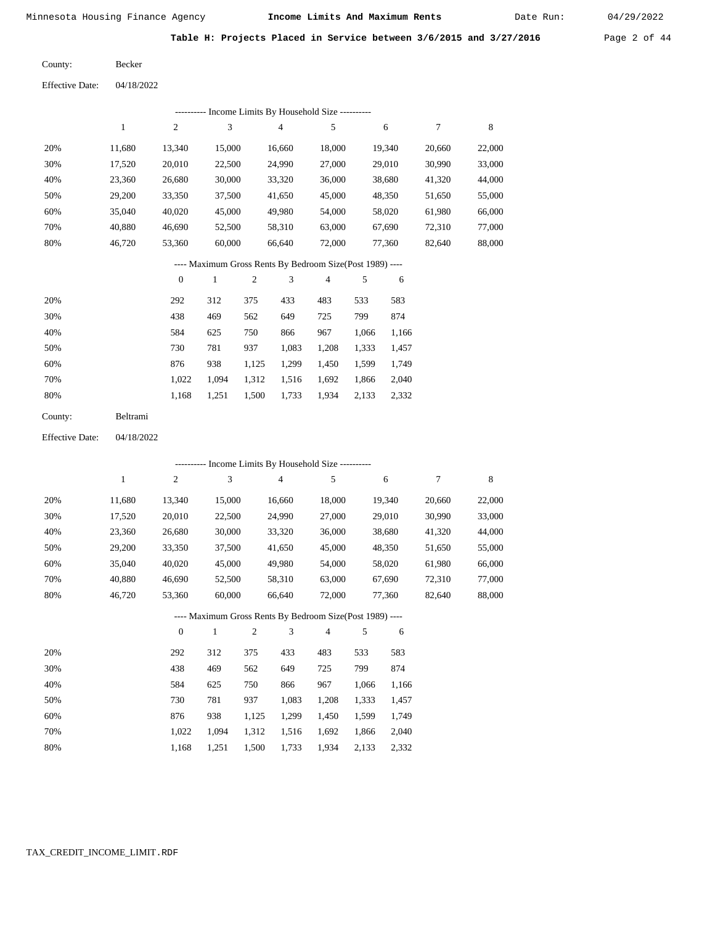Date Run:

Table H: Projects Placed in Service between 3/6/2015 and 3/27/2016 Page 2 of 44

Becker County:

| <b>Effective Date:</b> | 04/18/2022 |
|------------------------|------------|
|                        |            |

|     | Income Limits By Household Size ---------- |        |        |        |        |        |        |        |  |  |  |  |  |  |
|-----|--------------------------------------------|--------|--------|--------|--------|--------|--------|--------|--|--|--|--|--|--|
|     |                                            | 2      | 3      | 4      | 5      | 6      |        | 8      |  |  |  |  |  |  |
| 20% | 11.680                                     | 13,340 | 15,000 | 16,660 | 18,000 | 19,340 | 20,660 | 22,000 |  |  |  |  |  |  |
| 30% | 17,520                                     | 20,010 | 22,500 | 24,990 | 27,000 | 29,010 | 30,990 | 33,000 |  |  |  |  |  |  |
| 40% | 23,360                                     | 26,680 | 30,000 | 33,320 | 36,000 | 38,680 | 41,320 | 44,000 |  |  |  |  |  |  |
| 50% | 29,200                                     | 33,350 | 37,500 | 41,650 | 45,000 | 48,350 | 51,650 | 55,000 |  |  |  |  |  |  |
| 60% | 35.040                                     | 40,020 | 45,000 | 49,980 | 54,000 | 58,020 | 61,980 | 66,000 |  |  |  |  |  |  |
| 70% | 40.880                                     | 46,690 | 52,500 | 58,310 | 63,000 | 67,690 | 72,310 | 77,000 |  |  |  |  |  |  |
| 80% | 46.720                                     | 53,360 | 60,000 | 66,640 | 72,000 | 77,360 | 82,640 | 88,000 |  |  |  |  |  |  |

#### ---- Maximum Gross Rents By Bedroom Size(Post 1989) ----

|     | $\mathbf{0}$ |       | 2     | 3     | 4     | 5     | 6     |
|-----|--------------|-------|-------|-------|-------|-------|-------|
| 20% | 292          | 312   | 375   | 433   | 483   | 533   | 583   |
| 30% | 438          | 469   | 562   | 649   | 725   | 799   | 874   |
| 40% | 584          | 625   | 750   | 866   | 967   | 1,066 | 1,166 |
| 50% | 730          | 781   | 937   | 1,083 | 1,208 | 1,333 | 1,457 |
| 60% | 876          | 938   | 1,125 | 1,299 | 1,450 | 1,599 | 1,749 |
| 70% | 1.022        | 1.094 | 1,312 | 1,516 | 1,692 | 1,866 | 2,040 |
| 80% | 1,168        | 1,251 | 1,500 | 1,733 | 1,934 | 2,133 | 2,332 |
|     |              |       |       |       |       |       |       |

| Beltrami |
|----------|
|          |

04/18/2022 Effective Date:

|     |        |                  |              |                |        | ---------- Income Limits By Household Size ----------    |       |        |        |             |
|-----|--------|------------------|--------------|----------------|--------|----------------------------------------------------------|-------|--------|--------|-------------|
|     | 1      | $\boldsymbol{2}$ | 3            |                | 4      | 5                                                        |       | 6      | 7      | $\,$ 8 $\,$ |
| 20% | 11,680 | 13,340           | 15,000       |                | 16,660 | 18,000                                                   |       | 19,340 | 20,660 | 22,000      |
| 30% | 17,520 | 20,010           | 22,500       |                | 24,990 | 27,000                                                   |       | 29,010 | 30,990 | 33,000      |
| 40% | 23,360 | 26,680           | 30,000       |                | 33,320 | 36,000                                                   |       | 38,680 | 41,320 | 44,000      |
| 50% | 29,200 | 33,350           | 37,500       |                | 41,650 | 45,000                                                   |       | 48,350 | 51,650 | 55,000      |
| 60% | 35,040 | 40,020           | 45,000       |                | 49,980 | 54,000                                                   |       | 58,020 | 61,980 | 66,000      |
| 70% | 40,880 | 46,690           | 52,500       |                | 58,310 | 63,000                                                   |       | 67,690 | 72,310 | 77,000      |
| 80% | 46,720 | 53,360           | 60,000       |                | 66,640 | 72,000                                                   |       | 77,360 | 82,640 | 88,000      |
|     |        |                  |              |                |        | ---- Maximum Gross Rents By Bedroom Size(Post 1989) ---- |       |        |        |             |
|     |        | $\theta$         | $\mathbf{1}$ | $\overline{2}$ | 3      | $\overline{4}$                                           | 5     | 6      |        |             |
| 20% |        | 292              | 312          | 375            | 433    | 483                                                      | 533   | 583    |        |             |
| 30% |        | 438              | 469          | 562            | 649    | 725                                                      | 799   | 874    |        |             |
| 40% |        | 584              | 625          | 750            | 866    | 967                                                      | 1,066 | 1,166  |        |             |
| 50% |        | 730              | 781          | 937            | 1,083  | 1,208                                                    | 1,333 | 1,457  |        |             |
| 60% |        | 876              | 938          | 1,125          | 1,299  | 1,450                                                    | 1,599 | 1,749  |        |             |
| 70% |        | 1,022            | 1,094        | 1,312          | 1,516  | 1,692                                                    | 1,866 | 2,040  |        |             |

1,168

1,251

1,500

1,733

1,934

2,133

2,332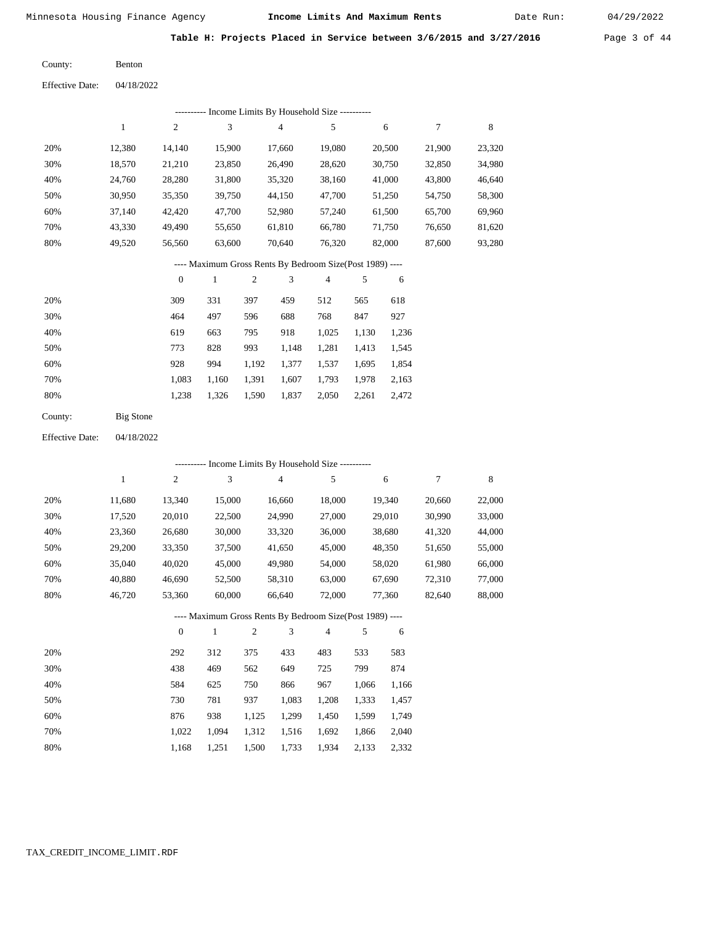Date Run:

Table H: Projects Placed in Service between 3/6/2015 and 3/27/2016 Page 3 of 44

Benton County:

04/18/2022 Effective Date:

| ---------- Income Limits By Household Size ---------- |                                                          |                  |        |                |                |                |       |        |        |        |  |  |  |
|-------------------------------------------------------|----------------------------------------------------------|------------------|--------|----------------|----------------|----------------|-------|--------|--------|--------|--|--|--|
|                                                       | $\mathbf{1}$                                             | $\overline{2}$   | 3      |                | $\overline{4}$ | 5              |       | 6      | 7      | 8      |  |  |  |
| 20%                                                   | 12,380                                                   | 14,140           | 15,900 |                | 17,660         | 19,080         |       | 20,500 | 21,900 | 23,320 |  |  |  |
| 30%                                                   | 18,570                                                   | 21,210           | 23,850 |                | 26,490         | 28,620         |       | 30,750 | 32,850 | 34,980 |  |  |  |
| 40%                                                   | 24,760                                                   | 28,280           | 31,800 |                | 35,320         | 38,160         |       | 41,000 | 43,800 | 46,640 |  |  |  |
| 50%                                                   | 30,950                                                   | 35,350           | 39,750 |                | 44,150         | 47,700         |       | 51,250 | 54,750 | 58,300 |  |  |  |
| 60%                                                   | 37,140                                                   | 42,420           | 47,700 |                | 52,980         | 57,240         |       | 61,500 | 65,700 | 69,960 |  |  |  |
| 70%                                                   | 43,330                                                   | 49,490           | 55,650 |                | 61,810         | 66,780         |       | 71,750 | 76,650 | 81,620 |  |  |  |
| 80%                                                   | 49,520                                                   | 56,560           | 63,600 |                | 70,640         | 76,320         |       | 82,000 | 87,600 | 93,280 |  |  |  |
|                                                       | ---- Maximum Gross Rents By Bedroom Size(Post 1989) ---- |                  |        |                |                |                |       |        |        |        |  |  |  |
|                                                       |                                                          | $\boldsymbol{0}$ | 1      | $\overline{c}$ | 3              | $\overline{4}$ | 5     | 6      |        |        |  |  |  |
| 20%                                                   |                                                          | 309              | 331    | 397            | 459            | 512            | 565   | 618    |        |        |  |  |  |
| 30%                                                   |                                                          | 464              | 497    | 596            | 688            | 768            | 847   | 927    |        |        |  |  |  |
| 40%                                                   |                                                          | 619              | 663    | 795            | 918            | 1,025          | 1,130 | 1,236  |        |        |  |  |  |
| 50%                                                   |                                                          | 773              | 828    | 993            | 1,148          | 1,281          | 1,413 | 1,545  |        |        |  |  |  |
| 60%                                                   |                                                          | 928              | 994    | 1,192          | 1,377          | 1,537          | 1,695 | 1,854  |        |        |  |  |  |
| 70%                                                   |                                                          | 1,083            | 1,160  | 1,391          | 1,607          | 1,793          | 1,978 | 2,163  |        |        |  |  |  |

1,238 1,326 1,590 1,837 2,050 2,261 2,472

| Big Stone |
|-----------|
|           |

80%

80%

04/18/2022 Effective Date:

|     | ---------- Income Limits By Household Size ---------- |                  |              |                |                |                                                          |       |        |        |             |  |  |  |
|-----|-------------------------------------------------------|------------------|--------------|----------------|----------------|----------------------------------------------------------|-------|--------|--------|-------------|--|--|--|
|     | 1                                                     | $\boldsymbol{2}$ | 3            |                | $\overline{4}$ | 5                                                        |       | 6      | 7      | $\,$ 8 $\,$ |  |  |  |
| 20% | 11,680                                                | 13,340           | 15,000       |                | 16,660         | 18,000                                                   |       | 19,340 | 20,660 | 22,000      |  |  |  |
| 30% | 17,520                                                | 20,010           | 22,500       |                | 24,990         | 27,000                                                   |       | 29,010 | 30,990 | 33,000      |  |  |  |
| 40% | 23,360                                                | 26,680           | 30,000       |                | 33,320         | 36,000                                                   |       | 38,680 | 41,320 | 44,000      |  |  |  |
| 50% | 29,200                                                | 33,350           | 37,500       |                | 41,650         | 45,000                                                   |       | 48,350 | 51,650 | 55,000      |  |  |  |
| 60% | 35,040                                                | 40,020           | 45,000       |                | 49,980         | 54,000                                                   |       | 58,020 | 61,980 | 66,000      |  |  |  |
| 70% | 40,880                                                | 46,690           | 52,500       |                | 58,310         | 63,000                                                   |       | 67,690 | 72,310 | 77,000      |  |  |  |
| 80% | 46,720                                                | 53,360           | 60,000       |                | 66,640         | 72,000                                                   |       | 77,360 | 82,640 | 88,000      |  |  |  |
|     |                                                       |                  |              |                |                | ---- Maximum Gross Rents By Bedroom Size(Post 1989) ---- |       |        |        |             |  |  |  |
|     |                                                       | $\overline{0}$   | $\mathbf{1}$ | $\overline{2}$ | 3              | $\overline{4}$                                           | 5     | 6      |        |             |  |  |  |
| 20% |                                                       | 292              | 312          | 375            | 433            | 483                                                      | 533   | 583    |        |             |  |  |  |
| 30% |                                                       | 438              | 469          | 562            | 649            | 725                                                      | 799   | 874    |        |             |  |  |  |
| 40% |                                                       | 584              | 625          | 750            | 866            | 967                                                      | 1,066 | 1,166  |        |             |  |  |  |
| 50% |                                                       | 730              | 781          | 937            | 1,083          | 1,208                                                    | 1,333 | 1,457  |        |             |  |  |  |
| 60% |                                                       | 876              | 938          | 1,125          | 1,299          | 1,450                                                    | 1,599 | 1,749  |        |             |  |  |  |
| 70% |                                                       | 1,022            | 1,094        | 1,312          | 1,516          | 1,692                                                    | 1,866 | 2,040  |        |             |  |  |  |

1,500 1,733

1,934 2,133 2,332

 1,022 1,094 1,168

1,251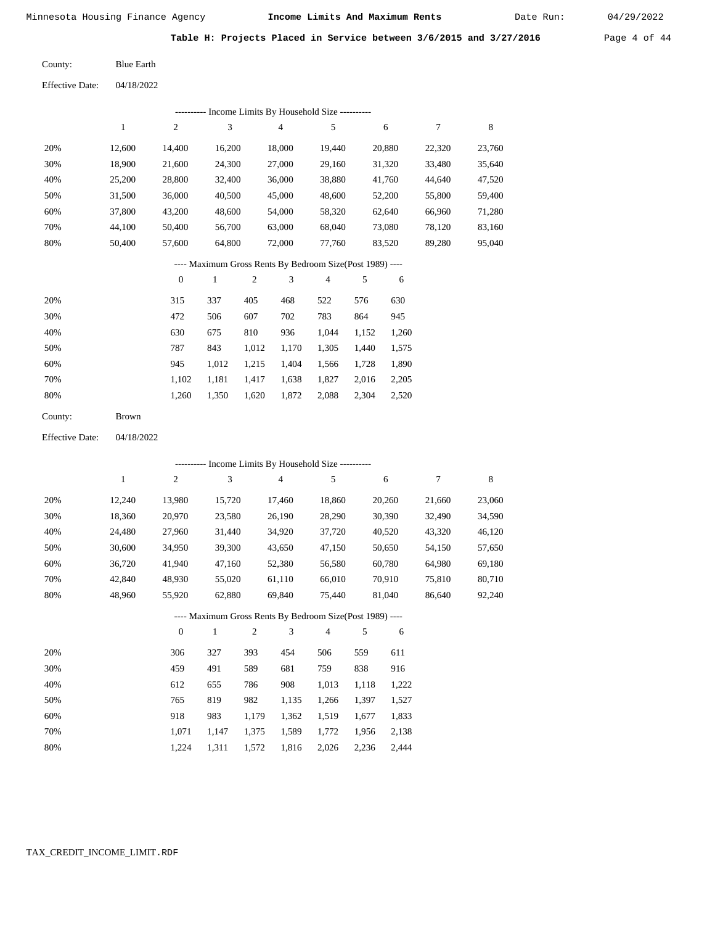04/18/2022

Minnesota Housing Finance Agency **Income Limits And Maximum Rents** 04/29/2022

Date Run:

Table H: Projects Placed in Service between 3/6/2015 and 3/27/2016 Page 4 of 44

Blue Earth County:

Effective Date:

|     | -- Income Limits By Household Size ----------<br>--------- |        |        |                |        |        |        |        |  |  |  |  |  |
|-----|------------------------------------------------------------|--------|--------|----------------|--------|--------|--------|--------|--|--|--|--|--|
|     | 1                                                          | 2      | 3      | $\overline{4}$ | 5      | 6      | 7      | 8      |  |  |  |  |  |
| 20% | 12.600                                                     | 14.400 | 16.200 | 18,000         | 19.440 | 20.880 | 22.320 | 23,760 |  |  |  |  |  |
| 30% | 18.900                                                     | 21.600 | 24,300 | 27,000         | 29.160 | 31,320 | 33,480 | 35,640 |  |  |  |  |  |
| 40% | 25,200                                                     | 28,800 | 32,400 | 36,000         | 38,880 | 41,760 | 44,640 | 47,520 |  |  |  |  |  |
| 50% | 31,500                                                     | 36,000 | 40,500 | 45,000         | 48,600 | 52,200 | 55,800 | 59,400 |  |  |  |  |  |
| 60% | 37,800                                                     | 43.200 | 48,600 | 54,000         | 58,320 | 62,640 | 66,960 | 71,280 |  |  |  |  |  |
| 70% | 44,100                                                     | 50,400 | 56,700 | 63,000         | 68,040 | 73,080 | 78.120 | 83,160 |  |  |  |  |  |
| 80% | 50,400                                                     | 57,600 | 64,800 | 72,000         | 77.760 | 83,520 | 89,280 | 95,040 |  |  |  |  |  |

---- Maximum Gross Rents By Bedroom Size(Post 1989) ----

|     | $\mathbf{0}$ |       | 2     | 3     | 4     | 5     | 6     |
|-----|--------------|-------|-------|-------|-------|-------|-------|
| 20% | 315          | 337   | 405   | 468   | 522   | 576   | 630   |
| 30% | 472          | 506   | 607   | 702   | 783   | 864   | 945   |
| 40% | 630          | 675   | 810   | 936   | 1,044 | 1,152 | 1,260 |
| 50% | 787          | 843   | 1,012 | 1,170 | 1,305 | 1,440 | 1,575 |
| 60% | 945          | 1,012 | 1,215 | 1,404 | 1,566 | 1,728 | 1,890 |
| 70% | 1,102        | 1,181 | 1,417 | 1,638 | 1,827 | 2,016 | 2,205 |
| 80% | 1,260        | 1,350 | 1,620 | 1,872 | 2,088 | 2,304 | 2,520 |
|     |              |       |       |       |       |       |       |

| County: | <b>Brown</b> |
|---------|--------------|
|---------|--------------|

04/18/2022 Effective Date:

|     |        |                  |              |                |                | ---------- Income Limits By Household Size ----------    |       |        |        |        |
|-----|--------|------------------|--------------|----------------|----------------|----------------------------------------------------------|-------|--------|--------|--------|
|     | 1      | $\overline{c}$   | 3            |                | $\overline{4}$ | 5                                                        |       | 6      | 7      | 8      |
| 20% | 12,240 | 13,980           | 15,720       |                | 17,460         | 18,860                                                   |       | 20,260 | 21,660 | 23,060 |
| 30% | 18,360 | 20,970           | 23,580       |                | 26,190         | 28,290                                                   |       | 30,390 | 32,490 | 34,590 |
| 40% | 24,480 | 27,960           | 31,440       |                | 34,920         | 37,720                                                   |       | 40,520 | 43,320 | 46,120 |
| 50% | 30,600 | 34,950           | 39,300       |                | 43,650         | 47,150                                                   |       | 50,650 | 54,150 | 57,650 |
| 60% | 36,720 | 41,940           | 47,160       |                | 52,380         | 56,580                                                   |       | 60,780 | 64,980 | 69,180 |
| 70% | 42,840 | 48,930           | 55,020       |                | 61,110         | 66,010                                                   |       | 70,910 | 75,810 | 80,710 |
| 80% | 48,960 | 55,920           | 62,880       |                | 69,840         | 75,440                                                   |       | 81,040 | 86,640 | 92,240 |
|     |        |                  |              |                |                | ---- Maximum Gross Rents By Bedroom Size(Post 1989) ---- |       |        |        |        |
|     |        | $\boldsymbol{0}$ | $\mathbf{1}$ | $\mathfrak{2}$ | 3              | $\overline{4}$                                           | 5     | 6      |        |        |
| 20% |        | 306              | 327          | 393            | 454            | 506                                                      | 559   | 611    |        |        |
| 30% |        | 459              | 491          | 589            | 681            | 759                                                      | 838   | 916    |        |        |
| 40% |        | 612              | 655          | 786            | 908            | 1,013                                                    | 1,118 | 1,222  |        |        |
| 50% |        | 765              | 819          | 982            | 1,135          | 1,266                                                    | 1,397 | 1,527  |        |        |
| 60% |        | 918              | 983          | 1,179          | 1,362          | 1,519                                                    | 1,677 | 1,833  |        |        |

 1,071 1,224  1,147 1,311  1,375 1,572

 1,589 1,816  1,772 2,026  1,956 2,236  2,138 2,444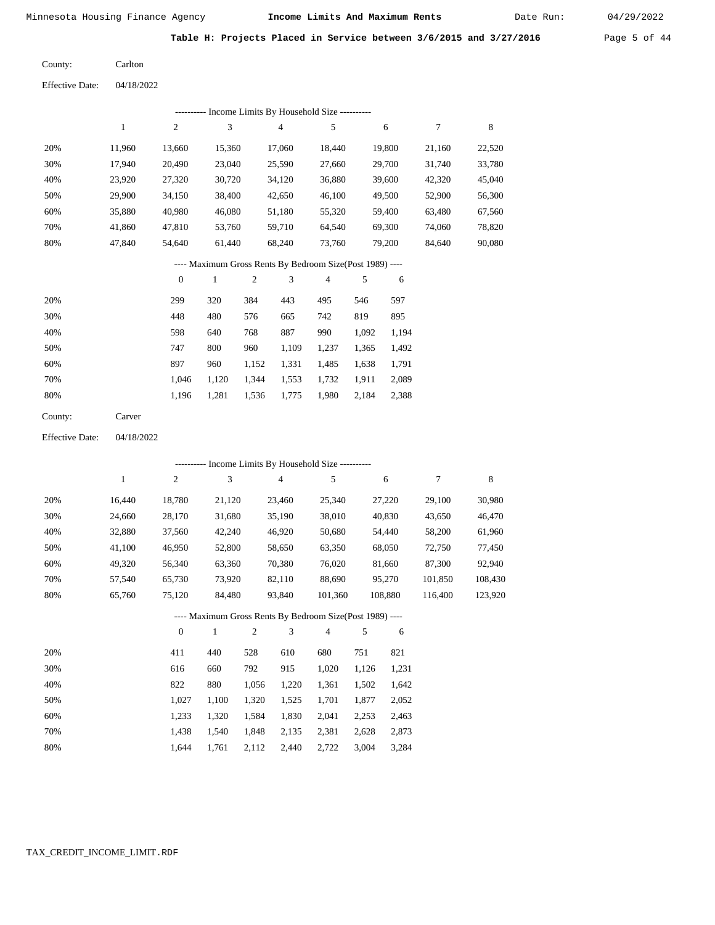Date Run:

Table H: Projects Placed in Service between 3/6/2015 and 3/27/2016 Page 5 of 44

04/18/2022 Carlton County: Effective Date:

|     | ---------- Income Limits By Household Size ---------- |        |        |        |        |        |        |        |  |  |  |  |
|-----|-------------------------------------------------------|--------|--------|--------|--------|--------|--------|--------|--|--|--|--|
|     |                                                       | 2      | 3      | 4      | 5      | 6      |        | 8      |  |  |  |  |
| 20% | 11,960                                                | 13,660 | 15,360 | 17,060 | 18,440 | 19,800 | 21,160 | 22,520 |  |  |  |  |
| 30% | 17,940                                                | 20,490 | 23,040 | 25,590 | 27,660 | 29,700 | 31,740 | 33,780 |  |  |  |  |
| 40% | 23,920                                                | 27,320 | 30,720 | 34,120 | 36,880 | 39,600 | 42,320 | 45,040 |  |  |  |  |
| 50% | 29,900                                                | 34,150 | 38,400 | 42,650 | 46,100 | 49,500 | 52,900 | 56,300 |  |  |  |  |
| 60% | 35,880                                                | 40,980 | 46,080 | 51,180 | 55,320 | 59,400 | 63,480 | 67,560 |  |  |  |  |
| 70% | 41,860                                                | 47,810 | 53,760 | 59,710 | 64.540 | 69.300 | 74,060 | 78,820 |  |  |  |  |
| 80% | 47.840                                                | 54.640 | 61,440 | 68,240 | 73.760 | 79.200 | 84,640 | 90,080 |  |  |  |  |

## ---- Maximum Gross Rents By Bedroom Size(Post 1989) ----

|     | $\mathbf{0}$ |       | $\overline{c}$ | 3     | 4     | 5     | 6     |
|-----|--------------|-------|----------------|-------|-------|-------|-------|
| 20% | 299          | 320   | 384            | 443   | 495   | 546   | 597   |
| 30% | 448          | 480   | 576            | 665   | 742   | 819   | 895   |
| 40% | 598          | 640   | 768            | 887   | 990   | 1,092 | 1,194 |
| 50% | 747          | 800   | 960            | 1,109 | 1,237 | 1,365 | 1,492 |
| 60% | 897          | 960   | 1,152          | 1,331 | 1,485 | 1,638 | 1,791 |
| 70% | 1.046        | 1,120 | 1,344          | 1,553 | 1,732 | 1,911 | 2,089 |
| 80% | 1,196        | 1,281 | 1,536          | 1,775 | 1,980 | 2,184 | 2,388 |
|     |              |       |                |       |       |       |       |

| County: | Carver |
|---------|--------|
|---------|--------|

04/18/2022 Effective Date:

|     | ---------- Income Limits By Household Size ---------- |              |        |                |        |                                                          |       |         |         |         |  |  |  |
|-----|-------------------------------------------------------|--------------|--------|----------------|--------|----------------------------------------------------------|-------|---------|---------|---------|--|--|--|
|     | 1                                                     | 2            | 3      |                | 4      | 5                                                        |       | 6       | 7       | 8       |  |  |  |
| 20% | 16,440                                                | 18,780       | 21,120 |                | 23,460 | 25,340                                                   |       | 27,220  | 29,100  | 30,980  |  |  |  |
| 30% | 24,660                                                | 28,170       | 31,680 |                | 35,190 | 38,010                                                   |       | 40,830  | 43,650  | 46,470  |  |  |  |
| 40% | 32,880                                                | 37,560       | 42,240 |                | 46,920 | 50,680                                                   |       | 54,440  | 58,200  | 61,960  |  |  |  |
| 50% | 41,100                                                | 46,950       | 52,800 |                | 58,650 | 63,350                                                   |       | 68,050  | 72,750  | 77,450  |  |  |  |
| 60% | 49,320                                                | 56,340       | 63,360 |                | 70,380 | 76,020                                                   |       | 81,660  | 87,300  | 92,940  |  |  |  |
| 70% | 57,540                                                | 65,730       | 73,920 |                | 82,110 | 88,690                                                   |       | 95,270  | 101.850 | 108,430 |  |  |  |
| 80% | 65,760                                                | 75,120       | 84,480 |                | 93,840 | 101,360                                                  |       | 108,880 | 116,400 | 123,920 |  |  |  |
|     |                                                       |              |        |                |        | ---- Maximum Gross Rents By Bedroom Size(Post 1989) ---- |       |         |         |         |  |  |  |
|     |                                                       | $\mathbf{0}$ | 1      | $\overline{2}$ | 3      | 4                                                        | 5     | 6       |         |         |  |  |  |
| 20% |                                                       | 411          | 440    | 528            | 610    | 680                                                      | 751   | 821     |         |         |  |  |  |
| 30% |                                                       | 616          | 660    | 792            | 915    | 1,020                                                    | 1,126 | 1,231   |         |         |  |  |  |

| 40% | 822 | 880                                       | 1,056 1,220 1,361 1,502 1,642 |  |  |
|-----|-----|-------------------------------------------|-------------------------------|--|--|
| 50% |     | 1,027 1,100 1,320 1,525 1,701 1,877 2,052 |                               |  |  |
| 60% |     | 1,233 1,320 1,584 1,830 2,041 2,253 2,463 |                               |  |  |
| 70% |     | 1,438 1,540 1,848 2,135 2,381 2,628 2,873 |                               |  |  |
| 80% |     | 1,644 1,761 2,112 2,440 2,722 3,004 3,284 |                               |  |  |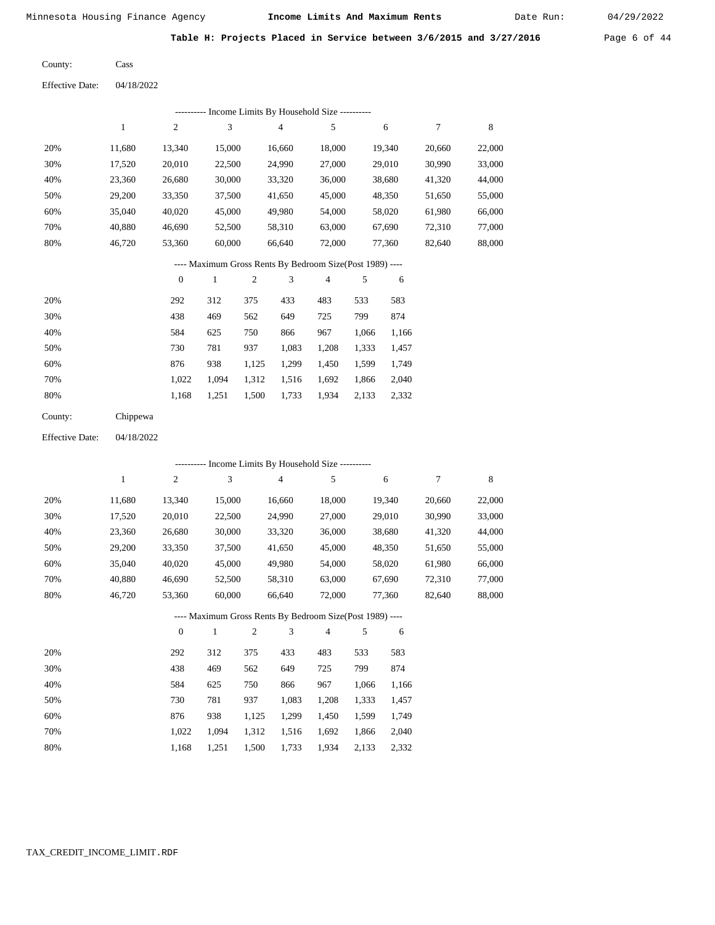Date Run:

Table H: Projects Placed in Service between 3/6/2015 and 3/27/2016 Page 6 of 44

Cass County:

04/18/2022 Effective Date:

|                        |              |                  | --------- Income Limits By Household Size ----------     |                         |                |                |       |        |        |             |
|------------------------|--------------|------------------|----------------------------------------------------------|-------------------------|----------------|----------------|-------|--------|--------|-------------|
|                        | $\mathbf{1}$ | $\sqrt{2}$       | 3                                                        |                         | $\sqrt{4}$     | 5              |       | 6      | $\tau$ | $\,$ 8 $\,$ |
| 20%                    | 11,680       | 13,340           | 15,000                                                   |                         | 16,660         | 18,000         |       | 19,340 | 20,660 | 22,000      |
| 30%                    | 17,520       | 20,010           | 22,500                                                   |                         | 24,990         | 27,000         |       | 29,010 | 30,990 | 33,000      |
| 40%                    | 23,360       | 26,680           | 30,000                                                   |                         | 33,320         | 36,000         |       | 38,680 | 41,320 | 44,000      |
| 50%                    | 29,200       | 33,350           | 37,500                                                   |                         | 41,650         | 45,000         |       | 48,350 | 51,650 | 55,000      |
| 60%                    | 35,040       | 40,020           | 45,000                                                   |                         | 49,980         | 54,000         |       | 58,020 | 61,980 | 66,000      |
| 70%                    | 40,880       | 46,690           | 52,500                                                   |                         | 58,310         | 63,000         |       | 67,690 | 72,310 | 77,000      |
| 80%                    | 46,720       | 53,360           | 60,000                                                   |                         | 66,640         | 72,000         |       | 77,360 | 82,640 | 88,000      |
|                        |              |                  | ---- Maximum Gross Rents By Bedroom Size(Post 1989) ---- |                         |                |                |       |        |        |             |
|                        |              | $\boldsymbol{0}$ | $\mathbf{1}$                                             | $\overline{\mathbf{c}}$ | 3              | $\overline{4}$ | 5     | 6      |        |             |
| 20%                    |              | 292              | 312                                                      | 375                     | 433            | 483            | 533   | 583    |        |             |
| 30%                    |              | 438              | 469                                                      | 562                     | 649            | 725            | 799   | 874    |        |             |
| 40%                    |              | 584              | 625                                                      | 750                     | 866            | 967            | 1,066 | 1,166  |        |             |
| 50%                    |              | 730              | 781                                                      | 937                     | 1,083          | 1,208          | 1,333 | 1,457  |        |             |
| 60%                    |              | 876              | 938                                                      | 1,125                   | 1,299          | 1,450          | 1,599 | 1,749  |        |             |
| 70%                    |              | 1,022            | 1,094                                                    | 1,312                   | 1,516          | 1,692          | 1,866 | 2,040  |        |             |
| 80%                    |              | 1,168            | 1,251                                                    | 1,500                   | 1,733          | 1,934          | 2,133 | 2,332  |        |             |
| County:                | Chippewa     |                  |                                                          |                         |                |                |       |        |        |             |
| <b>Effective Date:</b> | 04/18/2022   |                  |                                                          |                         |                |                |       |        |        |             |
|                        |              |                  | --------- Income Limits By Household Size ---------      |                         |                |                |       |        |        |             |
|                        | $\mathbf{1}$ | $\overline{2}$   | 3                                                        |                         | $\overline{4}$ | 5              |       | 6      | 7      | 8           |
| 20%                    | 11,680       | 13,340           | 15,000                                                   |                         | 16,660         | 18,000         |       | 19,340 | 20,660 | 22,000      |
| 30%                    | 17,520       | 20,010           | 22,500                                                   |                         | 24,990         | 27,000         |       | 29,010 | 30,990 | 33,000      |
| 40%                    | 23,360       | 26,680           | 30,000                                                   |                         | 33,320         | 36,000         |       | 38,680 | 41,320 | 44,000      |
| 50%                    | 29,200       | 33,350           | 37,500                                                   |                         | 41,650         | 45,000         |       | 48,350 | 51,650 | 55,000      |
| 60%                    | 35,040       | 40,020           | 45,000                                                   |                         | 49,980         | 54,000         |       | 58,020 | 61,980 | 66,000      |

# 66,640 ---- Maximum Gross Rents By Bedroom Size(Post 1989) ----

58,310

 63,000 72,000  67,690 77,360  72,310 82,640  77,000 88,000

|     | $\mathbf{0}$ |       | $\overline{2}$ | 3     | 4     | 5     | 6     |
|-----|--------------|-------|----------------|-------|-------|-------|-------|
| 20% | 292          | 312   | 375            | 433   | 483   | 533   | 583   |
| 30% | 438          | 469   | 562            | 649   | 725   | 799   | 874   |
| 40% | 584          | 625   | 750            | 866   | 967   | 1,066 | 1,166 |
| 50% | 730          | 781   | 937            | 1,083 | 1,208 | 1,333 | 1,457 |
| 60% | 876          | 938   | 1,125          | 1,299 | 1,450 | 1,599 | 1,749 |
| 70% | 1.022        | 1.094 | 1,312          | 1,516 | 1,692 | 1,866 | 2,040 |
| 80% | 1,168        | 1,251 | 1,500          | 1,733 | 1,934 | 2,133 | 2,332 |

 52,500 60,000

 70% 80%  40,880 46,720

 46,690 53,360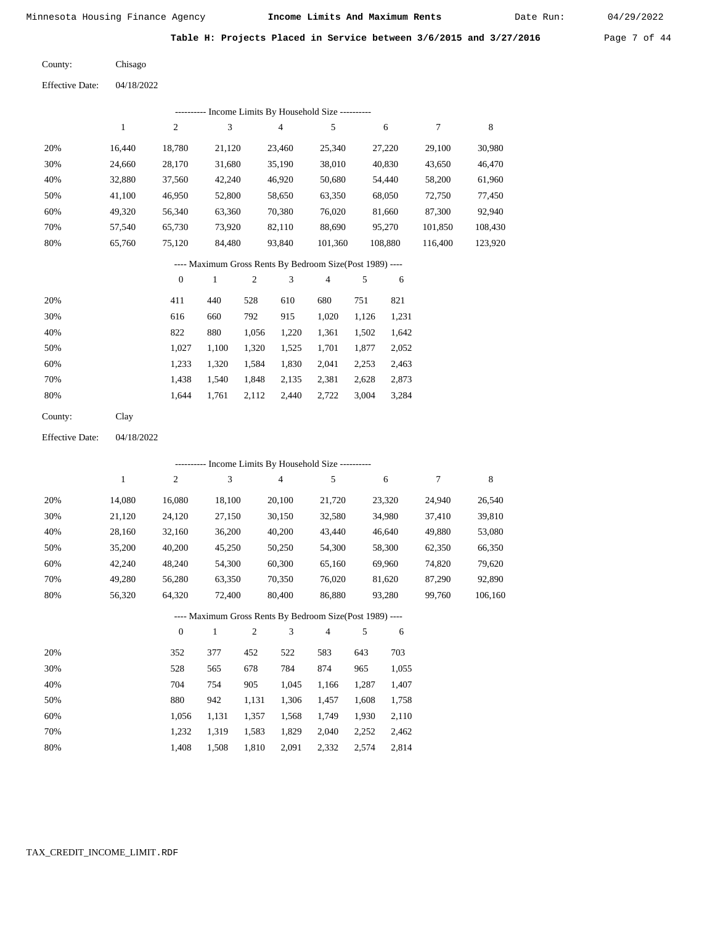Date Run:

Table H: Projects Placed in Service between 3/6/2015 and 3/27/2016 Page 7 of 44

| County: | Chisago |
|---------|---------|
|         |         |

Effective Date: 04/18/2022

|     | ---------- Income Limits By Household Size ---------- |                |            |        |                                                          |                             |         |         |  |  |  |  |  |
|-----|-------------------------------------------------------|----------------|------------|--------|----------------------------------------------------------|-----------------------------|---------|---------|--|--|--|--|--|
|     |                                                       | $\overline{2}$ | 3          | 4      | 5                                                        | 6                           | 7       | 8       |  |  |  |  |  |
| 20% | 16.440                                                | 18.780         | 21,120     | 23,460 | 25,340                                                   | 27,220                      | 29,100  | 30,980  |  |  |  |  |  |
| 30% | 24.660                                                | 28,170         | 31,680     | 35,190 | 38,010                                                   | 40,830                      | 43,650  | 46,470  |  |  |  |  |  |
| 40% | 32,880                                                | 37,560         | 42,240     | 46,920 | 50,680                                                   | 54,440                      | 58,200  | 61,960  |  |  |  |  |  |
| 50% | 41.100                                                | 46,950         | 52,800     | 58,650 | 63,350                                                   | 68,050                      | 72,750  | 77,450  |  |  |  |  |  |
| 60% | 49,320                                                | 56,340         | 63,360     | 70,380 | 76,020                                                   | 81,660                      | 87,300  | 92,940  |  |  |  |  |  |
| 70% | 57,540                                                | 65,730         | 73,920     | 82,110 | 88,690                                                   | 95,270                      | 101,850 | 108,430 |  |  |  |  |  |
| 80% | 65,760                                                | 75,120         | 84,480     | 93,840 | 101,360                                                  | 108,880                     | 116,400 | 123,920 |  |  |  |  |  |
|     |                                                       |                |            |        | ---- Maximum Gross Rents By Bedroom Size(Post 1989) ---- |                             |         |         |  |  |  |  |  |
|     |                                                       |                | $\wedge$ 1 |        |                                                          | $\sim$ $\sim$ $\sim$ $\sim$ |         |         |  |  |  |  |  |

|     | $\mathbf{0}$ |       | $\overline{2}$ | 3     | $\overline{4}$ |       | 6     |
|-----|--------------|-------|----------------|-------|----------------|-------|-------|
| 20% | 411          | 440   | 528            | 610   | 680            | 751   | 821   |
| 30% | 616          | 660   | 792            | 915   | 1,020          | 1,126 | 1,231 |
| 40% | 822          | 880   | 1,056          | 1,220 | 1,361          | 1,502 | 1,642 |
| 50% | 1,027        | 1,100 | 1,320          | 1,525 | 1,701          | 1,877 | 2,052 |
| 60% | 1,233        | 1,320 | 1,584          | 1,830 | 2,041          | 2,253 | 2,463 |
| 70% | 1,438        | 1,540 | 1,848          | 2,135 | 2,381          | 2,628 | 2,873 |
| 80% | 1.644        | 1,761 | 2,112          | 2,440 | 2,722          | 3,004 | 3,284 |
|     |              |       |                |       |                |       |       |

Clay County:

Effective Date: 04/18/2022

|     |        |                |        |                | --------- Income Limits By Household Size ----------     |        |       |        |        |         |
|-----|--------|----------------|--------|----------------|----------------------------------------------------------|--------|-------|--------|--------|---------|
|     | 1      | $\overline{c}$ | 3      |                | 4                                                        | 5      |       | 6      | 7      | 8       |
| 20% | 14,080 | 16,080         | 18,100 |                | 20,100                                                   | 21,720 |       | 23,320 | 24,940 | 26,540  |
| 30% | 21,120 | 24,120         | 27,150 |                | 30,150                                                   | 32,580 |       | 34,980 | 37,410 | 39,810  |
| 40% | 28,160 | 32,160         | 36,200 |                | 40,200                                                   | 43,440 |       | 46,640 | 49,880 | 53,080  |
| 50% | 35,200 | 40,200         | 45,250 |                | 50,250                                                   | 54,300 |       | 58,300 | 62,350 | 66,350  |
| 60% | 42,240 | 48,240         | 54,300 |                | 60,300                                                   | 65,160 |       | 69,960 | 74,820 | 79,620  |
| 70% | 49,280 | 56,280         | 63,350 |                | 70,350                                                   | 76,020 |       | 81,620 | 87,290 | 92,890  |
| 80% | 56,320 | 64,320         | 72,400 |                | 80,400                                                   | 86,880 |       | 93,280 | 99,760 | 106,160 |
|     |        |                |        |                | ---- Maximum Gross Rents By Bedroom Size(Post 1989) ---- |        |       |        |        |         |
|     |        | $\mathbf{0}$   | 1      | $\overline{2}$ | 3                                                        | 4      | 5     | 6      |        |         |
| 20% |        | 352            | 377    | 452            | 522                                                      | 583    | 643   | 703    |        |         |
| 30% |        | 528            | 565    | 678            | 784                                                      | 874    | 965   | 1,055  |        |         |
| 40% |        | 704            | 754    | 905            | 1,045                                                    | 1,166  | 1,287 | 1,407  |        |         |

| 50% | 880 |                                           | 942 1.131 1.306 1.457 1.608 1.758 |  |  |
|-----|-----|-------------------------------------------|-----------------------------------|--|--|
| 60% |     | 1,056 1,131 1,357 1,568 1,749 1,930 2,110 |                                   |  |  |
| 70% |     | 1,232 1,319 1,583 1,829 2,040 2,252 2,462 |                                   |  |  |
| 80% |     | 1,408 1,508 1,810 2,091 2,332 2,574 2,814 |                                   |  |  |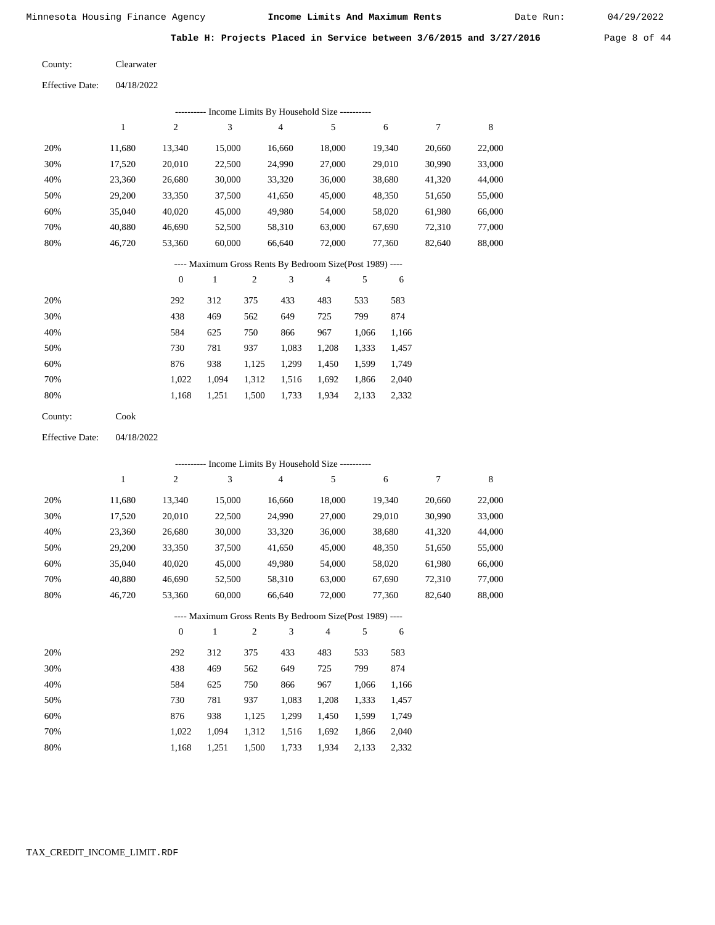Date Run:

Table H: Projects Placed in Service between 3/6/2015 and 3/27/2016 Page 8 of 44

| County: | Clearwater |
|---------|------------|
|         |            |

| <b>Effective Date:</b> | 04/18/2022 |
|------------------------|------------|
|                        |            |

|     | ---------- Income Limits By Household Size ---------- |        |        |        |        |        |        |        |  |  |
|-----|-------------------------------------------------------|--------|--------|--------|--------|--------|--------|--------|--|--|
|     |                                                       | 2      | 3      | 4      | 5      | 6      | 7      | 8      |  |  |
| 20% | 11.680                                                | 13,340 | 15,000 | 16.660 | 18,000 | 19.340 | 20,660 | 22,000 |  |  |
| 30% | 17,520                                                | 20,010 | 22,500 | 24,990 | 27,000 | 29,010 | 30,990 | 33,000 |  |  |
| 40% | 23,360                                                | 26,680 | 30,000 | 33,320 | 36,000 | 38,680 | 41,320 | 44,000 |  |  |
| 50% | 29,200                                                | 33,350 | 37,500 | 41,650 | 45,000 | 48,350 | 51,650 | 55,000 |  |  |
| 60% | 35,040                                                | 40,020 | 45,000 | 49,980 | 54,000 | 58,020 | 61,980 | 66,000 |  |  |
| 70% | 40,880                                                | 46,690 | 52,500 | 58,310 | 63,000 | 67,690 | 72,310 | 77,000 |  |  |
| 80% | 46.720                                                | 53,360 | 60,000 | 66,640 | 72,000 | 77,360 | 82,640 | 88,000 |  |  |

## ---- Maximum Gross Rents By Bedroom Size(Post 1989) ----

|     | $\mathbf{0}$ |       | 2     | 3     | 4     | 5     | 6     |
|-----|--------------|-------|-------|-------|-------|-------|-------|
| 20% | 292          | 312   | 375   | 433   | 483   | 533   | 583   |
| 30% | 438          | 469   | 562   | 649   | 725   | 799   | 874   |
| 40% | 584          | 625   | 750   | 866   | 967   | 1,066 | 1,166 |
| 50% | 730          | 781   | 937   | 1,083 | 1,208 | 1,333 | 1,457 |
| 60% | 876          | 938   | 1,125 | 1,299 | 1,450 | 1,599 | 1,749 |
| 70% | 1.022        | 1.094 | 1,312 | 1,516 | 1,692 | 1,866 | 2,040 |
| 80% | 1,168        | 1,251 | 1,500 | 1,733 | 1,934 | 2,133 | 2,332 |
|     |              |       |       |       |       |       |       |

Cook County:

04/18/2022 Effective Date:

|     |        |                |              |                |                | ---------- Income Limits By Household Size ----------    |       |        |        |             |
|-----|--------|----------------|--------------|----------------|----------------|----------------------------------------------------------|-------|--------|--------|-------------|
|     | 1      | $\overline{c}$ | 3            |                | $\overline{4}$ | 5                                                        |       | 6      | 7      | $\,$ 8 $\,$ |
| 20% | 11,680 | 13,340         | 15,000       |                | 16,660         | 18,000                                                   |       | 19,340 | 20,660 | 22,000      |
| 30% | 17,520 | 20,010         | 22,500       |                | 24,990         | 27,000                                                   |       | 29,010 | 30,990 | 33,000      |
| 40% | 23,360 | 26,680         | 30,000       |                | 33,320         | 36,000                                                   |       | 38,680 | 41,320 | 44,000      |
| 50% | 29,200 | 33,350         | 37,500       |                | 41,650         | 45,000                                                   |       | 48,350 | 51,650 | 55,000      |
| 60% | 35,040 | 40,020         | 45,000       |                | 49,980         | 54,000                                                   |       | 58,020 | 61,980 | 66,000      |
| 70% | 40,880 | 46,690         | 52,500       |                | 58,310         | 63,000                                                   |       | 67,690 | 72,310 | 77,000      |
| 80% | 46,720 | 53,360         | 60,000       |                | 66,640         | 72,000                                                   |       | 77,360 | 82,640 | 88,000      |
|     |        |                |              |                |                | ---- Maximum Gross Rents By Bedroom Size(Post 1989) ---- |       |        |        |             |
|     |        | $\overline{0}$ | $\mathbf{1}$ | $\overline{2}$ | 3              | $\overline{4}$                                           | 5     | 6      |        |             |
| 20% |        | 292            | 312          | 375            | 433            | 483                                                      | 533   | 583    |        |             |
| 30% |        | 438            | 469          | 562            | 649            | 725                                                      | 799   | 874    |        |             |
| 40% |        | 584            | 625          | 750            | 866            | 967                                                      | 1,066 | 1,166  |        |             |
| 50% |        | 730            | 781          | 937            | 1,083          | 1,208                                                    | 1,333 | 1,457  |        |             |
| 60% |        | 876            | 938          | 1,125          | 1,299          | 1,450                                                    | 1,599 | 1,749  |        |             |
| 70% |        | 1,022          | 1,094        | 1,312          | 1,516          | 1,692                                                    | 1,866 | 2,040  |        |             |

1,168

1,251

1,500

1,733

1,934 2,133 2,332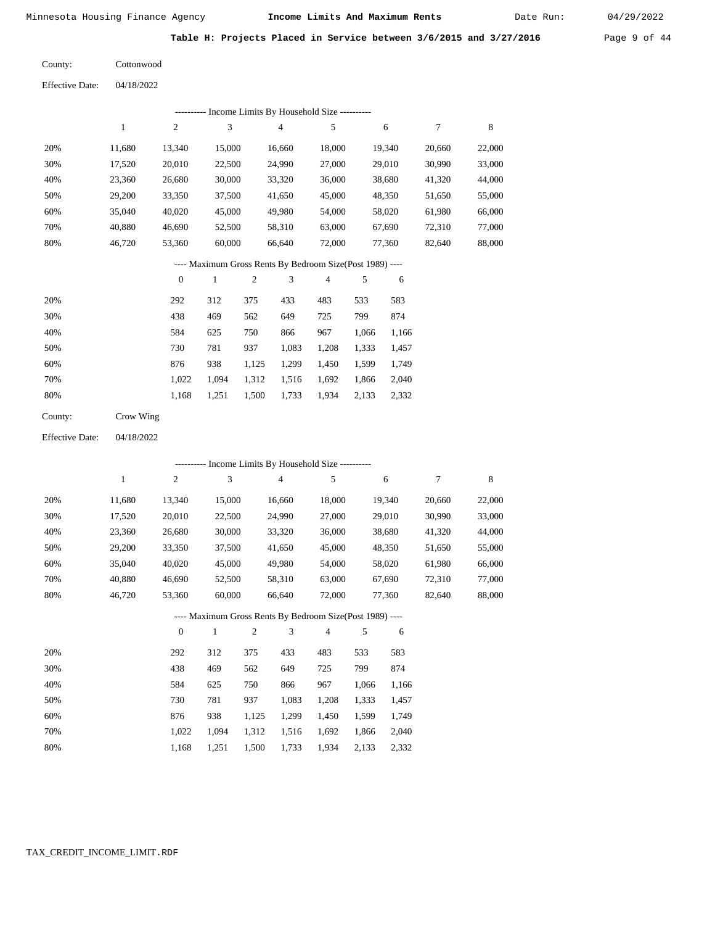Date Run:

Table H: Projects Placed in Service between 3/6/2015 and 3/27/2016 Page 9 of 44

| County: | Cottonwood |
|---------|------------|
|         |            |

| <b>Effective Date:</b> | 04/18/2022 |
|------------------------|------------|
|                        |            |

|     | ---------- Income Limits By Household Size ---------- |        |        |        |        |        |        |        |  |  |
|-----|-------------------------------------------------------|--------|--------|--------|--------|--------|--------|--------|--|--|
|     |                                                       | 2      | 3      | 4      | 5      | 6      | 7      | 8      |  |  |
| 20% | 11.680                                                | 13,340 | 15,000 | 16,660 | 18,000 | 19,340 | 20,660 | 22,000 |  |  |
| 30% | 17,520                                                | 20,010 | 22,500 | 24,990 | 27,000 | 29,010 | 30,990 | 33,000 |  |  |
| 40% | 23,360                                                | 26,680 | 30,000 | 33,320 | 36,000 | 38,680 | 41,320 | 44,000 |  |  |
| 50% | 29,200                                                | 33,350 | 37,500 | 41,650 | 45,000 | 48,350 | 51,650 | 55,000 |  |  |
| 60% | 35,040                                                | 40,020 | 45,000 | 49,980 | 54,000 | 58,020 | 61,980 | 66,000 |  |  |
| 70% | 40.880                                                | 46,690 | 52,500 | 58,310 | 63,000 | 67,690 | 72,310 | 77,000 |  |  |
| 80% | 46.720                                                | 53,360 | 60,000 | 66,640 | 72,000 | 77,360 | 82,640 | 88,000 |  |  |

#### ---- Maximum Gross Rents By Bedroom Size(Post 1989) ----

|     | $\mathbf{0}$ |       | $\overline{c}$ | 3     | $\overline{4}$ | 5     | 6     |
|-----|--------------|-------|----------------|-------|----------------|-------|-------|
| 20% | 292          | 312   | 375            | 433   | 483            | 533   | 583   |
| 30% | 438          | 469   | 562            | 649   | 725            | 799   | 874   |
| 40% | 584          | 625   | 750            | 866   | 967            | 1,066 | 1,166 |
| 50% | 730          | 781   | 937            | 1,083 | 1,208          | 1,333 | 1,457 |
| 60% | 876          | 938   | 1,125          | 1,299 | 1,450          | 1,599 | 1,749 |
| 70% | 1.022        | 1.094 | 1,312          | 1,516 | 1,692          | 1,866 | 2,040 |
| 80% | 1,168        | 1,251 | 1,500          | 1,733 | 1,934          | 2,133 | 2,332 |
|     |              |       |                |       |                |       |       |

| County: | Crow Wing |
|---------|-----------|
|---------|-----------|

04/18/2022 Effective Date:

|     | ---------- Income Limits By Household Size ---------- |                |        |                |                                                          |                |       |        |        |        |  |
|-----|-------------------------------------------------------|----------------|--------|----------------|----------------------------------------------------------|----------------|-------|--------|--------|--------|--|
|     | $\mathbf{1}$                                          | $\overline{c}$ | 3      |                | $\overline{4}$                                           | 5              |       | 6      | 7      | 8      |  |
| 20% | 11,680                                                | 13,340         | 15,000 |                | 16,660                                                   | 18,000         |       | 19,340 | 20,660 | 22,000 |  |
| 30% | 17,520                                                | 20,010         | 22,500 |                | 24,990                                                   | 27,000         |       | 29,010 | 30,990 | 33,000 |  |
| 40% | 23,360                                                | 26,680         | 30,000 |                | 33,320                                                   | 36,000         |       | 38,680 | 41,320 | 44,000 |  |
| 50% | 29,200                                                | 33,350         | 37,500 |                | 41,650                                                   | 45,000         |       | 48,350 | 51,650 | 55,000 |  |
| 60% | 35,040                                                | 40,020         | 45,000 |                | 49,980                                                   | 54,000         |       | 58,020 | 61,980 | 66,000 |  |
| 70% | 40,880                                                | 46,690         | 52,500 |                | 58,310                                                   | 63,000         |       | 67,690 | 72,310 | 77,000 |  |
| 80% | 46,720                                                | 53,360         | 60,000 |                | 66,640                                                   | 72,000         |       | 77,360 | 82,640 | 88,000 |  |
|     |                                                       |                |        |                | ---- Maximum Gross Rents By Bedroom Size(Post 1989) ---- |                |       |        |        |        |  |
|     |                                                       | $\mathbf{0}$   | 1      | $\mathfrak{2}$ | 3                                                        | $\overline{4}$ | 5     | 6      |        |        |  |
| 20% |                                                       | 292            | 312    | 375            | 433                                                      | 483            | 533   | 583    |        |        |  |
| 30% |                                                       | 438            | 469    | 562            | 649                                                      | 725            | 799   | 874    |        |        |  |
| 40% |                                                       | 584            | 625    | 750            | 866                                                      | 967            | 1,066 | 1,166  |        |        |  |
| 50% |                                                       | 730            | 781    | 937            | 1,083                                                    | 1,208          | 1,333 | 1,457  |        |        |  |
| 60% |                                                       | 876            | 938    | 1,125          | 1,299                                                    | 1,450          | 1,599 | 1,749  |        |        |  |

 1,022 1,168  1,094 1,251  1,312 1,500

 1,516 1,733

 1,692 1,934  1,866 2,133  2,040 2,332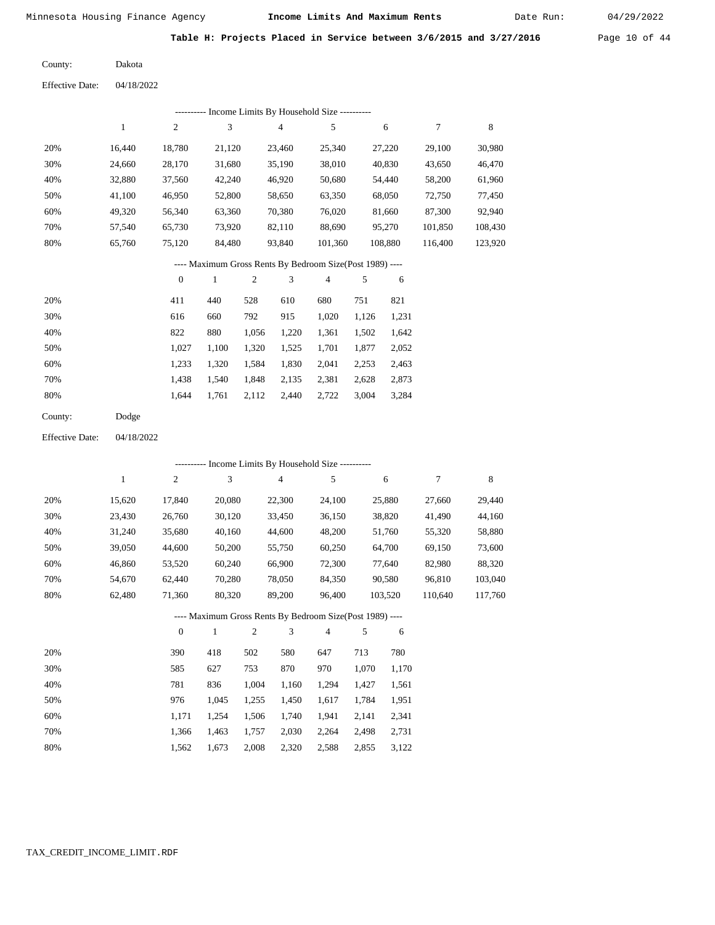Date Run:

Table H: Projects Placed in Service between 3/6/2015 and 3/27/2016 Page 10 of 44

Dakota County:

04/18/2022 Effective Date:

|     | Income Limits By Household Size - |        |        |        |         |         |         |         |  |  |  |  |
|-----|-----------------------------------|--------|--------|--------|---------|---------|---------|---------|--|--|--|--|
|     |                                   | 2      | 3      | 4      | 5       | 6       | 7       | 8       |  |  |  |  |
| 20% | 16.440                            | 18,780 | 21,120 | 23,460 | 25,340  | 27,220  | 29,100  | 30,980  |  |  |  |  |
| 30% | 24,660                            | 28,170 | 31,680 | 35,190 | 38,010  | 40,830  | 43,650  | 46,470  |  |  |  |  |
| 40% | 32,880                            | 37,560 | 42,240 | 46,920 | 50,680  | 54,440  | 58,200  | 61,960  |  |  |  |  |
| 50% | 41.100                            | 46,950 | 52,800 | 58,650 | 63,350  | 68,050  | 72,750  | 77,450  |  |  |  |  |
| 60% | 49,320                            | 56,340 | 63,360 | 70,380 | 76,020  | 81,660  | 87,300  | 92,940  |  |  |  |  |
| 70% | 57,540                            | 65,730 | 73,920 | 82,110 | 88,690  | 95,270  | 101,850 | 108,430 |  |  |  |  |
| 80% | 65,760                            | 75,120 | 84,480 | 93,840 | 101,360 | 108,880 | 116,400 | 123,920 |  |  |  |  |
|     |                                   |        |        |        |         |         |         |         |  |  |  |  |

#### ---- Maximum Gross Rents By Bedroom Size(Post 1989) ----

|     | $\mathbf{0}$ |       | $\overline{c}$ | 3     | 4     | 5     | 6     |
|-----|--------------|-------|----------------|-------|-------|-------|-------|
| 20% | 411          | 440   | 528            | 610   | 680   | 751   | 821   |
| 30% | 616          | 660   | 792            | 915   | 1,020 | 1,126 | 1,231 |
| 40% | 822          | 880   | 1,056          | 1,220 | 1,361 | 1,502 | 1,642 |
| 50% | 1,027        | 1,100 | 1,320          | 1,525 | 1,701 | 1,877 | 2,052 |
| 60% | 1,233        | 1,320 | 1,584          | 1,830 | 2,041 | 2,253 | 2,463 |
| 70% | 1,438        | 1,540 | 1,848          | 2,135 | 2,381 | 2,628 | 2,873 |
| 80% | 1,644        | 1,761 | 2,112          | 2,440 | 2,722 | 3,004 | 3,284 |
|     |              |       |                |       |       |       |       |

| County: | Dodge |
|---------|-------|
|---------|-------|

04/18/2022 Effective Date:

|     |        |                | --------- Income Limits By Household Size ----------     |                |                |        |       |         |         |         |
|-----|--------|----------------|----------------------------------------------------------|----------------|----------------|--------|-------|---------|---------|---------|
|     | 1      | $\overline{c}$ | 3                                                        |                | $\overline{4}$ | 5      |       | 6       | 7       | 8       |
| 20% | 15,620 | 17,840         | 20,080                                                   |                | 22,300         | 24,100 |       | 25,880  | 27,660  | 29,440  |
| 30% | 23,430 | 26,760         | 30,120                                                   |                | 33,450         | 36,150 |       | 38,820  | 41,490  | 44,160  |
| 40% | 31,240 | 35,680         | 40,160                                                   |                | 44,600         | 48,200 |       | 51,760  | 55,320  | 58,880  |
| 50% | 39,050 | 44,600         | 50,200                                                   |                | 55,750         | 60,250 |       | 64,700  | 69,150  | 73,600  |
| 60% | 46,860 | 53,520         | 60,240                                                   |                | 66,900         | 72,300 |       | 77,640  | 82,980  | 88,320  |
| 70% | 54,670 | 62,440         | 70,280                                                   |                | 78,050         | 84,350 |       | 90,580  | 96,810  | 103,040 |
| 80% | 62,480 | 71,360         | 80,320                                                   |                | 89,200         | 96,400 |       | 103,520 | 110,640 | 117,760 |
|     |        |                | ---- Maximum Gross Rents By Bedroom Size(Post 1989) ---- |                |                |        |       |         |         |         |
|     |        | $\theta$       | 1                                                        | $\overline{2}$ | 3              | 4      | 5     | 6       |         |         |
| 20% |        | 390            | 418                                                      | 502            | 580            | 647    | 713   | 780     |         |         |
| 30% |        | 585            | 627                                                      | 753            | 870            | 970    | 1,070 | 1,170   |         |         |
| 40% |        | 781            | 836                                                      | 1,004          | 1,160          | 1,294  | 1,427 | 1,561   |         |         |
| 50% |        | 976            | 1,045                                                    | 1,255          | 1,450          | 1,617  | 1,784 | 1,951   |         |         |

| 60% |  | $1,171$ $1,254$ $1,506$ $1,740$ $1,941$ $2,141$ $2,341$ |  |  |
|-----|--|---------------------------------------------------------|--|--|
| 70% |  | 1,366 1,463 1,757 2,030 2,264 2,498 2,731               |  |  |
| 80% |  | 1,562 1,673 2,008 2,320 2,588 2,855 3,122               |  |  |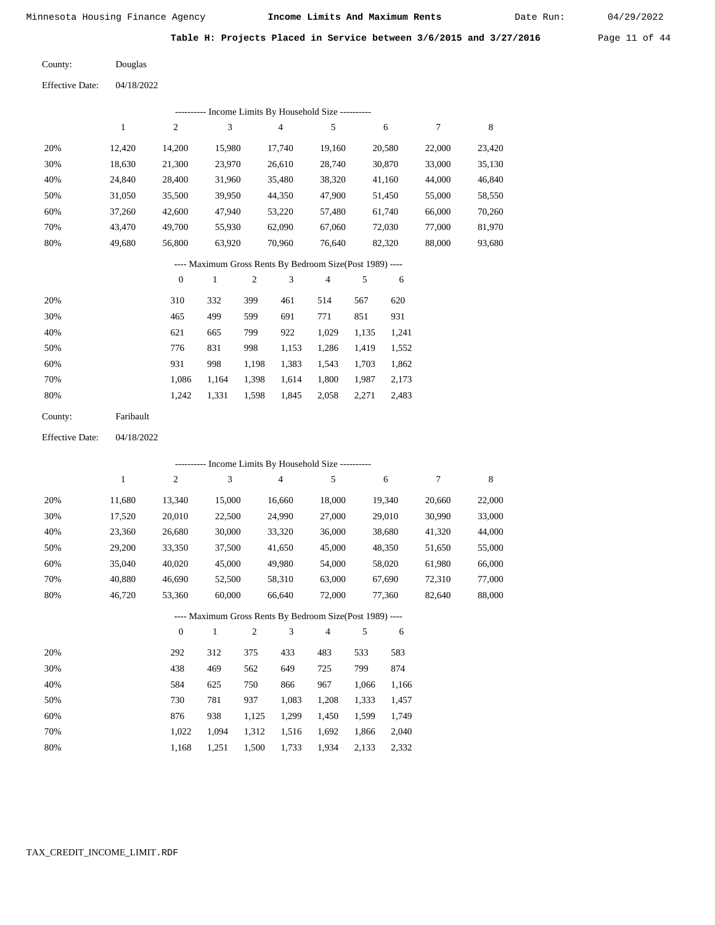Date Run:

Table H: Projects Placed in Service between 3/6/2015 and 3/27/2016 Page 11 of 44

Douglas County:

04/18/2022 Effective Date:

|     |        |              | --------- Income Limits By Household Size ----------     |                |         |                |       |        |        |        |
|-----|--------|--------------|----------------------------------------------------------|----------------|---------|----------------|-------|--------|--------|--------|
|     | 1      | $\mathbf{2}$ | 3                                                        |                | 4       | 5              |       | 6      | 7      | 8      |
| 20% | 12,420 | 14,200       | 15,980                                                   |                | 17,740  | 19,160         |       | 20,580 | 22,000 | 23,420 |
| 30% | 18,630 | 21,300       | 23,970                                                   |                | 26,610  | 28,740         |       | 30,870 | 33,000 | 35,130 |
| 40% | 24,840 | 28,400       | 31,960                                                   |                | 35,480  | 38,320         |       | 41,160 | 44,000 | 46,840 |
| 50% | 31,050 | 35,500       | 39,950                                                   |                | 44,350  | 47,900         |       | 51,450 | 55,000 | 58,550 |
| 60% | 37,260 | 42,600       | 47,940                                                   |                | 53,220  | 57,480         |       | 61,740 | 66,000 | 70,260 |
| 70% | 43,470 | 49,700       | 55,930                                                   |                | 62,090  | 67,060         |       | 72,030 | 77,000 | 81,970 |
| 80% | 49,680 | 56,800       | 63,920                                                   |                | 70,960  | 76,640         |       | 82,320 | 88,000 | 93,680 |
|     |        |              | ---- Maximum Gross Rents By Bedroom Size(Post 1989) ---- |                |         |                |       |        |        |        |
|     |        | $\mathbf{0}$ | 1                                                        | $\overline{2}$ | 3       | $\overline{4}$ | 5     | 6      |        |        |
| 20% |        | 310          | 332                                                      | 399            | 461     | 514            | 567   | 620    |        |        |
| 30% |        | 465          | 499                                                      | 599            | 691     | 771            | 851   | 931    |        |        |
| 40% |        | 621          | 665                                                      | 799            | 922     | 1,029          | 1,135 | 1,241  |        |        |
| 50% |        | 776          | 831                                                      | 998            | 1 1 5 3 | 1 286          | 1419  | 1.552  |        |        |

| 50% |     | 831 |                                           |  | 998 1,153 1,286 1,419 1,552 |  |
|-----|-----|-----|-------------------------------------------|--|-----------------------------|--|
| 60% | 931 |     | 998 1,198 1,383 1,543 1,703 1,862         |  |                             |  |
| 70% |     |     | 1,086 1,164 1,398 1,614 1,800 1,987 2,173 |  |                             |  |
| 80% |     |     | 1,242 1,331 1,598 1,845 2,058 2,271 2,483 |  |                             |  |
|     |     |     |                                           |  |                             |  |

| County: | Faribault |
|---------|-----------|
|---------|-----------|

04/18/2022 Effective Date:

|     |        |                  |              |                |        | ---------- Income Limits By Household Size ----------    |       |        |        |             |
|-----|--------|------------------|--------------|----------------|--------|----------------------------------------------------------|-------|--------|--------|-------------|
|     | 1      | $\boldsymbol{2}$ | 3            |                | 4      | 5                                                        |       | 6      | 7      | $\,$ 8 $\,$ |
| 20% | 11,680 | 13,340           | 15,000       |                | 16,660 | 18,000                                                   |       | 19,340 | 20,660 | 22,000      |
| 30% | 17,520 | 20,010           | 22,500       |                | 24,990 | 27,000                                                   |       | 29,010 | 30,990 | 33,000      |
| 40% | 23,360 | 26,680           | 30,000       |                | 33,320 | 36,000                                                   |       | 38,680 | 41,320 | 44,000      |
| 50% | 29,200 | 33,350           | 37,500       |                | 41,650 | 45,000                                                   |       | 48,350 | 51,650 | 55,000      |
| 60% | 35,040 | 40,020           | 45,000       |                | 49,980 | 54,000                                                   |       | 58,020 | 61,980 | 66,000      |
| 70% | 40,880 | 46,690           | 52,500       |                | 58,310 | 63,000                                                   |       | 67,690 | 72,310 | 77,000      |
| 80% | 46,720 | 53,360           | 60,000       |                | 66,640 | 72,000                                                   |       | 77,360 | 82,640 | 88,000      |
|     |        |                  |              |                |        | ---- Maximum Gross Rents By Bedroom Size(Post 1989) ---- |       |        |        |             |
|     |        | $\overline{0}$   | $\mathbf{1}$ | $\overline{2}$ | 3      | $\overline{4}$                                           | 5     | 6      |        |             |
| 20% |        | 292              | 312          | 375            | 433    | 483                                                      | 533   | 583    |        |             |
| 30% |        | 438              | 469          | 562            | 649    | 725                                                      | 799   | 874    |        |             |
| 40% |        | 584              | 625          | 750            | 866    | 967                                                      | 1,066 | 1,166  |        |             |
| 50% |        | 730              | 781          | 937            | 1,083  | 1,208                                                    | 1,333 | 1,457  |        |             |
| 60% |        | 876              | 938          | 1,125          | 1,299  | 1,450                                                    | 1,599 | 1,749  |        |             |
| 70% |        | 1,022            | 1,094        | 1,312          | 1,516  | 1,692                                                    | 1,866 | 2,040  |        |             |

1,500 1,733 1,934 2,133 2,332

1,168

1,251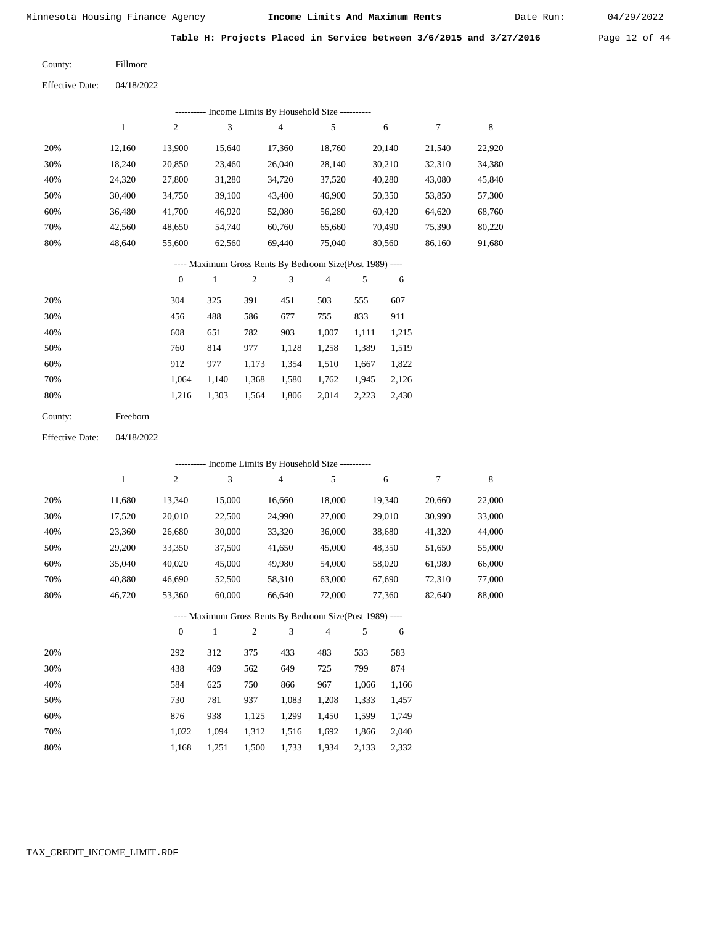Date Run:

Table H: Projects Placed in Service between 3/6/2015 and 3/27/2016 Page 12 of 44

Fillmore County:

04/18/2022 Effective Date:

|     | ---------- Income Limits By Household Size ---------- |                |        |                                                          |                |        |        |        |  |  |  |  |
|-----|-------------------------------------------------------|----------------|--------|----------------------------------------------------------|----------------|--------|--------|--------|--|--|--|--|
|     | 1                                                     | $\overline{2}$ | 3      | $\overline{4}$                                           | 5              | 6      | 7      | 8      |  |  |  |  |
| 20% | 12.160                                                | 13.900         | 15,640 | 17.360                                                   | 18,760         | 20.140 | 21,540 | 22,920 |  |  |  |  |
| 30% | 18,240                                                | 20,850         | 23,460 | 26,040                                                   | 28,140         | 30,210 | 32,310 | 34,380 |  |  |  |  |
| 40% | 24,320                                                | 27,800         | 31,280 | 34,720                                                   | 37,520         | 40,280 | 43,080 | 45,840 |  |  |  |  |
| 50% | 30,400                                                | 34,750         | 39,100 | 43,400                                                   | 46,900         | 50,350 | 53,850 | 57,300 |  |  |  |  |
| 60% | 36.480                                                | 41,700         | 46.920 | 52,080                                                   | 56,280         | 60,420 | 64,620 | 68,760 |  |  |  |  |
| 70% | 42,560                                                | 48,650         | 54,740 | 60,760                                                   | 65,660         | 70,490 | 75,390 | 80,220 |  |  |  |  |
| 80% | 48.640                                                | 55,600         | 62,560 | 69.440                                                   | 75,040         | 80.560 | 86,160 | 91,680 |  |  |  |  |
|     |                                                       |                |        | ---- Maximum Gross Rents By Bedroom Size(Post 1989) ---- |                |        |        |        |  |  |  |  |
|     |                                                       | $\mathbf{0}$   |        | 2<br>3                                                   | $\overline{4}$ | 5<br>6 |        |        |  |  |  |  |

| 20% | 304   | 325   | 391   | 451   | 503   | 555   | 607   |
|-----|-------|-------|-------|-------|-------|-------|-------|
| 30% | 456   | 488   | 586   | 677   | 755   | 833   | 911   |
| 40% | 608   | 651   | 782   | 903   | 1.007 | 1.111 | 1,215 |
| 50% | 760   | 814   | 977   | 1.128 | 1.258 | 1,389 | 1,519 |
| 60% | 912   | 977   | 1,173 | 1,354 | 1,510 | 1,667 | 1,822 |
| 70% | 1.064 | 1.140 | 1,368 | 1,580 | 1,762 | 1,945 | 2,126 |
| 80% | 1.216 | 1,303 | 1,564 | 1,806 | 2,014 | 2,223 | 2,430 |
|     |       |       |       |       |       |       |       |

| County: | Freeborn |
|---------|----------|
|---------|----------|

04/18/2022 Effective Date:

|     |              |                |              |       |                | ---------- Income Limits By Household Size ----------    |       |        |        |        |
|-----|--------------|----------------|--------------|-------|----------------|----------------------------------------------------------|-------|--------|--------|--------|
|     | $\mathbf{1}$ | $\mathfrak{2}$ | 3            |       | $\overline{4}$ | 5                                                        |       | 6      | 7      | 8      |
| 20% | 11,680       | 13,340         | 15,000       |       | 16,660         | 18,000                                                   |       | 19,340 | 20,660 | 22,000 |
| 30% | 17,520       | 20,010         | 22,500       |       | 24,990         | 27,000                                                   |       | 29,010 | 30,990 | 33,000 |
| 40% | 23,360       | 26,680         | 30,000       |       | 33,320         | 36,000                                                   |       | 38,680 | 41,320 | 44,000 |
| 50% | 29,200       | 33,350         | 37,500       |       | 41,650         | 45,000                                                   |       | 48,350 | 51,650 | 55,000 |
| 60% | 35,040       | 40,020         | 45,000       |       | 49,980         | 54,000                                                   |       | 58,020 | 61,980 | 66,000 |
| 70% | 40,880       | 46,690         | 52,500       |       | 58,310         | 63,000                                                   |       | 67,690 | 72,310 | 77,000 |
| 80% | 46,720       | 53,360         | 60,000       |       | 66,640         | 72,000                                                   |       | 77,360 | 82,640 | 88,000 |
|     |              |                |              |       |                | ---- Maximum Gross Rents By Bedroom Size(Post 1989) ---- |       |        |        |        |
|     |              | $\overline{0}$ | $\mathbf{1}$ | 2     | 3              | $\overline{4}$                                           | 5     | 6      |        |        |
| 20% |              | 292            | 312          | 375   | 433            | 483                                                      | 533   | 583    |        |        |
| 30% |              | 438            | 469          | 562   | 649            | 725                                                      | 799   | 874    |        |        |
| 40% |              | 584            | 625          | 750   | 866            | 967                                                      | 1,066 | 1,166  |        |        |
| 50% |              | 730            | 781          | 937   | 1,083          | 1,208                                                    | 1,333 | 1,457  |        |        |
| 60% |              | 876            | 938          | 1,125 | 1,299          | 1,450                                                    | 1,599 | 1,749  |        |        |
| 70% |              | 1,022          | 1,094        | 1,312 | 1,516          | 1,692                                                    | 1,866 | 2,040  |        |        |

 1,022 1,094 1,312 1,516 1,692 1,866 2,040 1,168 1,251 1,500 1,733 1,934 2,133 2,332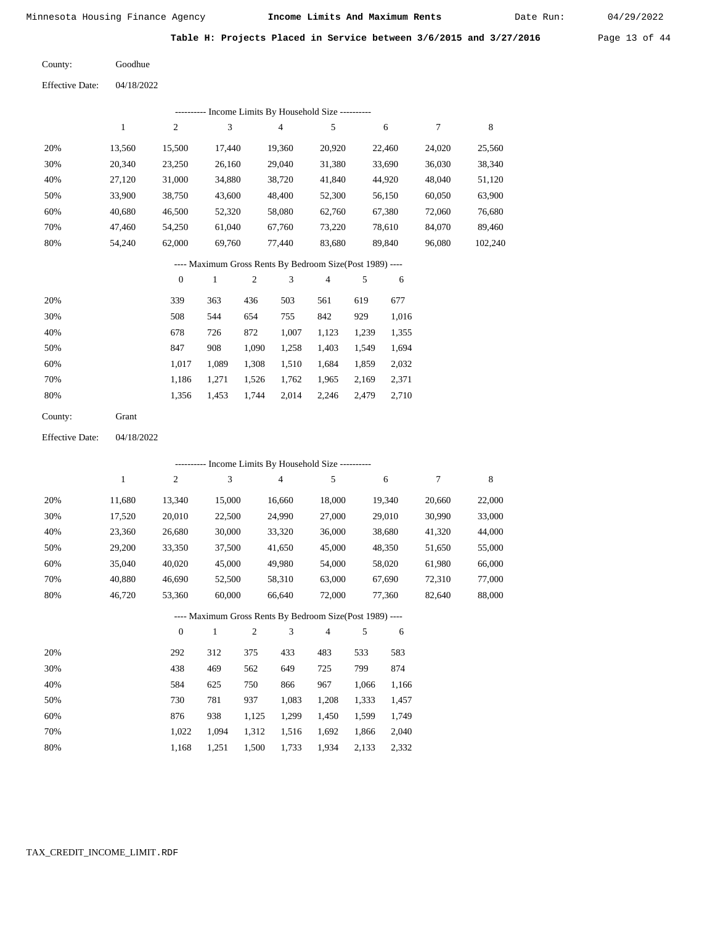Date Run:

Table H: Projects Placed in Service between 3/6/2015 and 3/27/2016 Page 13 of 44

Goodhue County:

04/18/2022 Effective Date:

|     |        |                  |        |       | ---------- Income Limits By Household Size ----------    |        |       |        |        |         |
|-----|--------|------------------|--------|-------|----------------------------------------------------------|--------|-------|--------|--------|---------|
|     | 1      | $\mathfrak{2}$   | 3      |       | 4                                                        | 5      |       | 6      | 7      | 8       |
| 20% | 13,560 | 15,500           | 17,440 |       | 19,360                                                   | 20,920 |       | 22,460 | 24,020 | 25,560  |
| 30% | 20,340 | 23,250           | 26,160 |       | 29,040                                                   | 31,380 |       | 33,690 | 36,030 | 38,340  |
| 40% | 27,120 | 31,000           | 34,880 |       | 38,720                                                   | 41,840 |       | 44,920 | 48,040 | 51,120  |
| 50% | 33,900 | 38,750           | 43,600 |       | 48,400                                                   | 52,300 |       | 56,150 | 60,050 | 63,900  |
| 60% | 40,680 | 46,500           | 52,320 |       | 58,080                                                   | 62,760 |       | 67,380 | 72,060 | 76,680  |
| 70% | 47,460 | 54,250           | 61,040 |       | 67,760                                                   | 73,220 |       | 78,610 | 84,070 | 89,460  |
| 80% | 54,240 | 62,000           | 69,760 |       | 77,440                                                   | 83,680 |       | 89,840 | 96,080 | 102,240 |
|     |        |                  |        |       | ---- Maximum Gross Rents By Bedroom Size(Post 1989) ---- |        |       |        |        |         |
|     |        | $\boldsymbol{0}$ | 1      | 2     | 3                                                        | 4      | 5     | 6      |        |         |
| 20% |        | 339              | 363    | 436   | 503                                                      | 561    | 619   | 677    |        |         |
| 30% |        | 508              | 544    | 654   | 755                                                      | 842    | 929   | 1,016  |        |         |
| 40% |        | 678              | 726    | 872   | 1,007                                                    | 1,123  | 1,239 | 1,355  |        |         |
| 50% |        | 847              | 908    | 1,090 | 1,258                                                    | 1,403  | 1,549 | 1,694  |        |         |
| 60% |        | 1,017            | 1,089  | 1,308 | 1,510                                                    | 1,684  | 1,859 | 2,032  |        |         |
| 70% |        | 1,186            | 1,271  | 1,526 | 1,762                                                    | 1,965  | 2,169 | 2,371  |        |         |

2,014 2,246 2,479

2,710

04/18/2022 Effective Date:

80%

County:

Grant

1,356

1,453 1,744

 20% 30% 40% 50% 60% 70% 80% 11,680 17,520 23,360 29,200 35,040 40,880 46,720 13,340 20,010 26,680 33,350 40,020 46,690 53,360 15,000 22,500 30,000 37,500 45,000 52,500 60,000 16,660 24,990 33,320 41,650 49,980 58,310 66,640 18,000 27,000 36,000 45,000 54,000 63,000 72,000 19,340 29,010 38,680 48,350 58,020 67,690 77,360 20,660 30,990 41,320 51,650 61,980 72,310 82,640 22,000 33,000 44,000 55,000 66,000 77,000 88,000 1 2 3 4 5 6 7 8 0 1 2 3 4 5 6 ---------- Income Limits By Household Size ---------- ---- Maximum Gross Rents By Bedroom Size(Post 1989) ----

| 20% | 292   | 312   | 375   | 433   | 483   | 533   | 583   |
|-----|-------|-------|-------|-------|-------|-------|-------|
| 30% | 438   | 469   | 562   | 649   | 725   | 799   | 874   |
| 40% | 584   | 625   | 750   | 866   | 967   | 1.066 | 1,166 |
| 50% | 730   | 781   | 937   | 1,083 | 1,208 | 1,333 | 1,457 |
| 60% | 876   | 938   | 1.125 | 1.299 | 1.450 | 1.599 | 1,749 |
| 70% | 1.022 | 1.094 | 1,312 | 1,516 | 1,692 | 1,866 | 2,040 |
| 80% | 1.168 | 1,251 | 1,500 | 1,733 | 1,934 | 2,133 | 2,332 |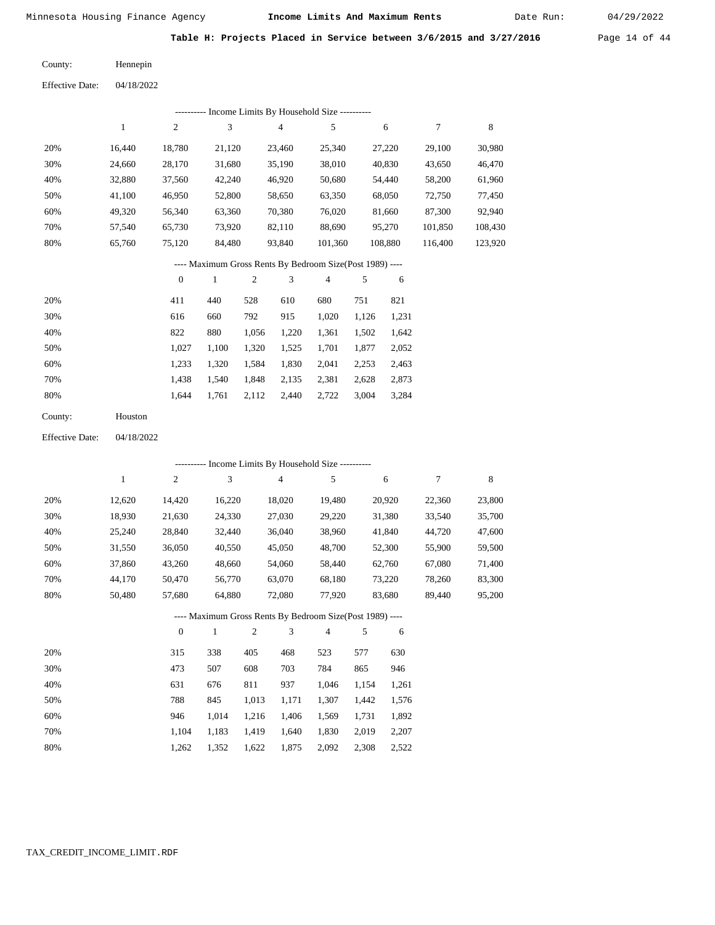Date Run:

Table H: Projects Placed in Service between 3/6/2015 and 3/27/2016 Page 14 of 44

Hennepin County:

04/18/2022 Effective Date:

|     | Income Limits By Household Size ---------- |        |        |        |         |         |         |         |  |  |  |  |  |
|-----|--------------------------------------------|--------|--------|--------|---------|---------|---------|---------|--|--|--|--|--|
|     |                                            | 2      | 3      | 4      | 5       | 6       |         | 8       |  |  |  |  |  |
| 20% | 16.440                                     | 18.780 | 21.120 | 23.460 | 25,340  | 27.220  | 29,100  | 30,980  |  |  |  |  |  |
| 30% | 24.660                                     | 28,170 | 31,680 | 35,190 | 38,010  | 40,830  | 43,650  | 46,470  |  |  |  |  |  |
| 40% | 32,880                                     | 37,560 | 42,240 | 46,920 | 50,680  | 54,440  | 58,200  | 61,960  |  |  |  |  |  |
| 50% | 41.100                                     | 46,950 | 52,800 | 58,650 | 63,350  | 68,050  | 72,750  | 77,450  |  |  |  |  |  |
| 60% | 49,320                                     | 56,340 | 63,360 | 70,380 | 76,020  | 81,660  | 87,300  | 92,940  |  |  |  |  |  |
| 70% | 57,540                                     | 65,730 | 73,920 | 82,110 | 88,690  | 95,270  | 101,850 | 108,430 |  |  |  |  |  |
| 80% | 65,760                                     | 75,120 | 84,480 | 93,840 | 101.360 | 108,880 | 116.400 | 123,920 |  |  |  |  |  |
|     |                                            |        |        |        |         |         |         |         |  |  |  |  |  |

---- Maximum Gross Rents By Bedroom Size(Post 1989) ----

|     | 0     |       | 2     | 3     | 4     | 5     | 6     |
|-----|-------|-------|-------|-------|-------|-------|-------|
| 20% | 411   | 440   | 528   | 610   | 680   | 751   | 821   |
| 30% | 616   | 660   | 792   | 915   | 1,020 | 1,126 | 1,231 |
| 40% | 822   | 880   | 1,056 | 1,220 | 1,361 | 1,502 | 1,642 |
| 50% | 1,027 | 1,100 | 1,320 | 1,525 | 1,701 | 1,877 | 2,052 |
| 60% | 1,233 | 1,320 | 1,584 | 1,830 | 2,041 | 2,253 | 2,463 |
| 70% | 1.438 | 1.540 | 1,848 | 2,135 | 2,381 | 2,628 | 2,873 |
| 80% | 1.644 | 1,761 | 2,112 | 2,440 | 2,722 | 3,004 | 3,284 |
|     |       |       |       |       |       |       |       |

| Houston |
|---------|
|         |

04/18/2022 Effective Date:

|     |              |              |        |                |                | --------- Income Limits By Household Size ----------     |       |        |        |        |
|-----|--------------|--------------|--------|----------------|----------------|----------------------------------------------------------|-------|--------|--------|--------|
|     | $\mathbf{1}$ | $\mathbf{2}$ | 3      |                | $\overline{4}$ | 5                                                        |       | 6      | 7      | 8      |
| 20% | 12,620       | 14,420       | 16,220 |                | 18,020         | 19,480                                                   |       | 20,920 | 22,360 | 23,800 |
| 30% | 18,930       | 21,630       | 24,330 |                | 27,030         | 29,220                                                   |       | 31,380 | 33,540 | 35,700 |
| 40% | 25,240       | 28,840       | 32,440 |                | 36,040         | 38,960                                                   |       | 41,840 | 44,720 | 47,600 |
| 50% | 31,550       | 36,050       | 40,550 |                | 45,050         | 48,700                                                   |       | 52,300 | 55,900 | 59,500 |
| 60% | 37,860       | 43,260       | 48,660 |                | 54,060         | 58,440                                                   |       | 62,760 | 67,080 | 71,400 |
| 70% | 44,170       | 50,470       | 56,770 |                | 63,070         | 68,180                                                   |       | 73,220 | 78,260 | 83,300 |
| 80% | 50,480       | 57,680       | 64,880 |                | 72,080         | 77,920                                                   |       | 83,680 | 89,440 | 95,200 |
|     |              |              |        |                |                | ---- Maximum Gross Rents By Bedroom Size(Post 1989) ---- |       |        |        |        |
|     |              | $\theta$     | 1      | $\mathfrak{2}$ | 3              | $\overline{4}$                                           | 5     | 6      |        |        |
| 20% |              | 315          | 338    | 405            | 468            | 523                                                      | 577   | 630    |        |        |
| 30% |              | 473          | 507    | 608            | 703            | 784                                                      | 865   | 946    |        |        |
| 40% |              | 631          | 676    | 811            | 937            | 1,046                                                    | 1,154 | 1,261  |        |        |
| 50% |              | 788          | 845    | 1,013          | 1,171          | 1,307                                                    | 1,442 | 1,576  |        |        |
| 60% |              | 946          | 1,014  | 1,216          | 1,406          | 1,569                                                    | 1,731 | 1,892  |        |        |

 1,104 1,262

 1,183 1,352  1,419 1,622  1,640 1,875  1,830 2,092  2,019 2,308  2,207 2,522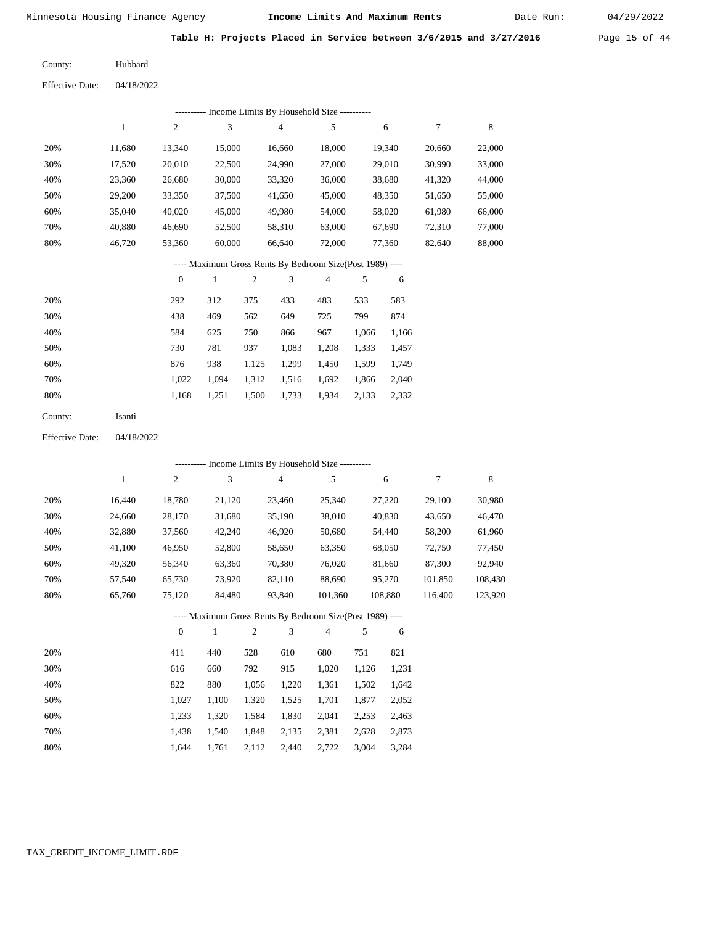Date Run:

Table H: Projects Placed in Service between 3/6/2015 and 3/27/2016 Page 15 of 44

Hubbard County:

04/18/2022 Effective Date:

|                        |              |                  |        |                | --------- Income Limits By Household Size ----------     |                |       |        |        |         |
|------------------------|--------------|------------------|--------|----------------|----------------------------------------------------------|----------------|-------|--------|--------|---------|
|                        | $\mathbf{1}$ | $\boldsymbol{2}$ | 3      |                | $\overline{4}$                                           | 5              |       | 6      | 7      | $\,8\,$ |
| 20%                    | 11,680       | 13,340           | 15,000 |                | 16,660                                                   | 18,000         |       | 19,340 | 20,660 | 22,000  |
| 30%                    | 17,520       | 20,010           | 22,500 |                | 24,990                                                   | 27,000         |       | 29,010 | 30,990 | 33,000  |
| 40%                    | 23,360       | 26,680           | 30,000 |                | 33,320                                                   | 36,000         |       | 38,680 | 41,320 | 44,000  |
| 50%                    | 29,200       | 33,350           | 37,500 |                | 41,650                                                   | 45,000         |       | 48,350 | 51,650 | 55,000  |
| 60%                    | 35,040       | 40,020           | 45,000 |                | 49.980                                                   | 54,000         |       | 58,020 | 61,980 | 66,000  |
| 70%                    | 40,880       | 46,690           | 52,500 |                | 58,310                                                   | 63,000         |       | 67,690 | 72,310 | 77,000  |
| 80%                    | 46,720       | 53,360           | 60,000 |                | 66,640                                                   | 72,000         |       | 77,360 | 82,640 | 88,000  |
|                        |              |                  |        |                | ---- Maximum Gross Rents By Bedroom Size(Post 1989) ---- |                |       |        |        |         |
|                        |              | $\overline{0}$   | 1      | $\overline{c}$ | 3                                                        | $\overline{4}$ | 5     | 6      |        |         |
| 20%                    |              | 292              | 312    | 375            | 433                                                      | 483            | 533   | 583    |        |         |
| 30%                    |              | 438              | 469    | 562            | 649                                                      | 725            | 799   | 874    |        |         |
| 40%                    |              | 584              | 625    | 750            | 866                                                      | 967            | 1,066 | 1,166  |        |         |
| 50%                    |              | 730              | 781    | 937            | 1,083                                                    | 1,208          | 1,333 | 1,457  |        |         |
| 60%                    |              | 876              | 938    | 1,125          | 1,299                                                    | 1,450          | 1,599 | 1,749  |        |         |
| 70%                    |              | 1,022            | 1,094  | 1,312          | 1,516                                                    | 1,692          | 1,866 | 2,040  |        |         |
| 80%                    |              | 1,168            | 1,251  | 1,500          | 1,733                                                    | 1,934          | 2,133 | 2,332  |        |         |
| County:                | Isanti       |                  |        |                |                                                          |                |       |        |        |         |
| <b>Effective Date:</b> | 04/18/2022   |                  |        |                |                                                          |                |       |        |        |         |

|     |              |                |              |                |                | ---------- Income Limits By Household Size ----------    |       |         |         |         |
|-----|--------------|----------------|--------------|----------------|----------------|----------------------------------------------------------|-------|---------|---------|---------|
|     | $\mathbf{1}$ | $\overline{2}$ | 3            |                | $\overline{4}$ | 5                                                        |       | 6       | 7       | 8       |
| 20% | 16,440       | 18,780         | 21,120       |                | 23,460         | 25,340                                                   |       | 27,220  | 29,100  | 30,980  |
| 30% | 24,660       | 28,170         | 31,680       |                | 35,190         | 38,010                                                   |       | 40,830  | 43,650  | 46,470  |
| 40% | 32,880       | 37,560         | 42,240       |                | 46,920         | 50,680                                                   |       | 54,440  | 58,200  | 61,960  |
| 50% | 41,100       | 46,950         | 52,800       |                | 58,650         | 63,350                                                   |       | 68,050  | 72,750  | 77,450  |
| 60% | 49,320       | 56,340         | 63,360       |                | 70,380         | 76,020                                                   |       | 81,660  | 87,300  | 92,940  |
| 70% | 57,540       | 65,730         | 73,920       |                | 82,110         | 88,690                                                   |       | 95,270  | 101,850 | 108,430 |
| 80% | 65,760       | 75,120         | 84,480       |                | 93,840         | 101,360                                                  |       | 108,880 | 116,400 | 123,920 |
|     |              |                |              |                |                | ---- Maximum Gross Rents By Bedroom Size(Post 1989) ---- |       |         |         |         |
|     |              | $\theta$       | $\mathbf{1}$ | $\overline{2}$ | 3              | $\overline{4}$                                           | 5     | 6       |         |         |
| 20% |              | 411            | 440          | 528            | 610            | 680                                                      | 751   | 821     |         |         |
| 30% |              | 616            | 660          | 792            | 915            | 1,020                                                    | 1,126 | 1,231   |         |         |
| 40% |              | 822            | 880          | 1,056          | 1,220          | 1,361                                                    | 1,502 | 1,642   |         |         |
| 50% |              | 1,027          | 1,100        | 1,320          | 1,525          | 1,701                                                    | 1,877 | 2,052   |         |         |
| 60% |              | 1,233          | 1,320        | 1,584          | 1,830          | 2,041                                                    | 2,253 | 2,463   |         |         |

 1,233 1,320 1,584 1,830 2,041 2,253 2,463 1,438 1,540 1,848 2,135 2,381 2,628 2,873

3,004 3,284

| $1,644$ $1,761$ $2,112$ $2,440$ $2,722$ |  |  |
|-----------------------------------------|--|--|
|                                         |  |  |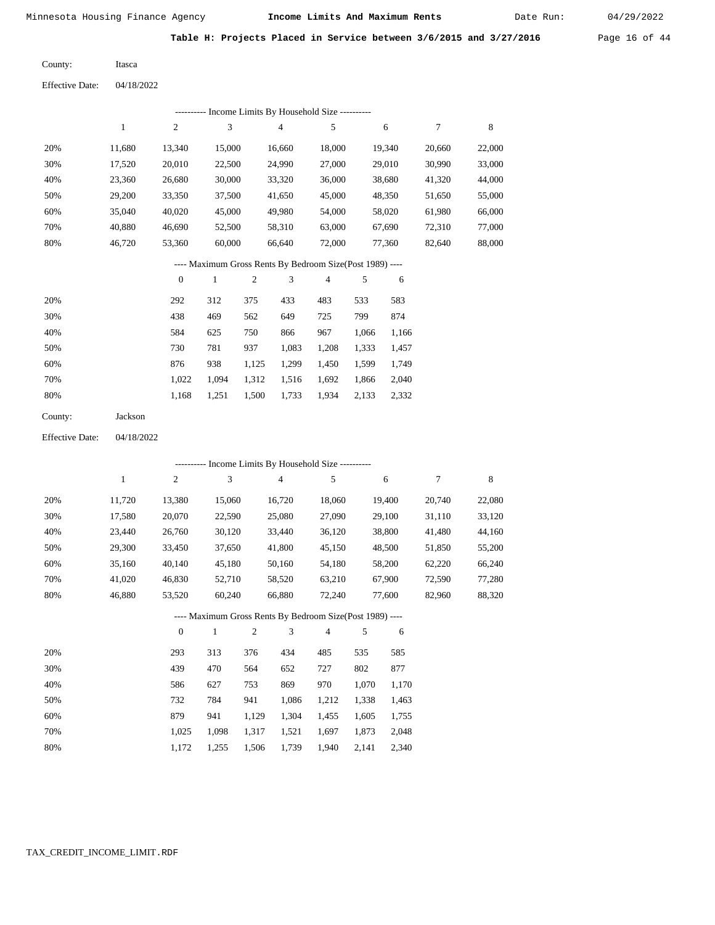Itasca

Minnesota Housing Finance Agency **Income Limits And Maximum Rents** 04/29/2022

Date Run:

Table H: Projects Placed in Service between 3/6/2015 and 3/27/2016 Page 16 of 44

County:

04/18/2022 Effective Date:

|     |        |              |        |     |                | ---------- Income Limits By Household Size ----------    |     |        |        |        |
|-----|--------|--------------|--------|-----|----------------|----------------------------------------------------------|-----|--------|--------|--------|
|     | 1      | 2            | 3      |     | $\overline{4}$ | 5                                                        |     | 6      | 7      | 8      |
| 20% | 11,680 | 13,340       | 15,000 |     | 16,660         | 18,000                                                   |     | 19,340 | 20,660 | 22,000 |
| 30% | 17,520 | 20,010       | 22,500 |     | 24,990         | 27,000                                                   |     | 29,010 | 30,990 | 33,000 |
| 40% | 23,360 | 26,680       | 30,000 |     | 33,320         | 36,000                                                   |     | 38,680 | 41,320 | 44,000 |
| 50% | 29,200 | 33,350       | 37,500 |     | 41,650         | 45,000                                                   |     | 48,350 | 51,650 | 55,000 |
| 60% | 35,040 | 40,020       | 45,000 |     | 49,980         | 54,000                                                   |     | 58,020 | 61,980 | 66,000 |
| 70% | 40,880 | 46,690       | 52,500 |     | 58,310         | 63,000                                                   |     | 67,690 | 72,310 | 77,000 |
| 80% | 46,720 | 53,360       | 60,000 |     | 66,640         | 72,000                                                   |     | 77,360 | 82,640 | 88,000 |
|     |        |              |        |     |                | ---- Maximum Gross Rents By Bedroom Size(Post 1989) ---- |     |        |        |        |
|     |        | $\mathbf{0}$ | 1      | 2   | 3              | $\overline{4}$                                           | 5   | 6      |        |        |
| 20% |        | 292          | 312    | 375 | 433            | 483                                                      | 533 | 583    |        |        |

| 20% | 292   | 312   | 375   | 433   | 483   | 533   | 583   |
|-----|-------|-------|-------|-------|-------|-------|-------|
| 30% | 438   | 469   | 562   | 649   | 725   | 799   | 874   |
| 40% | 584   | 625   | 750   | 866   | 967   | 1.066 | 1,166 |
| 50% | 730   | 781   | 937   | 1.083 | 1.208 | 1,333 | 1,457 |
| 60% | 876   | 938   | 1,125 | 1.299 | 1.450 | 1,599 | 1,749 |
| 70% | 1.022 | 1.094 | 1,312 | 1,516 | 1,692 | 1,866 | 2,040 |
| 80% | 1.168 | 1.251 | 1,500 | 1,733 | 1,934 | 2,133 | 2,332 |

| County: | Jackson |
|---------|---------|
|---------|---------|

04/18/2022 Effective Date:

|     |        |                |              |                |                | --------- Income Limits By Household Size ----------     |       |        |        |        |
|-----|--------|----------------|--------------|----------------|----------------|----------------------------------------------------------|-------|--------|--------|--------|
|     | 1      | $\overline{c}$ | 3            |                | $\overline{4}$ | 5                                                        |       | 6      | 7      | 8      |
| 20% | 11,720 | 13,380         | 15,060       |                | 16,720         | 18,060                                                   |       | 19,400 | 20,740 | 22,080 |
| 30% | 17,580 | 20,070         | 22,590       |                | 25,080         | 27,090                                                   |       | 29,100 | 31,110 | 33,120 |
| 40% | 23,440 | 26,760         | 30,120       |                | 33,440         | 36,120                                                   |       | 38,800 | 41,480 | 44,160 |
| 50% | 29,300 | 33,450         | 37,650       |                | 41,800         | 45,150                                                   |       | 48,500 | 51,850 | 55,200 |
| 60% | 35,160 | 40,140         | 45,180       |                | 50,160         | 54,180                                                   |       | 58,200 | 62,220 | 66,240 |
| 70% | 41,020 | 46,830         | 52,710       |                | 58,520         | 63,210                                                   |       | 67,900 | 72,590 | 77,280 |
| 80% | 46,880 | 53,520         | 60,240       |                | 66,880         | 72,240                                                   |       | 77,600 | 82,960 | 88,320 |
|     |        |                |              |                |                | ---- Maximum Gross Rents By Bedroom Size(Post 1989) ---- |       |        |        |        |
|     |        | $\mathbf{0}$   | $\mathbf{1}$ | $\mathfrak{2}$ | 3              | $\overline{4}$                                           | 5     | 6      |        |        |
| 20% |        | 293            | 313          | 376            | 434            | 485                                                      | 535   | 585    |        |        |
| 30% |        | 439            | 470          | 564            | 652            | 727                                                      | 802   | 877    |        |        |
| 40% |        | 586            | 627          | 753            | 869            | 970                                                      | 1,070 | 1,170  |        |        |
| 50% |        | 732            | 784          | 941            | 1,086          | 1,212                                                    | 1,338 | 1,463  |        |        |
| 60% |        | 879            | 941          | 1,129          | 1,304          | 1,455                                                    | 1,605 | 1,755  |        |        |

1,317 1,521 1,697 1,873

1,940 2,141

 2,048 2,340

1,739

 1,025 1,172

 1,098 1,255

1,506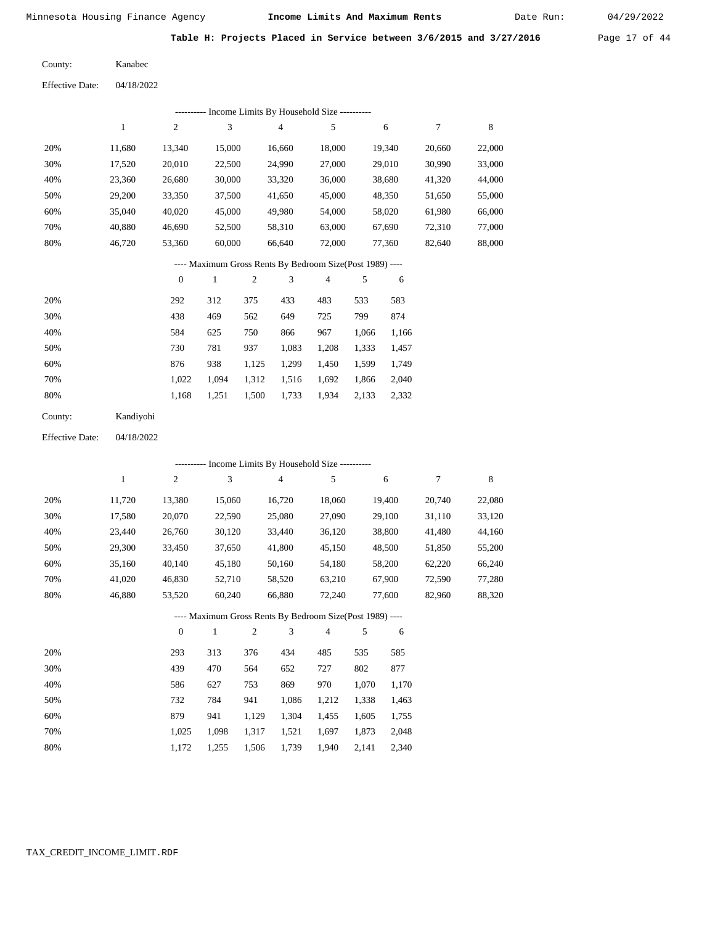Date Run:

Table H: Projects Placed in Service between 3/6/2015 and 3/27/2016 Page 17 of 44

Kanabec County:

04/18/2022 Effective Date:

|                                                          |              |                  |              |                |                         | ------- Income Limits By Household Size ---------   |       |            |        |             |
|----------------------------------------------------------|--------------|------------------|--------------|----------------|-------------------------|-----------------------------------------------------|-------|------------|--------|-------------|
|                                                          | $1\,$        | $\overline{2}$   | 3            |                | $\overline{4}$          | 5                                                   |       | $\sqrt{6}$ | $\tau$ | 8           |
| 20%                                                      | 11,680       | 13,340           | 15,000       |                | 16,660                  | 18,000                                              |       | 19,340     | 20,660 | 22,000      |
| 30%                                                      | 17,520       | 20,010           | 22,500       |                | 24,990                  | 27,000                                              |       | 29,010     | 30,990 | 33,000      |
| 40%                                                      | 23,360       | 26,680           | 30,000       |                | 33,320                  | 36,000                                              |       | 38,680     | 41,320 | 44,000      |
| 50%                                                      | 29,200       | 33,350           | 37,500       |                | 41,650                  | 45,000                                              |       | 48,350     | 51,650 | 55,000      |
| 60%                                                      | 35,040       | 40,020           | 45,000       |                | 49,980                  | 54,000                                              |       | 58,020     | 61,980 | 66,000      |
| 70%                                                      | 40,880       | 46,690           | 52,500       |                | 58,310                  | 63,000                                              |       | 67,690     | 72,310 | 77,000      |
| 80%                                                      | 46,720       | 53,360           | 60,000       |                | 66,640                  | 72,000                                              |       | 77,360     | 82,640 | 88,000      |
| ---- Maximum Gross Rents By Bedroom Size(Post 1989) ---- |              |                  |              |                |                         |                                                     |       |            |        |             |
|                                                          |              | $\boldsymbol{0}$ | $\mathbf{1}$ | $\overline{c}$ | 3                       | $\overline{\mathbf{4}}$                             | 5     | 6          |        |             |
| 20%                                                      |              | 292              | 312          | 375            | 433                     | 483                                                 | 533   | 583        |        |             |
| 30%                                                      |              | 438              | 469          | 562            | 649                     | 725                                                 | 799   | 874        |        |             |
| 40%                                                      |              | 584              | 625          | 750            | 866                     | 967                                                 | 1,066 | 1,166      |        |             |
| 50%                                                      |              | 730              | 781          | 937            | 1,083                   | 1,208                                               | 1,333 | 1,457      |        |             |
| 60%                                                      |              | 876              | 938          | 1,125          | 1,299                   | 1,450                                               | 1,599 | 1,749      |        |             |
| 70%                                                      |              | 1,022            | 1,094        | 1,312          | 1,516                   | 1,692                                               | 1,866 | 2,040      |        |             |
| 80%                                                      |              | 1,168            | 1,251        | 1,500          | 1,733                   | 1,934                                               | 2,133 | 2,332      |        |             |
| County:                                                  | Kandiyohi    |                  |              |                |                         |                                                     |       |            |        |             |
| <b>Effective Date:</b>                                   | 04/18/2022   |                  |              |                |                         |                                                     |       |            |        |             |
|                                                          |              |                  |              |                |                         | --------- Income Limits By Household Size --------- |       |            |        |             |
|                                                          | $\mathbf{1}$ | $\sqrt{2}$       | 3            |                | $\overline{\mathbf{4}}$ | 5                                                   |       | 6          | 7      | $\,$ 8 $\,$ |
| 20%                                                      | 11,720       | 13,380           | 15,060       |                | 16,720                  | 18,060                                              |       | 19,400     | 20,740 | 22,080      |
| 30%                                                      | 17,580       | 20,070           | 22,590       |                | 25,080                  | 27,090                                              |       | 29,100     | 31,110 | 33,120      |
| 40%                                                      | 23,440       | 26,760           | 30,120       |                | 33,440                  | 36,120                                              |       | 38,800     | 41,480 | 44,160      |
| 50%                                                      | 29,300       | 33,450           | 37,650       |                | 41,800                  | 45,150                                              |       | 48,500     | 51,850 | 55,200      |
| 60%                                                      | 35,160       | 40,140           | 45,180       |                | 50,160                  | 54,180                                              |       | 58,200     | 62,220 | 66,240      |
| 70%                                                      | 41,020       | 46,830           | 52,710       |                | 58,520                  | 63,210                                              |       | 67,900     | 72,590 | 77,280      |
| 80%                                                      | 46,880       | 53,520           | 60,240       |                | 66,880                  | 72,240                                              |       | 77,600     | 82,960 | 88,320      |
|                                                          |              |                  |              |                |                         | Maximum Gross Rents Ry Redroom Size(Post 1989).     |       |            |        |             |

| ---- Maximum Gross Rents By Bedroom Size(Post 1989) ---- |  |  |  |
|----------------------------------------------------------|--|--|--|
|                                                          |  |  |  |

|     |       |       | $\overline{c}$ | 3     | 4     | 5     | 6     |
|-----|-------|-------|----------------|-------|-------|-------|-------|
| 20% | 293   | 313   | 376            | 434   | 485   | 535   | 585   |
| 30% | 439   | 470   | 564            | 652   | 727   | 802   | 877   |
| 40% | 586   | 627   | 753            | 869   | 970   | 1,070 | 1,170 |
| 50% | 732   | 784   | 941            | 1,086 | 1,212 | 1,338 | 1,463 |
| 60% | 879   | 941   | 1,129          | 1,304 | 1,455 | 1,605 | 1,755 |
| 70% | 1.025 | 1,098 | 1,317          | 1,521 | 1,697 | 1,873 | 2,048 |
| 80% | 1,172 | 1.255 | 1,506          | 1,739 | 1,940 | 2,141 | 2,340 |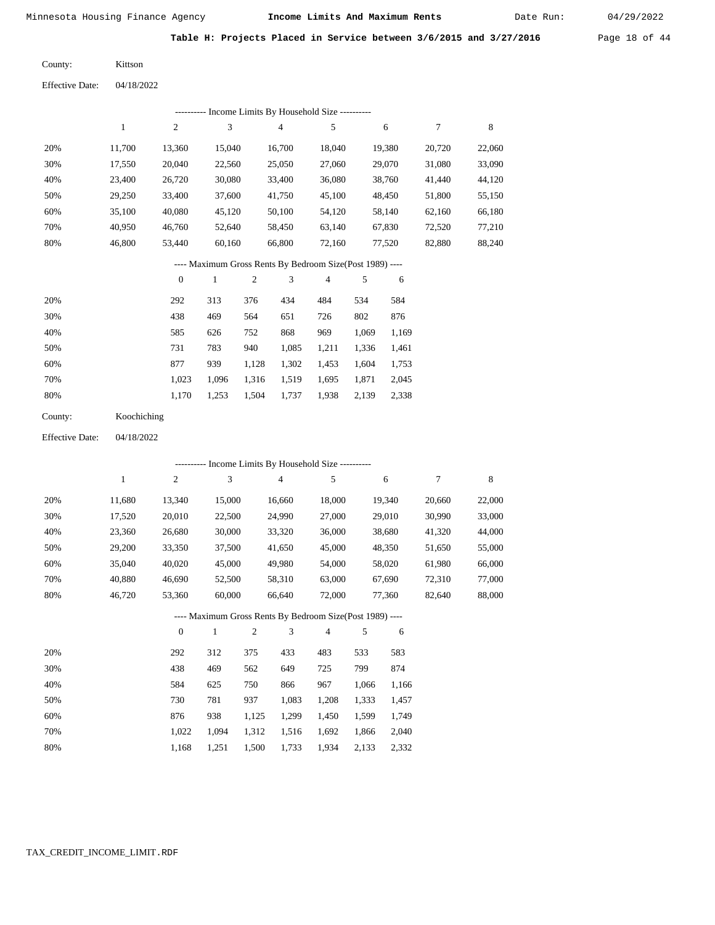Date Run:

**Table H: Projects Placed in Service between 3/6/2015 and 3/27/2016** Page 18 of 44

Kittson County:

04/18/2022 Effective Date:

|     | Income Limits By Household Size ---------- |                |        |        |        |        |        |        |  |  |  |  |
|-----|--------------------------------------------|----------------|--------|--------|--------|--------|--------|--------|--|--|--|--|
|     |                                            | $\overline{c}$ | 3      | 4      | 5      | 6      |        | 8      |  |  |  |  |
| 20% | 11.700                                     | 13.360         | 15.040 | 16.700 | 18.040 | 19.380 | 20,720 | 22,060 |  |  |  |  |
| 30% | 17,550                                     | 20,040         | 22,560 | 25,050 | 27,060 | 29,070 | 31,080 | 33,090 |  |  |  |  |
| 40% | 23,400                                     | 26,720         | 30,080 | 33,400 | 36,080 | 38,760 | 41,440 | 44,120 |  |  |  |  |
| 50% | 29,250                                     | 33,400         | 37,600 | 41,750 | 45,100 | 48,450 | 51,800 | 55,150 |  |  |  |  |
| 60% | 35,100                                     | 40,080         | 45,120 | 50,100 | 54,120 | 58,140 | 62,160 | 66,180 |  |  |  |  |
| 70% | 40,950                                     | 46,760         | 52,640 | 58,450 | 63,140 | 67,830 | 72,520 | 77,210 |  |  |  |  |
| 80% | 46,800                                     | 53,440         | 60,160 | 66,800 | 72,160 | 77,520 | 82,880 | 88,240 |  |  |  |  |

---- Maximum Gross Rents By Bedroom Size(Post 1989) ----

|     | $\theta$ |       | $\overline{c}$ | 3     | 4     | 5     | 6     |
|-----|----------|-------|----------------|-------|-------|-------|-------|
| 20% | 292      | 313   | 376            | 434   | 484   | 534   | 584   |
| 30% | 438      | 469   | 564            | 651   | 726   | 802   | 876   |
| 40% | 585      | 626   | 752            | 868   | 969   | 1,069 | 1,169 |
| 50% | 731      | 783   | 940            | 1,085 | 1,211 | 1,336 | 1,461 |
| 60% | 877      | 939   | 1,128          | 1,302 | 1,453 | 1,604 | 1,753 |
| 70% | 1.023    | 1.096 | 1,316          | 1,519 | 1.695 | 1,871 | 2,045 |
| 80% | 1,170    | 1,253 | 1,504          | 1,737 | 1,938 | 2,139 | 2,338 |

| County: | Koochiching |
|---------|-------------|
|---------|-------------|

04/18/2022 Effective Date:

|                                                          |        |                  |              |                | --------- Income Limits By Household Size ---------- |                |       |        |        |        |
|----------------------------------------------------------|--------|------------------|--------------|----------------|------------------------------------------------------|----------------|-------|--------|--------|--------|
|                                                          | 1      | $\boldsymbol{2}$ | 3            |                | $\overline{4}$                                       | 5              |       | 6      | 7      | 8      |
| 20%                                                      | 11,680 | 13,340           | 15,000       |                | 16,660                                               | 18,000         |       | 19,340 | 20,660 | 22,000 |
| 30%                                                      | 17,520 | 20,010           | 22,500       |                | 24,990                                               | 27,000         |       | 29,010 | 30,990 | 33,000 |
| 40%                                                      | 23,360 | 26,680           | 30,000       |                | 33,320                                               | 36,000         |       | 38,680 | 41,320 | 44,000 |
| 50%                                                      | 29,200 | 33,350           | 37,500       |                | 41,650                                               | 45,000         |       | 48,350 | 51,650 | 55,000 |
| 60%                                                      | 35,040 | 40,020           | 45,000       |                | 49,980                                               | 54,000         |       | 58,020 | 61,980 | 66,000 |
| 70%                                                      | 40,880 | 46,690           | 52,500       |                | 58,310                                               | 63,000         |       | 67,690 | 72,310 | 77,000 |
| 80%                                                      | 46,720 | 53,360           | 60,000       |                | 66,640                                               | 72,000         |       | 77,360 | 82,640 | 88,000 |
| ---- Maximum Gross Rents By Bedroom Size(Post 1989) ---- |        |                  |              |                |                                                      |                |       |        |        |        |
|                                                          |        | $\overline{0}$   | $\mathbf{1}$ | $\overline{c}$ | 3                                                    | $\overline{4}$ | 5     | 6      |        |        |
| 20%                                                      |        | 292              | 312          | 375            | 433                                                  | 483            | 533   | 583    |        |        |
| 30%                                                      |        | 438              | 469          | 562            | 649                                                  | 725            | 799   | 874    |        |        |
| 40%                                                      |        | 584              | 625          | 750            | 866                                                  | 967            | 1,066 | 1,166  |        |        |
| 50%                                                      |        | 730              | 781          | 937            | 1,083                                                | 1,208          | 1,333 | 1,457  |        |        |
| 60%                                                      |        | 876              | 938          | 1,125          | 1,299                                                | 1,450          | 1,599 | 1,749  |        |        |
| 70%                                                      |        | 1,022            | 1,094        | 1,312          | 1,516                                                | 1,692          | 1,866 | 2,040  |        |        |

1,168 1,251 1,500 1,733 1,934 2,133 2,332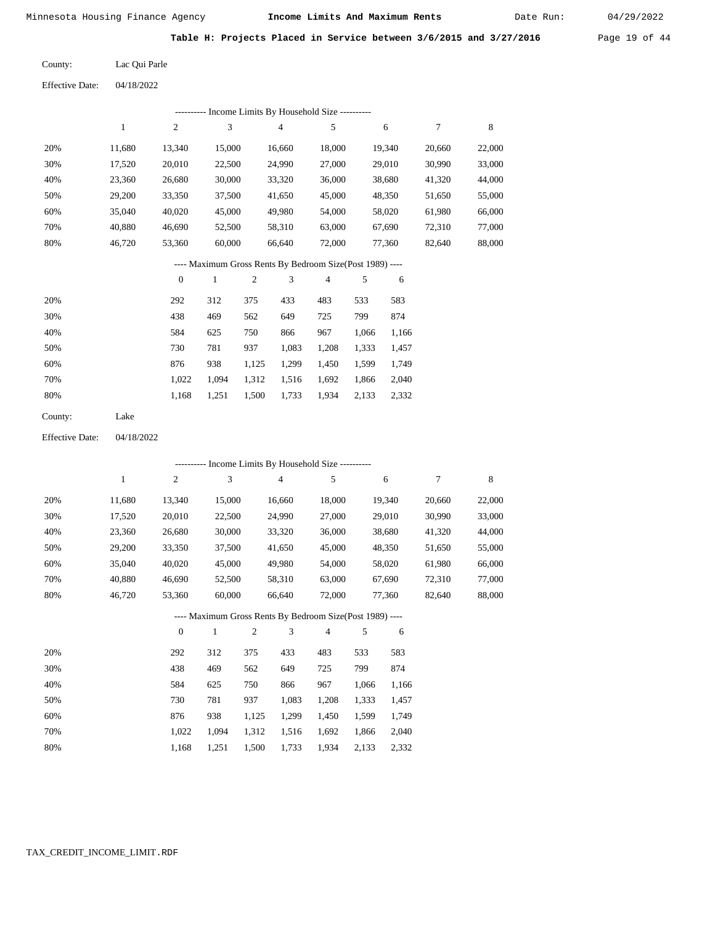Date Run:

Table H: Projects Placed in Service between 3/6/2015 and 3/27/2016 Page 19 of 44

Lac Qui Parle County:

04/18/2022 Effective Date:

|                        |              |                  |              |                | ---------- Income Limits By Household Size ----------    |                |            |        |                  |        |
|------------------------|--------------|------------------|--------------|----------------|----------------------------------------------------------|----------------|------------|--------|------------------|--------|
|                        | $\mathbf{1}$ | $\sqrt{2}$       | 3            |                | $\overline{4}$                                           | 5              |            | 6      | $\boldsymbol{7}$ | 8      |
| 20%                    | 11,680       | 13,340           | 15,000       |                | 16,660                                                   | 18,000         |            | 19,340 | 20,660           | 22,000 |
| 30%                    | 17,520       | 20,010           | 22,500       |                | 24,990                                                   | 27,000         |            | 29,010 | 30,990           | 33,000 |
| 40%                    | 23,360       | 26,680           | 30,000       |                | 33,320                                                   | 36,000         |            | 38,680 | 41,320           | 44,000 |
| 50%                    | 29,200       | 33,350           | 37,500       |                | 41,650                                                   | 45,000         |            | 48,350 | 51,650           | 55,000 |
| 60%                    | 35,040       | 40,020           | 45,000       |                | 49,980                                                   | 54,000         |            | 58,020 | 61,980           | 66,000 |
| 70%                    | 40,880       | 46,690           | 52,500       |                | 58,310                                                   | 63,000         |            | 67,690 | 72,310           | 77,000 |
| 80%                    | 46,720       | 53,360           | 60,000       |                | 66,640                                                   | 72,000         |            | 77,360 | 82,640           | 88,000 |
|                        |              |                  |              |                | ---- Maximum Gross Rents By Bedroom Size(Post 1989) ---- |                |            |        |                  |        |
|                        |              | $\boldsymbol{0}$ | $\mathbf{1}$ | $\overline{2}$ | $\mathfrak{Z}$                                           | $\overline{4}$ | 5          | 6      |                  |        |
| 20%                    |              | 292              | 312          | 375            | 433                                                      | 483            | 533        | 583    |                  |        |
| 30%                    |              | 438              | 469          | 562            | 649                                                      | 725            | 799        | 874    |                  |        |
| 40%                    |              | 584              | 625          | 750            | 866                                                      | 967            | 1,066      | 1,166  |                  |        |
| 50%                    |              | 730              | 781          | 937            | 1,083                                                    | 1,208          | 1,333      | 1,457  |                  |        |
| 60%                    |              | 876              | 938          | 1,125          | 1,299                                                    | 1,450          | 1,599      | 1,749  |                  |        |
| 70%                    |              | 1,022            | 1,094        | 1,312          | 1,516                                                    | 1,692          | 1,866      | 2,040  |                  |        |
| 80%                    |              | 1,168            | 1,251        | 1,500          | 1,733                                                    | 1,934          | 2,133      | 2,332  |                  |        |
| County:                | Lake         |                  |              |                |                                                          |                |            |        |                  |        |
| <b>Effective Date:</b> | 04/18/2022   |                  |              |                |                                                          |                |            |        |                  |        |
|                        |              |                  |              |                | ---------- Income Limits By Household Size ----------    |                |            |        |                  |        |
|                        | $\mathbf{1}$ | $\overline{2}$   | 3            |                | $\overline{4}$                                           | 5              |            | 6      | 7                | 8      |
| 20%                    | 11,680       | 13,340           | 15,000       |                | 16,660                                                   | 18,000         |            | 19,340 | 20,660           | 22,000 |
| 30%                    | 17,520       | 20,010           | 22,500       |                | 24,990                                                   | 27,000         |            | 29,010 | 30,990           | 33,000 |
| 40%                    | 23,360       | 26,680           | 30,000       |                | 33,320                                                   | 36,000         |            | 38,680 | 41,320           | 44,000 |
| 50%                    | 29,200       | 33,350           | 37,500       |                | 41,650                                                   | 45,000         |            | 48,350 | 51,650           | 55,000 |
| 60%                    | 35,040       | 40,020           | 45,000       |                | 49,980                                                   | 54,000         |            | 58,020 | 61,980           | 66,000 |
| 70%                    | 40,880       | 46,690           | 52,500       |                | 58,310                                                   | 63,000         |            | 67,690 | 72,310           | 77,000 |
| $80\%$                 | 46,720       | 53,360           | 60,000       |                | 66,640                                                   | 72,000         |            | 77,360 | 82,640           | 88,000 |
|                        |              |                  |              |                | ---- Maximum Gross Rents By Bedroom Size(Post 1989) ---- |                |            |        |                  |        |
|                        |              | $\boldsymbol{0}$ | $\mathbf{1}$ | $\sqrt{2}$     | 3                                                        | 4              | $\sqrt{5}$ | 6      |                  |        |
| 20%                    |              | 292              | 312          | 375            | 433                                                      | 483            | 533        | 583    |                  |        |
| 30%                    |              | 438              | 469          | 562            | 649                                                      | 725            | 799        | 874    |                  |        |
| 40%                    |              | 584              | 625          | 750            | 866                                                      | 967            | 1,066      | 1,166  |                  |        |
| 50%                    |              | 730              | 781          | 937            | 1,083                                                    | 1,208          | 1,333      | 1,457  |                  |        |
| 60%                    |              | 876              | 938          | 1,125          | 1,299                                                    | 1,450          | 1,599      | 1,749  |                  |        |
| 70%                    |              | 1,022            | 1,094        | 1,312          | 1,516                                                    | 1,692          | 1,866      | 2,040  |                  |        |
| 80%                    |              | 1,168            | 1,251        | 1,500          | 1,733                                                    | 1,934          | 2,133      | 2,332  |                  |        |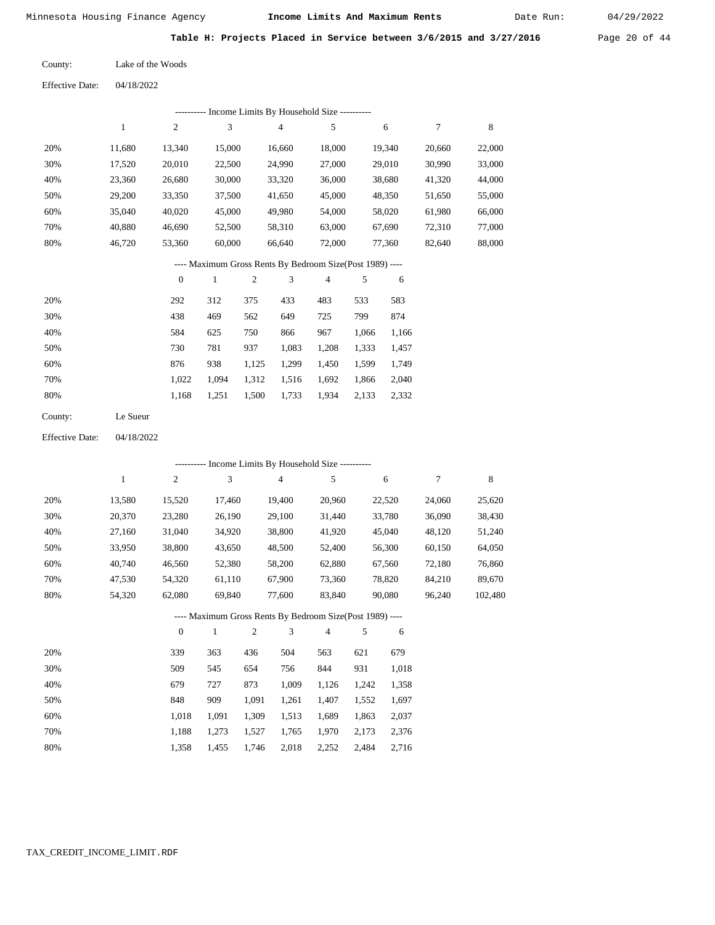Date Run:

Table H: Projects Placed in Service between 3/6/2015 and 3/27/2016 Page 20 of 44

| Lake of the Woods |
|-------------------|
|                   |

Effective Date: 04/18/2022

|     | ---------- Income Limits By Household Size ---------- |                |              |                |                                                          |        |       |        |        |        |
|-----|-------------------------------------------------------|----------------|--------------|----------------|----------------------------------------------------------|--------|-------|--------|--------|--------|
|     | 1                                                     | $\overline{c}$ | 3            |                | 4                                                        | 5      |       | 6      | 7      | 8      |
| 20% | 11,680                                                | 13,340         | 15,000       |                | 16,660                                                   | 18,000 |       | 19,340 | 20,660 | 22,000 |
| 30% | 17,520                                                | 20,010         | 22,500       |                | 24,990                                                   | 27,000 |       | 29,010 | 30,990 | 33,000 |
| 40% | 23,360                                                | 26,680         | 30,000       |                | 33,320                                                   | 36,000 |       | 38,680 | 41,320 | 44,000 |
| 50% | 29,200                                                | 33,350         | 37,500       |                | 41,650                                                   | 45,000 |       | 48,350 | 51,650 | 55,000 |
| 60% | 35,040                                                | 40,020         | 45,000       |                | 49,980                                                   | 54,000 |       | 58,020 | 61,980 | 66,000 |
| 70% | 40,880                                                | 46,690         | 52,500       |                | 58,310                                                   | 63,000 |       | 67,690 | 72,310 | 77,000 |
| 80% | 46,720                                                | 53,360         | 60,000       |                | 66,640                                                   | 72,000 |       | 77,360 | 82,640 | 88,000 |
|     |                                                       |                |              |                | ---- Maximum Gross Rents By Bedroom Size(Post 1989) ---- |        |       |        |        |        |
|     |                                                       | $\mathbf{0}$   | $\mathbf{1}$ | $\mathfrak{2}$ | 3                                                        | 4      | 5     | 6      |        |        |
| 20% |                                                       | 292            | 312          | 375            | 433                                                      | 483    | 533   | 583    |        |        |
| 30% |                                                       | 438            | 469          | 562            | 649                                                      | 725    | 799   | 874    |        |        |
| 40% |                                                       | 584            | 625          | 750            | 866                                                      | 967    | 1,066 | 1,166  |        |        |
| 50% |                                                       | 730            | 781          | 937            | 1,083                                                    | 1,208  | 1,333 | 1,457  |        |        |
| 60% |                                                       | 876            | 938          | 1,125          | 1,299                                                    | 1,450  | 1,599 | 1,749  |        |        |

| 70% |  |  | 1,022 1,094 1,312 1,516 1,692 1,866 2,040 |  |
|-----|--|--|-------------------------------------------|--|
| 80% |  |  | 1,168 1,251 1,500 1,733 1,934 2,133 2,332 |  |

| County: | Le Sueur |
|---------|----------|
|---------|----------|

Effective Date: 04/18/2022

|     |        |          |        | ---------- Income Limits By Household Size ----------    |                |        |        |         |
|-----|--------|----------|--------|----------------------------------------------------------|----------------|--------|--------|---------|
|     | 1      | 2        | 3      | 4                                                        | 5              | 6      | 7      | 8       |
| 20% | 13,580 | 15,520   | 17,460 | 19,400                                                   | 20,960         | 22,520 | 24,060 | 25,620  |
| 30% | 20,370 | 23,280   | 26,190 | 29,100                                                   | 31,440         | 33,780 | 36,090 | 38,430  |
| 40% | 27,160 | 31,040   | 34,920 | 38,800                                                   | 41,920         | 45,040 | 48,120 | 51,240  |
| 50% | 33,950 | 38,800   | 43,650 | 48,500                                                   | 52,400         | 56,300 | 60,150 | 64,050  |
| 60% | 40,740 | 46,560   | 52,380 | 58,200                                                   | 62,880         | 67,560 | 72,180 | 76,860  |
| 70% | 47.530 | 54,320   | 61,110 | 67,900                                                   | 73,360         | 78,820 | 84,210 | 89,670  |
| 80% | 54,320 | 62,080   | 69,840 | 77,600                                                   | 83,840         | 90,080 | 96,240 | 102,480 |
|     |        |          |        | ---- Maximum Gross Rents By Bedroom Size(Post 1989) ---- |                |        |        |         |
|     |        | $\theta$ | 1      | 3<br>2                                                   | $\overline{4}$ | 5<br>6 |        |         |
|     |        |          |        |                                                          |                |        |        |         |

| 20% | 339   | 363   | 436   | 504   | 563   | 621   | 679   |
|-----|-------|-------|-------|-------|-------|-------|-------|
| 30% | 509   | 545   | 654   | 756   | 844   | 931   | 1,018 |
| 40% | 679   | 727   | 873   | 1.009 | 1.126 | 1.242 | 1,358 |
| 50% | 848   | 909   | 1.091 | 1,261 | 1,407 | 1.552 | 1,697 |
| 60% | 1.018 | 1.091 | 1,309 | 1,513 | 1.689 | 1,863 | 2,037 |
| 70% | 1.188 | 1.273 | 1,527 | 1,765 | 1,970 | 2,173 | 2,376 |
| 80% | 1.358 | 1.455 | 1.746 | 2,018 | 2,252 | 2.484 | 2.716 |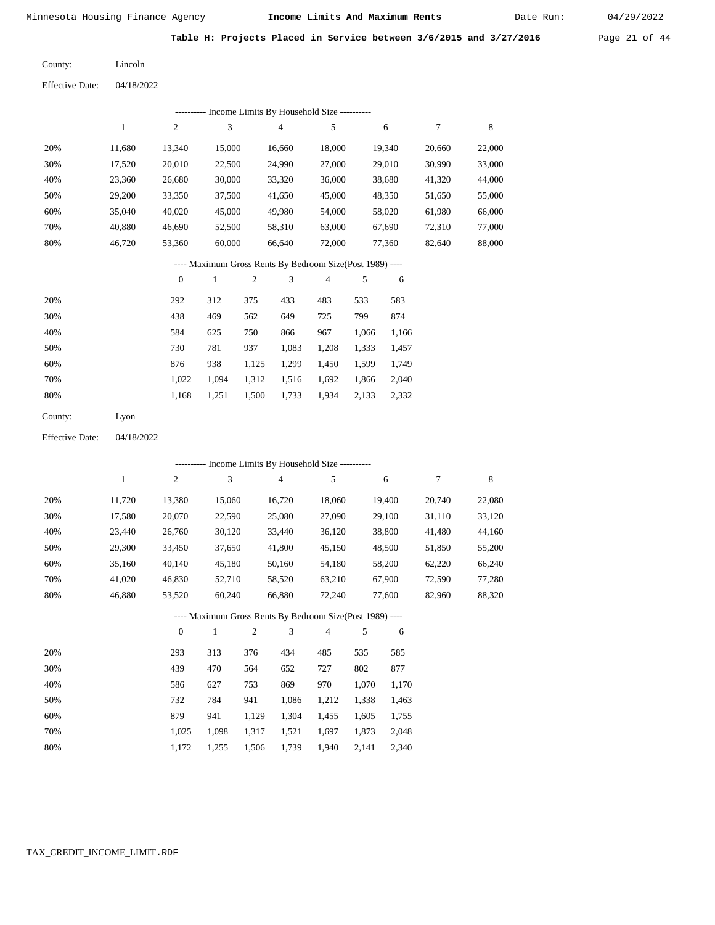Date Run:

Table H: Projects Placed in Service between 3/6/2015 and 3/27/2016 Page 21 of 44

04/18/2022 Effective Date: Lincoln County:

|                        |              |                  |                             |            | ---------- Income Limits By Household Size ----------    |            |       |        |                  |        |
|------------------------|--------------|------------------|-----------------------------|------------|----------------------------------------------------------|------------|-------|--------|------------------|--------|
|                        | $\mathbf{1}$ | $\mathfrak{2}$   | $\ensuremath{\mathfrak{Z}}$ |            | 4                                                        | 5          |       | 6      | $\boldsymbol{7}$ | 8      |
| 20%                    | 11,680       | 13,340           | 15,000                      |            | 16,660                                                   | 18,000     |       | 19,340 | 20,660           | 22,000 |
| 30%                    | 17,520       | 20,010           | 22,500                      |            | 24,990                                                   | 27,000     |       | 29,010 | 30,990           | 33,000 |
| 40%                    | 23,360       | 26,680           | 30,000                      |            | 33,320                                                   | 36,000     |       | 38,680 | 41,320           | 44,000 |
| 50%                    | 29,200       | 33,350           | 37,500                      |            | 41,650                                                   | 45,000     |       | 48,350 | 51,650           | 55,000 |
| 60%                    | 35,040       | 40,020           | 45,000                      |            | 49,980                                                   | 54,000     |       | 58,020 | 61,980           | 66,000 |
| 70%                    | 40,880       | 46,690           | 52,500                      |            | 58,310                                                   | 63,000     |       | 67,690 | 72,310           | 77,000 |
| $80\%$                 | 46,720       | 53,360           | 60,000                      |            | 66,640                                                   | 72,000     |       | 77,360 | 82,640           | 88,000 |
|                        |              |                  |                             |            | ---- Maximum Gross Rents By Bedroom Size(Post 1989) ---- |            |       |        |                  |        |
|                        |              | $\boldsymbol{0}$ | $\mathbf{1}$                | $\sqrt{2}$ | 3                                                        | 4          | 5     | 6      |                  |        |
| 20%                    |              | 292              | 312                         | 375        | 433                                                      | 483        | 533   | 583    |                  |        |
| 30%                    |              | 438              | 469                         | 562        | 649                                                      | 725        | 799   | 874    |                  |        |
| 40%                    |              | 584              | 625                         | 750        | 866                                                      | 967        | 1,066 | 1,166  |                  |        |
| 50%                    |              | 730              | 781                         | 937        | 1,083                                                    | 1,208      | 1,333 | 1,457  |                  |        |
| 60%                    |              | 876              | 938                         | 1,125      | 1,299                                                    | 1,450      | 1,599 | 1,749  |                  |        |
| 70%                    |              | 1,022            | 1,094                       | 1,312      | 1,516                                                    | 1,692      | 1,866 | 2,040  |                  |        |
| 80%                    |              | 1,168            | 1,251                       | 1,500      | 1,733                                                    | 1,934      | 2,133 | 2,332  |                  |        |
| County:                | Lyon         |                  |                             |            |                                                          |            |       |        |                  |        |
| <b>Effective Date:</b> | 04/18/2022   |                  |                             |            |                                                          |            |       |        |                  |        |
|                        |              |                  |                             |            | --------- Income Limits By Household Size ----------     |            |       |        |                  |        |
|                        | $\mathbf{1}$ | $\mathfrak{2}$   | 3                           |            | 4                                                        | $\sqrt{5}$ |       | 6      | $\boldsymbol{7}$ | 8      |
| 20%                    | 11,720       | 13,380           | 15,060                      |            | 16,720                                                   | 18,060     |       | 19,400 | 20,740           | 22,080 |
| 30%                    | 17,580       | 20,070           | 22,590                      |            | 25,080                                                   | 27,090     |       | 29,100 | 31,110           | 33,120 |
| 40%                    | 23,440       | 26,760           | 30,120                      |            | 33,440                                                   | 36,120     |       | 38,800 | 41,480           | 44,160 |
| 50%                    | 29,300       | 33,450           | 37,650                      |            | 41,800                                                   | 45,150     |       | 48,500 | 51,850           | 55,200 |
| 60%                    | 35,160       | 40,140           | 45,180                      |            | 50,160                                                   | 54,180     |       | 58,200 | 62,220           | 66,240 |
| 70%                    | 41,020       | 46,830           | 52,710                      |            | 58,520                                                   | 63,210     |       | 67,900 | 72,590           | 77,280 |
| 80%                    | 46,880       | 53,520           | 60,240                      |            | 66,880                                                   | 72,240     |       | 77,600 | 82,960           | 88,320 |
|                        |              |                  |                             |            | ---- Maximum Gross Rents By Bedroom Size(Post 1989) ---- |            |       |        |                  |        |
|                        |              | $\boldsymbol{0}$ | $\mathbf{1}$                | $\sqrt{2}$ | 3                                                        | 4          | 5     | 6      |                  |        |
| 20%                    |              | 293              | 313                         | 376        | 434                                                      | 485        | 535   | 585    |                  |        |
| 30%                    |              | 439              | 470                         | 564        | 652                                                      | 727        | 802   | 877    |                  |        |
| 40%                    |              | 586              | 627                         | 753        | 869                                                      | 970        | 1,070 | 1,170  |                  |        |
| 50%                    |              | 732              | 784                         | 941        | 1,086                                                    | 1,212      | 1,338 | 1,463  |                  |        |
| 60%                    |              | 879              | 941                         | 1,129      | 1,304                                                    | 1,455      | 1,605 | 1,755  |                  |        |
| 70%                    |              | 1,025            | 1,098                       | 1,317      | 1,521                                                    | 1,697      | 1,873 | 2,048  |                  |        |
| $80\%$                 |              | 1,172            | 1,255                       | 1,506      | 1,739                                                    | 1,940      | 2,141 | 2,340  |                  |        |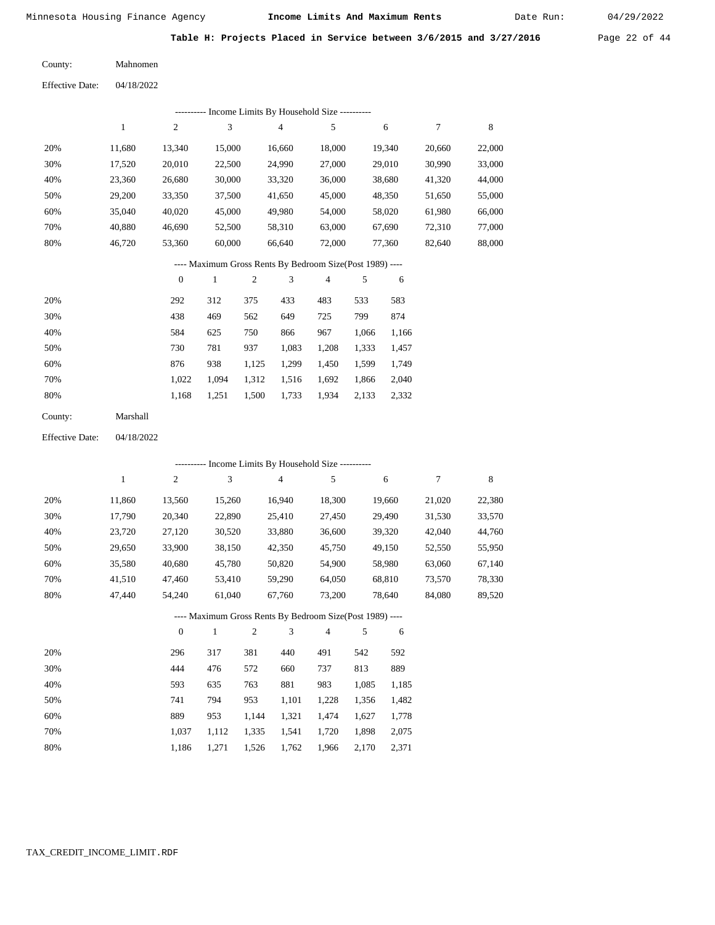Date Run:

Table H: Projects Placed in Service between 3/6/2015 and 3/27/2016 Page 22 of 44

Mahnomen County:

04/18/2022 Effective Date:

|     | ---------- Income Limits By Household Size ---------- |        |        |                                                          |        |        |        |        |  |  |  |  |
|-----|-------------------------------------------------------|--------|--------|----------------------------------------------------------|--------|--------|--------|--------|--|--|--|--|
|     | 1                                                     | 2      | 3      | $\overline{4}$                                           | 5      | 6      | 7      | 8      |  |  |  |  |
| 20% | 11.680                                                | 13.340 | 15,000 | 16.660                                                   | 18.000 | 19.340 | 20,660 | 22,000 |  |  |  |  |
| 30% | 17,520                                                | 20.010 | 22,500 | 24,990                                                   | 27,000 | 29,010 | 30,990 | 33,000 |  |  |  |  |
| 40% | 23,360                                                | 26,680 | 30,000 | 33,320                                                   | 36,000 | 38,680 | 41,320 | 44,000 |  |  |  |  |
| 50% | 29,200                                                | 33,350 | 37,500 | 41,650                                                   | 45,000 | 48,350 | 51,650 | 55,000 |  |  |  |  |
| 60% | 35,040                                                | 40,020 | 45,000 | 49,980                                                   | 54,000 | 58,020 | 61,980 | 66,000 |  |  |  |  |
| 70% | 40.880                                                | 46.690 | 52,500 | 58,310                                                   | 63,000 | 67,690 | 72,310 | 77,000 |  |  |  |  |
| 80% | 46.720                                                | 53,360 | 60,000 | 66.640                                                   | 72,000 | 77.360 | 82,640 | 88,000 |  |  |  |  |
|     |                                                       |        |        | ---- Maximum Gross Rents By Bedroom Size(Post 1989) ---- |        |        |        |        |  |  |  |  |

|     | $\theta$ |       | $\overline{c}$ | 3     | 4     | 5     | 6     |
|-----|----------|-------|----------------|-------|-------|-------|-------|
| 20% | 292      | 312   | 375            | 433   | 483   | 533   | 583   |
| 30% | 438      | 469   | 562            | 649   | 725   | 799   | 874   |
| 40% | 584      | 625   | 750            | 866   | 967   | 1,066 | 1,166 |
| 50% | 730      | 781   | 937            | 1,083 | 1,208 | 1,333 | 1,457 |
| 60% | 876      | 938   | 1,125          | 1,299 | 1,450 | 1,599 | 1,749 |
| 70% | 1.022    | 1.094 | 1,312          | 1,516 | 1,692 | 1,866 | 2,040 |
| 80% | 1,168    | 1,251 | 1,500          | 1,733 | 1,934 | 2,133 | 2,332 |
|     |          |       |                |       |       |       |       |

| Marshall<br>County: |  |
|---------------------|--|
|---------------------|--|

04/18/2022 Effective Date:

|     | --------- Income Limits By Household Size ---------- |                  |              |                |                                                          |                |       |        |        |        |  |
|-----|------------------------------------------------------|------------------|--------------|----------------|----------------------------------------------------------|----------------|-------|--------|--------|--------|--|
|     | $\mathbf{1}$                                         | $\overline{c}$   | 3            |                | $\overline{4}$                                           | 5              |       | 6      | 7      | 8      |  |
| 20% | 11,860                                               | 13,560           | 15,260       |                | 16,940                                                   | 18,300         |       | 19,660 | 21,020 | 22,380 |  |
| 30% | 17,790                                               | 20,340           | 22,890       |                | 25,410                                                   | 27,450         |       | 29,490 | 31,530 | 33,570 |  |
| 40% | 23,720                                               | 27,120           | 30,520       |                | 33,880                                                   | 36,600         |       | 39,320 | 42,040 | 44,760 |  |
| 50% | 29,650                                               | 33,900           | 38,150       |                | 42,350                                                   | 45,750         |       | 49,150 | 52,550 | 55,950 |  |
| 60% | 35,580                                               | 40,680           | 45,780       |                | 50,820                                                   | 54,900         |       | 58,980 | 63,060 | 67,140 |  |
| 70% | 41,510                                               | 47,460           | 53,410       |                | 59,290                                                   | 64,050         |       | 68,810 | 73,570 | 78,330 |  |
| 80% | 47,440                                               | 54,240           | 61,040       |                | 67,760                                                   | 73,200         |       | 78,640 | 84,080 | 89,520 |  |
|     |                                                      |                  |              |                | ---- Maximum Gross Rents By Bedroom Size(Post 1989) ---- |                |       |        |        |        |  |
|     |                                                      | $\boldsymbol{0}$ | $\mathbf{1}$ | $\mathfrak{2}$ | 3                                                        | $\overline{4}$ | 5     | 6      |        |        |  |
| 20% |                                                      | 296              | 317          | 381            | 440                                                      | 491            | 542   | 592    |        |        |  |
| 30% |                                                      | 444              | 476          | 572            | 660                                                      | 737            | 813   | 889    |        |        |  |
| 40% |                                                      | 593              | 635          | 763            | 881                                                      | 983            | 1,085 | 1,185  |        |        |  |
| 50% |                                                      | 741              | 794          | 953            | 1,101                                                    | 1,228          | 1,356 | 1,482  |        |        |  |
| 60% |                                                      | 889              | 953          | 1,144          | 1,321                                                    | 1,474          | 1,627 | 1,778  |        |        |  |

 1,037 1,112 1,335 1,541 1,720 1,898 2,075 1,186 1,271 1,526 1,762 1,966 2,170 2,371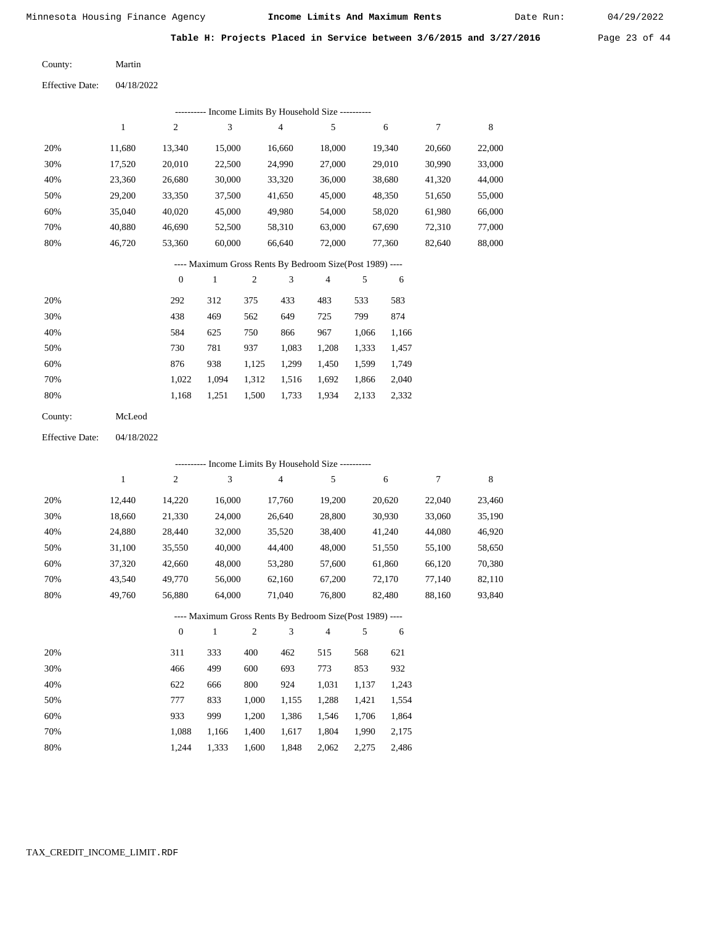Date Run:

Table H: Projects Placed in Service between 3/6/2015 and 3/27/2016 Page 23 of 44

Martin County:

04/18/2022 Effective Date:

|                        |              |                  |              |            | ------- Income Limits By Household Size ----------       |            |       |        |                  |             |
|------------------------|--------------|------------------|--------------|------------|----------------------------------------------------------|------------|-------|--------|------------------|-------------|
|                        | $\mathbf{1}$ | $\mathfrak{2}$   | 3            |            | $\overline{4}$                                           | $\sqrt{5}$ |       | 6      | $\boldsymbol{7}$ | $\,$ 8 $\,$ |
| 20%                    | 11,680       | 13,340           | 15,000       |            | 16,660                                                   | 18,000     |       | 19,340 | 20,660           | 22,000      |
| 30%                    | 17,520       | 20,010           | 22,500       |            | 24,990                                                   | 27,000     |       | 29,010 | 30,990           | 33,000      |
| 40%                    | 23,360       | 26,680           | 30,000       |            | 33,320                                                   | 36,000     |       | 38,680 | 41,320           | 44,000      |
| 50%                    | 29,200       | 33,350           | 37,500       |            | 41,650                                                   | 45,000     |       | 48,350 | 51,650           | 55,000      |
| 60%                    | 35,040       | 40,020           | 45,000       |            | 49,980                                                   | 54,000     |       | 58,020 | 61,980           | 66,000      |
| 70%                    | 40,880       | 46,690           | 52,500       |            | 58,310                                                   | 63,000     |       | 67,690 | 72,310           | 77,000      |
| 80%                    | 46,720       | 53,360           | 60,000       |            | 66,640                                                   | 72,000     |       | 77,360 | 82,640           | 88,000      |
|                        |              |                  |              |            | ---- Maximum Gross Rents By Bedroom Size(Post 1989) ---- |            |       |        |                  |             |
|                        |              | $\boldsymbol{0}$ | $\mathbf{1}$ | $\sqrt{2}$ | $\mathfrak 3$                                            | 4          | 5     | 6      |                  |             |
| 20%                    |              | 292              | 312          | 375        | 433                                                      | 483        | 533   | 583    |                  |             |
| 30%                    |              | 438              | 469          | 562        | 649                                                      | 725        | 799   | 874    |                  |             |
| 40%                    |              | 584              | 625          | 750        | 866                                                      | 967        | 1,066 | 1,166  |                  |             |
| 50%                    |              | 730              | 781          | 937        | 1,083                                                    | 1,208      | 1,333 | 1,457  |                  |             |
| 60%                    |              | 876              | 938          | 1,125      | 1,299                                                    | 1,450      | 1,599 | 1,749  |                  |             |
| 70%                    |              | 1,022            | 1,094        | 1,312      | 1,516                                                    | 1,692      | 1,866 | 2,040  |                  |             |
| 80%                    |              | 1,168            | 1,251        | 1,500      | 1,733                                                    | 1,934      | 2,133 | 2,332  |                  |             |
| County:                | McLeod       |                  |              |            |                                                          |            |       |        |                  |             |
| <b>Effective Date:</b> | 04/18/2022   |                  |              |            |                                                          |            |       |        |                  |             |
|                        |              |                  |              |            | --------- Income Limits By Household Size ----------     |            |       |        |                  |             |
|                        | $\mathbf{1}$ | 2                | 3            |            | $\overline{4}$                                           | 5          |       | 6      | 7                | $\,$ 8 $\,$ |
| 20%                    | 12,440       | 14,220           | 16,000       |            | 17,760                                                   | 19,200     |       | 20,620 | 22,040           | 23,460      |
| 30%                    | 18,660       | 21,330           | 24,000       |            | 26,640                                                   | 28,800     |       | 30,930 | 33,060           | 35,190      |
| 40%                    | 24,880       | 28,440           | 32,000       |            | 35,520                                                   | 38,400     |       | 41,240 | 44,080           | 46,920      |
| 50%                    | 31,100       | 35,550           | 40,000       |            | 44,400                                                   | 48,000     |       | 51,550 | 55,100           | 58,650      |
| 60%                    | 37,320       | 42,660           | 48,000       |            | 53,280                                                   | 57,600     |       | 61,860 | 66,120           | 70,380      |
| 70%                    | 43,540       | 49,770           | 56,000       |            | 62,160                                                   | 67,200     |       | 72,170 | 77,140           | 82,110      |
| 80%                    | 49,760       | 56,880           | 64,000       |            | 71,040                                                   | 76,800     |       | 82,480 | 88,160           | 93,840      |
|                        |              |                  |              |            | --- Maximum Gross Rents By Bedroom Size(Post 1989) ---   |            |       |        |                  |             |
|                        |              | $\boldsymbol{0}$ | $\mathbf{1}$ | 2          | 3                                                        | 4          | 5     | 6      |                  |             |
| 20%                    |              | 311              | 333          | 400        | 462                                                      | 515        | 568   | 621    |                  |             |
| 30%                    |              | 466              | 499          | 600        | 693                                                      | 773        | 853   | 932    |                  |             |
| 40%                    |              | 622              | 666          | 800        | 924                                                      | 1,031      | 1,137 | 1,243  |                  |             |
| 50%                    |              | 777              | 833          | 1,000      | 1,155                                                    | 1,288      | 1,421 | 1,554  |                  |             |
| 60%                    |              | 933              | 999          | 1,200      | 1,386                                                    | 1,546      | 1,706 | 1,864  |                  |             |
| 70%                    |              | 1,088            | 1,166        | 1,400      | 1,617                                                    | 1,804      | 1,990 | 2,175  |                  |             |
| 80%                    |              | 1,244            | 1,333        | 1,600      | 1,848                                                    | 2,062      | 2,275 | 2,486  |                  |             |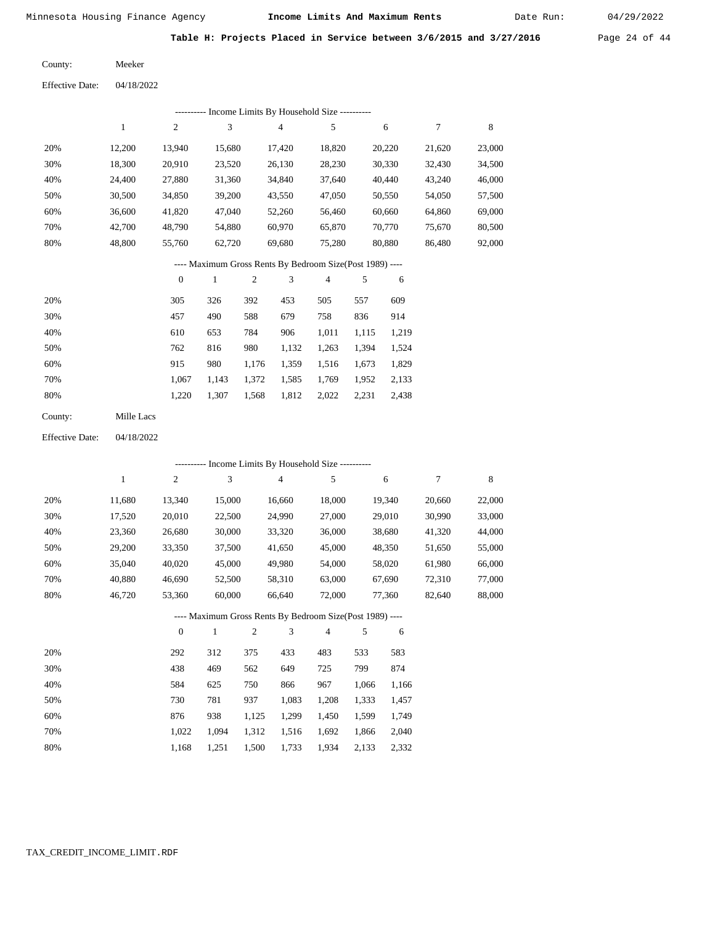Date Run:

Table H: Projects Placed in Service between 3/6/2015 and 3/27/2016 Page 24 of 44

Meeker County:

04/18/2022 Effective Date:

|     | ---------- Income Limits By Household Size ---------- |                |        |        |        |        |        |        |  |  |  |  |  |
|-----|-------------------------------------------------------|----------------|--------|--------|--------|--------|--------|--------|--|--|--|--|--|
|     |                                                       | $\overline{c}$ | 3      | 4      | 5      | 6      | 7      | 8      |  |  |  |  |  |
| 20% | 12.200                                                | 13.940         | 15.680 | 17.420 | 18.820 | 20,220 | 21,620 | 23,000 |  |  |  |  |  |
| 30% | 18,300                                                | 20,910         | 23,520 | 26,130 | 28,230 | 30,330 | 32,430 | 34,500 |  |  |  |  |  |
| 40% | 24.400                                                | 27,880         | 31,360 | 34,840 | 37,640 | 40,440 | 43,240 | 46,000 |  |  |  |  |  |
| 50% | 30,500                                                | 34,850         | 39,200 | 43,550 | 47,050 | 50,550 | 54,050 | 57,500 |  |  |  |  |  |
| 60% | 36,600                                                | 41,820         | 47,040 | 52,260 | 56,460 | 60,660 | 64,860 | 69,000 |  |  |  |  |  |
| 70% | 42,700                                                | 48,790         | 54,880 | 60,970 | 65,870 | 70,770 | 75,670 | 80,500 |  |  |  |  |  |
| 80% | 48.800                                                | 55,760         | 62,720 | 69,680 | 75,280 | 80,880 | 86,480 | 92,000 |  |  |  |  |  |

#### ---- Maximum Gross Rents By Bedroom Size(Post 1989) ----

|     | $\theta$ |       | $\overline{2}$ | 3     | 4     | 5     | 6     |
|-----|----------|-------|----------------|-------|-------|-------|-------|
| 20% | 305      | 326   | 392            | 453   | 505   | 557   | 609   |
| 30% | 457      | 490   | 588            | 679   | 758   | 836   | 914   |
| 40% | 610      | 653   | 784            | 906   | 1,011 | 1,115 | 1,219 |
| 50% | 762      | 816   | 980            | 1,132 | 1,263 | 1,394 | 1,524 |
| 60% | 915      | 980   | 1,176          | 1,359 | 1,516 | 1,673 | 1,829 |
| 70% | 1.067    | 1,143 | 1,372          | 1,585 | 1,769 | 1,952 | 2,133 |
| 80% | 1,220    | 1,307 | 1,568          | 1,812 | 2,022 | 2,231 | 2,438 |
|     |          |       |                |       |       |       |       |

| County: | Mille Lacs |
|---------|------------|
|         |            |

04/18/2022 Effective Date:

|     |        |              |              |                |                | --------- Income Limits By Household Size ----------     |       |        |        |        |
|-----|--------|--------------|--------------|----------------|----------------|----------------------------------------------------------|-------|--------|--------|--------|
|     | 1      | $\mathbf{2}$ | 3            |                | $\overline{4}$ | 5                                                        |       | 6      | 7      | 8      |
| 20% | 11,680 | 13,340       | 15,000       |                | 16,660         | 18,000                                                   |       | 19,340 | 20,660 | 22,000 |
| 30% | 17,520 | 20,010       | 22,500       |                | 24,990         | 27,000                                                   |       | 29,010 | 30,990 | 33,000 |
| 40% | 23,360 | 26,680       | 30,000       |                | 33,320         | 36,000                                                   |       | 38,680 | 41,320 | 44,000 |
| 50% | 29,200 | 33,350       | 37,500       |                | 41,650         | 45,000                                                   |       | 48,350 | 51,650 | 55,000 |
| 60% | 35,040 | 40,020       | 45,000       |                | 49,980         | 54,000                                                   |       | 58,020 | 61,980 | 66,000 |
| 70% | 40,880 | 46,690       | 52,500       |                | 58,310         | 63,000                                                   |       | 67,690 | 72,310 | 77,000 |
| 80% | 46,720 | 53,360       | 60,000       |                | 66,640         | 72,000                                                   |       | 77,360 | 82,640 | 88,000 |
|     |        |              |              |                |                | ---- Maximum Gross Rents By Bedroom Size(Post 1989) ---- |       |        |        |        |
|     |        | $\mathbf{0}$ | $\mathbf{1}$ | $\mathfrak{2}$ | 3              | $\overline{4}$                                           | 5     | 6      |        |        |
| 20% |        | 292          | 312          | 375            | 433            | 483                                                      | 533   | 583    |        |        |
| 30% |        | 438          | 469          | 562            | 649            | 725                                                      | 799   | 874    |        |        |
| 40% |        | 584          | 625          | 750            | 866            | 967                                                      | 1,066 | 1,166  |        |        |
| 50% |        | 730          | 781          | 937            | 1,083          | 1,208                                                    | 1,333 | 1,457  |        |        |
| 60% |        | 876          | 938          | 1,125          | 1,299          | 1,450                                                    | 1,599 | 1,749  |        |        |

1,312 1,516 1,692

1,733

1,934

 1,866 2,133  2,040 2,332

1,500

 1,022 1,168

 1,094 1,251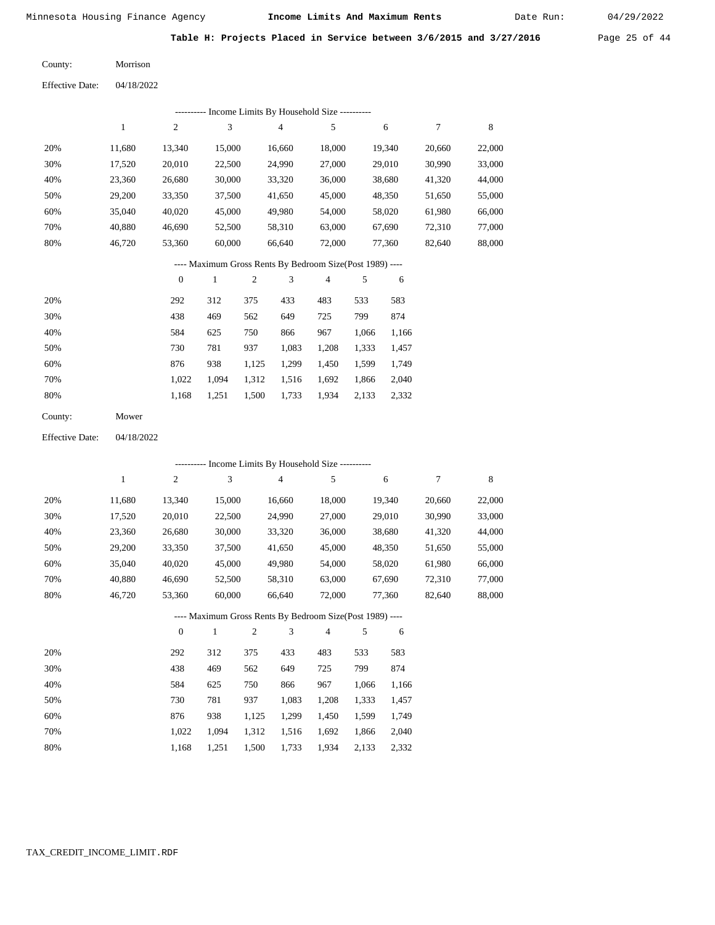Date Run:

Table H: Projects Placed in Service between 3/6/2015 and 3/27/2016 Page 25 of 44

Morrison County:

04/18/2022 Effective Date:

|     |              |              |        |     |                | ---------- Income Limits By Household Size ----------    |     |        |        |        |
|-----|--------------|--------------|--------|-----|----------------|----------------------------------------------------------|-----|--------|--------|--------|
|     | $\mathbf{1}$ | 2            | 3      |     | $\overline{4}$ | 5                                                        |     | 6      | 7      | 8      |
| 20% | 11,680       | 13,340       | 15,000 |     | 16,660         | 18,000                                                   |     | 19,340 | 20,660 | 22,000 |
| 30% | 17,520       | 20,010       | 22,500 |     | 24,990         | 27,000                                                   |     | 29,010 | 30,990 | 33,000 |
| 40% | 23,360       | 26,680       | 30,000 |     | 33,320         | 36,000                                                   |     | 38,680 | 41,320 | 44,000 |
| 50% | 29,200       | 33,350       | 37,500 |     | 41,650         | 45,000                                                   |     | 48,350 | 51,650 | 55,000 |
| 60% | 35,040       | 40,020       | 45,000 |     | 49,980         | 54,000                                                   |     | 58,020 | 61,980 | 66,000 |
| 70% | 40.880       | 46,690       | 52,500 |     | 58,310         | 63,000                                                   |     | 67,690 | 72,310 | 77,000 |
| 80% | 46,720       | 53,360       | 60,000 |     | 66,640         | 72,000                                                   |     | 77,360 | 82,640 | 88,000 |
|     |              |              |        |     |                | ---- Maximum Gross Rents By Bedroom Size(Post 1989) ---- |     |        |        |        |
|     |              | $\mathbf{0}$ |        | 2   | 3              | $\overline{4}$                                           | 5   | 6      |        |        |
| 20% |              | ാറാ          | 312    | 375 | 133            | 183                                                      | 533 | 583    |        |        |

| 20% | 292   | 312   | 375   | 433   | 483   | 533   | 583   |
|-----|-------|-------|-------|-------|-------|-------|-------|
| 30% | 438   | 469   | 562   | 649   | 725   | 799   | 874   |
| 40% | 584   | 625   | 750   | 866   | 967   | 1.066 | 1,166 |
| 50% | 730   | 781   | 937   | 1.083 | 1,208 | 1,333 | 1,457 |
| 60% | 876   | 938   | 1.125 | 1.299 | 1,450 | 1,599 | 1,749 |
| 70% | 1.022 | 1.094 | 1.312 | 1,516 | 1,692 | 1,866 | 2,040 |
| 80% | 1.168 | 1.251 | 1,500 | 1,733 | 1,934 | 2,133 | 2,332 |
|     |       |       |       |       |       |       |       |

Mower County:

04/18/2022 Effective Date:

|     |        |              |              |                |                | ---------- Income Limits By Household Size ----------    |       |        |        |        |
|-----|--------|--------------|--------------|----------------|----------------|----------------------------------------------------------|-------|--------|--------|--------|
|     | 1      | 2            | 3            |                | $\overline{4}$ | 5                                                        |       | 6      | $\tau$ | 8      |
| 20% | 11,680 | 13,340       | 15,000       |                | 16,660         | 18,000                                                   |       | 19,340 | 20,660 | 22,000 |
| 30% | 17,520 | 20,010       | 22,500       |                | 24,990         | 27,000                                                   |       | 29,010 | 30,990 | 33,000 |
| 40% | 23,360 | 26,680       | 30,000       |                | 33,320         | 36,000                                                   |       | 38,680 | 41,320 | 44,000 |
| 50% | 29,200 | 33,350       | 37,500       |                | 41,650         | 45,000                                                   |       | 48,350 | 51,650 | 55,000 |
| 60% | 35,040 | 40,020       | 45,000       |                | 49,980         | 54,000                                                   |       | 58,020 | 61,980 | 66,000 |
| 70% | 40,880 | 46,690       | 52,500       |                | 58,310         | 63,000                                                   |       | 67,690 | 72,310 | 77,000 |
| 80% | 46,720 | 53,360       | 60,000       |                | 66,640         | 72,000                                                   |       | 77,360 | 82,640 | 88,000 |
|     |        |              |              |                |                | ---- Maximum Gross Rents By Bedroom Size(Post 1989) ---- |       |        |        |        |
|     |        | $\mathbf{0}$ | $\mathbf{1}$ | $\overline{c}$ | 3              | $\overline{4}$                                           | 5     | 6      |        |        |
| 20% |        | 292          | 312          | 375            | 433            | 483                                                      | 533   | 583    |        |        |
| 30% |        | 438          | 469          | 562            | 649            | 725                                                      | 799   | 874    |        |        |
| 40% |        | 584          | 625          | 750            | 866            | 967                                                      | 1,066 | 1,166  |        |        |
| 50% |        | 730          | 781          | 937            | 1,083          | 1,208                                                    | 1,333 | 1,457  |        |        |
| 60% |        | 876          | 938          | 1,125          | 1,299          | 1,450                                                    | 1,599 | 1,749  |        |        |

 1,022 1,094 1,312 1,516 1,692 1,866 2,040 1,168 1,251 1,500 1,733 1,934 2,133 2,332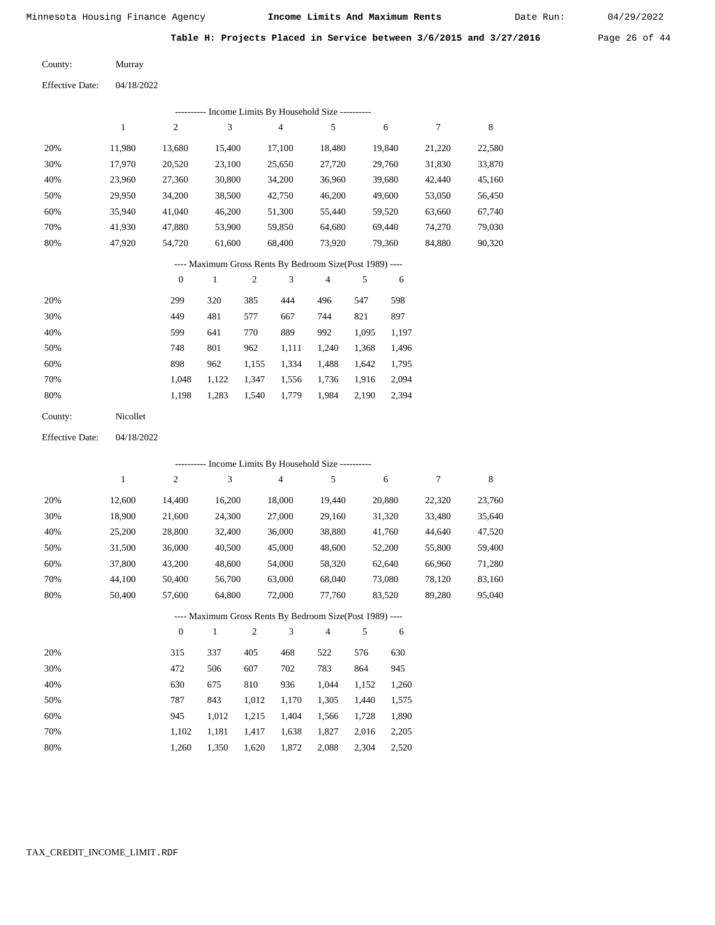Date Run:

Table H: Projects Placed in Service between 3/6/2015 and 3/27/2016 Page 26 of 44

Murray County:

04/18/2022 Effective Date:

|                        |              |                  | --------- Income Limits By Household Size ---------      |                |                |                         |       |        |                  |             |
|------------------------|--------------|------------------|----------------------------------------------------------|----------------|----------------|-------------------------|-------|--------|------------------|-------------|
|                        | $\mathbf{1}$ | $\sqrt{2}$       | 3                                                        |                | $\overline{4}$ | 5                       |       | 6      | $\boldsymbol{7}$ | $\,$ 8 $\,$ |
| 20%                    | 11,980       | 13,680           | 15,400                                                   |                | 17,100         | 18,480                  |       | 19,840 | 21,220           | 22,580      |
| 30%                    | 17,970       | 20,520           | 23,100                                                   |                | 25,650         | 27,720                  |       | 29,760 | 31,830           | 33,870      |
| 40%                    | 23,960       | 27,360           | 30,800                                                   |                | 34,200         | 36,960                  |       | 39,680 | 42,440           | 45,160      |
| 50%                    | 29,950       | 34,200           | 38,500                                                   |                | 42,750         | 46,200                  |       | 49,600 | 53,050           | 56,450      |
| 60%                    | 35,940       | 41,040           | 46,200                                                   |                | 51,300         | 55,440                  |       | 59,520 | 63,660           | 67,740      |
| 70%                    | 41,930       | 47,880           | 53,900                                                   |                | 59,850         | 64,680                  |       | 69,440 | 74,270           | 79,030      |
| 80%                    | 47,920       | 54,720           | 61,600                                                   |                | 68,400         | 73,920                  |       | 79,360 | 84,880           | 90,320      |
|                        |              |                  | ---- Maximum Gross Rents By Bedroom Size(Post 1989) ---- |                |                |                         |       |        |                  |             |
|                        |              | $\boldsymbol{0}$ | $\mathbf{1}$                                             | $\overline{c}$ | 3              | $\overline{\mathbf{4}}$ | 5     | 6      |                  |             |
| 20%                    |              | 299              | 320                                                      | 385            | 444            | 496                     | 547   | 598    |                  |             |
| 30%                    |              | 449              | 481                                                      | 577            | 667            | 744                     | 821   | 897    |                  |             |
| 40%                    |              | 599              | 641                                                      | 770            | 889            | 992                     | 1,095 | 1,197  |                  |             |
| 50%                    |              | 748              | 801                                                      | 962            | 1,111          | 1,240                   | 1,368 | 1,496  |                  |             |
| 60%                    |              | 898              | 962                                                      | 1,155          | 1,334          | 1,488                   | 1,642 | 1,795  |                  |             |
| 70%                    |              | 1,048            | 1,122                                                    | 1,347          | 1,556          | 1,736                   | 1,916 | 2,094  |                  |             |
| 80%                    |              | 1,198            | 1,283                                                    | 1,540          | 1,779          | 1,984                   | 2,190 | 2,394  |                  |             |
| County:                | Nicollet     |                  |                                                          |                |                |                         |       |        |                  |             |
| <b>Effective Date:</b> | 04/18/2022   |                  |                                                          |                |                |                         |       |        |                  |             |
|                        |              |                  | --------- Income Limits By Household Size ----------     |                |                |                         |       |        |                  |             |
|                        | $\mathbf{1}$ | $\sqrt{2}$       | 3                                                        |                | $\overline{4}$ | 5                       |       | 6      | $\tau$           | 8           |
| 20%                    | 12,600       | 14,400           | 16,200                                                   |                | 18,000         | 19,440                  |       | 20,880 | 22,320           | 23,760      |
| 30%                    | 18,900       | 21,600           | 24,300                                                   |                | 27,000         | 29,160                  |       | 31,320 | 33,480           | 35,640      |
| 40%                    | 25,200       | 28,800           | 32,400                                                   |                | 36,000         | 38,880                  |       | 41,760 | 44,640           | 47,520      |

| 40% | 25.200 | 28.800 | 32,400 | 36,000 | 38,880 | 41.760 | 44.640 | 47.520 |
|-----|--------|--------|--------|--------|--------|--------|--------|--------|
| 50% | 31.500 | 36,000 | 40.500 | 45,000 | 48,600 | 52,200 | 55.800 | 59,400 |
| 60% | 37,800 | 43.200 | 48,600 | 54,000 | 58.320 | 62.640 | 66,960 | 71.280 |
| 70% | 44.100 | 50.400 | 56,700 | 63,000 | 68,040 | 73.080 | 78.120 | 83.160 |
| 80% | 50.400 | 57.600 | 64.800 | 72.000 | 77.760 | 83.520 | 89.280 | 95,040 |

#### ---- Maximum Gross Rents By Bedroom Size(Post 1989) ----

|     | $\mathbf{0}$ |       | $\overline{c}$ | 3     | 4     | 5     | 6     |
|-----|--------------|-------|----------------|-------|-------|-------|-------|
| 20% | 315          | 337   | 405            | 468   | 522   | 576   | 630   |
| 30% | 472          | 506   | 607            | 702   | 783   | 864   | 945   |
| 40% | 630          | 675   | 810            | 936   | 1.044 | 1,152 | 1,260 |
| 50% | 787          | 843   | 1,012          | 1,170 | 1,305 | 1,440 | 1,575 |
| 60% | 945          | 1,012 | 1,215          | 1,404 | 1,566 | 1,728 | 1,890 |
| 70% | 1.102        | 1,181 | 1,417          | 1,638 | 1,827 | 2,016 | 2,205 |
| 80% | 1.260        | 1,350 | 1,620          | 1,872 | 2,088 | 2,304 | 2,520 |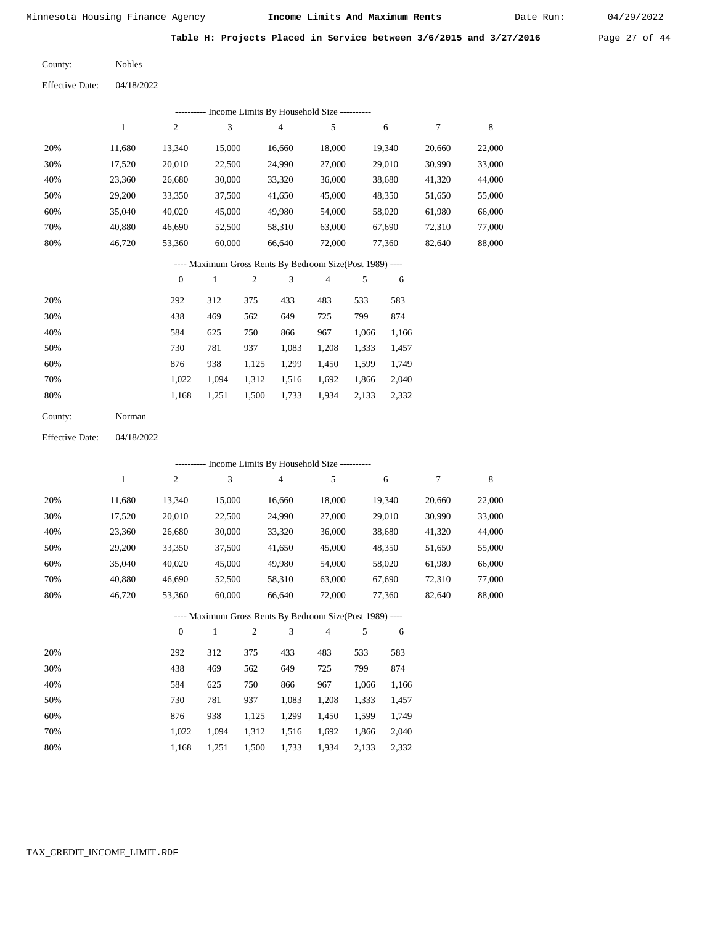Date Run:

Table H: Projects Placed in Service between 3/6/2015 and 3/27/2016 Page 27 of 44

Nobles County:

04/18/2022 Effective Date:

|     |        |        |        | ---------- Income Limits By Household Size ---------- |        |        |        |        |
|-----|--------|--------|--------|-------------------------------------------------------|--------|--------|--------|--------|
|     |        | 2      | 3      | 4                                                     | 5      | 6      | 7      | 8      |
| 20% | 11,680 | 13,340 | 15,000 | 16,660                                                | 18,000 | 19,340 | 20,660 | 22,000 |
| 30% | 17.520 | 20,010 | 22,500 | 24,990                                                | 27,000 | 29,010 | 30,990 | 33,000 |
| 40% | 23,360 | 26,680 | 30,000 | 33,320                                                | 36,000 | 38,680 | 41,320 | 44,000 |
| 50% | 29,200 | 33,350 | 37,500 | 41,650                                                | 45,000 | 48,350 | 51,650 | 55,000 |
| 60% | 35,040 | 40,020 | 45,000 | 49,980                                                | 54,000 | 58,020 | 61,980 | 66,000 |
| 70% | 40,880 | 46,690 | 52,500 | 58,310                                                | 63,000 | 67,690 | 72,310 | 77,000 |
| 80% | 46,720 | 53,360 | 60,000 | 66,640                                                | 72,000 | 77,360 | 82,640 | 88,000 |
|     |        |        |        |                                                       |        |        |        |        |

#### ---- Maximum Gross Rents By Bedroom Size(Post 1989) ----

|     | $\overline{0}$ |       | $\overline{c}$ | 3     | 4     | 5     | 6     |
|-----|----------------|-------|----------------|-------|-------|-------|-------|
| 20% | 292            | 312   | 375            | 433   | 483   | 533   | 583   |
| 30% | 438            | 469   | 562            | 649   | 725   | 799   | 874   |
| 40% | 584            | 625   | 750            | 866   | 967   | 1,066 | 1,166 |
| 50% | 730            | 781   | 937            | 1,083 | 1,208 | 1,333 | 1,457 |
| 60% | 876            | 938   | 1,125          | 1,299 | 1,450 | 1,599 | 1,749 |
| 70% | 1.022          | 1.094 | 1,312          | 1,516 | 1,692 | 1,866 | 2,040 |
| 80% | 1,168          | 1,251 | 1,500          | 1,733 | 1,934 | 2,133 | 2,332 |

04/18/2022 Effective Date:

|     | --------- Income Limits By Household Size ---------- |                |        |                |                                                          |                |       |        |        |        |  |  |  |
|-----|------------------------------------------------------|----------------|--------|----------------|----------------------------------------------------------|----------------|-------|--------|--------|--------|--|--|--|
|     | 1                                                    | 2              | 3      |                | $\overline{4}$                                           | 5              |       | 6      | 7      | 8      |  |  |  |
| 20% | 11,680                                               | 13,340         | 15,000 |                | 16,660                                                   | 18,000         |       | 19,340 | 20,660 | 22,000 |  |  |  |
| 30% | 17,520                                               | 20,010         | 22,500 |                | 24,990                                                   | 27,000         |       | 29,010 | 30,990 | 33,000 |  |  |  |
| 40% | 23,360                                               | 26,680         | 30,000 |                | 33,320                                                   | 36,000         |       | 38,680 | 41,320 | 44,000 |  |  |  |
| 50% | 29,200                                               | 33,350         | 37,500 |                | 41,650                                                   | 45,000         |       | 48,350 | 51,650 | 55,000 |  |  |  |
| 60% | 35,040                                               | 40,020         | 45,000 |                | 49,980                                                   | 54,000         |       | 58,020 | 61,980 | 66,000 |  |  |  |
| 70% | 40,880                                               | 46,690         | 52,500 |                | 58,310                                                   | 63,000         |       | 67,690 | 72,310 | 77,000 |  |  |  |
| 80% | 46,720                                               | 53,360         | 60,000 |                | 66,640                                                   | 72,000         |       | 77,360 | 82,640 | 88,000 |  |  |  |
|     |                                                      |                |        |                | ---- Maximum Gross Rents By Bedroom Size(Post 1989) ---- |                |       |        |        |        |  |  |  |
|     |                                                      | $\overline{0}$ | 1      | $\mathfrak{2}$ | 3                                                        | $\overline{4}$ | 5     | 6      |        |        |  |  |  |
| 20% |                                                      | 292            | 312    | 375            | 433                                                      | 483            | 533   | 583    |        |        |  |  |  |
| 30% |                                                      | 438            | 469    | 562            | 649                                                      | 725            | 799   | 874    |        |        |  |  |  |
| 40% |                                                      | 584            | 625    | 750            | 866                                                      | 967            | 1,066 | 1,166  |        |        |  |  |  |
| 50% |                                                      | 730            | 781    | 937            | 1,083                                                    | 1,208          | 1,333 | 1,457  |        |        |  |  |  |
| 60% |                                                      | 876            | 938    | 1,125          | 1,299                                                    | 1,450          | 1,599 | 1,749  |        |        |  |  |  |
| 70% |                                                      | 1,022          | 1,094  | 1,312          | 1,516                                                    | 1,692          | 1,866 | 2,040  |        |        |  |  |  |

1,251 1,500 1,733 1,934 2,133 2,332

1,168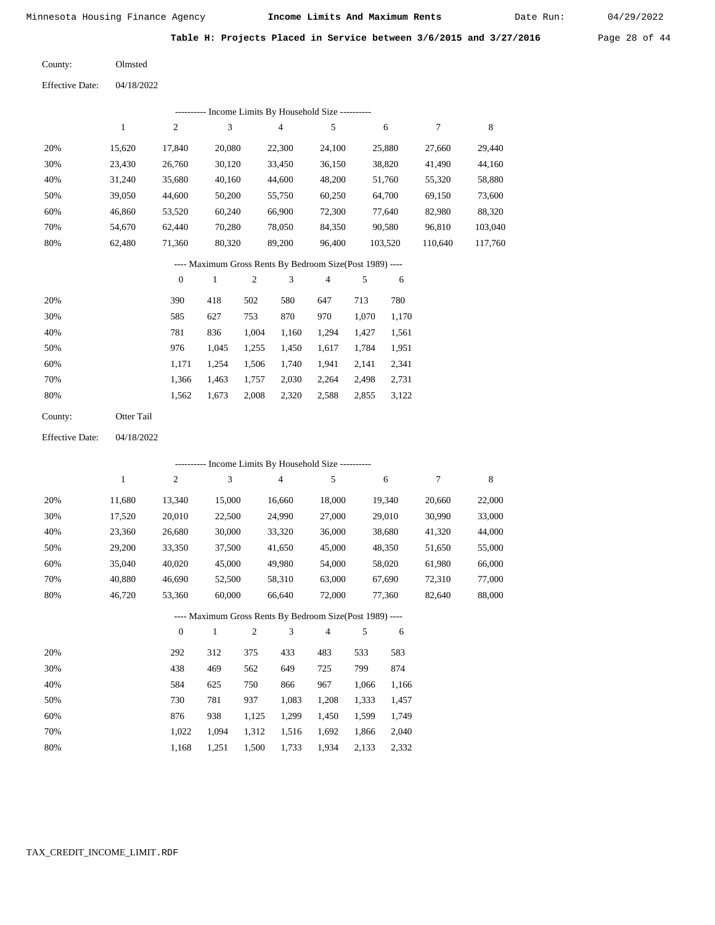Date Run:

**Table H: Projects Placed in Service between 3/6/2015 and 3/27/2016** Page 28 of 44

Olmsted County:

04/18/2022 Effective Date:

| Income Limits By Household Size ---------- |        |                |        |        |        |         |         |         |  |  |  |  |
|--------------------------------------------|--------|----------------|--------|--------|--------|---------|---------|---------|--|--|--|--|
|                                            |        | $\overline{c}$ | 3      | 4      | 5      | 6       |         | 8       |  |  |  |  |
| 20%                                        | 15.620 | 17.840         | 20,080 | 22,300 | 24.100 | 25,880  | 27,660  | 29,440  |  |  |  |  |
| 30%                                        | 23,430 | 26,760         | 30,120 | 33,450 | 36,150 | 38,820  | 41,490  | 44,160  |  |  |  |  |
| 40%                                        | 31,240 | 35,680         | 40,160 | 44,600 | 48,200 | 51,760  | 55,320  | 58,880  |  |  |  |  |
| 50%                                        | 39,050 | 44,600         | 50,200 | 55,750 | 60,250 | 64,700  | 69,150  | 73,600  |  |  |  |  |
| 60%                                        | 46,860 | 53,520         | 60.240 | 66,900 | 72,300 | 77,640  | 82,980  | 88,320  |  |  |  |  |
| 70%                                        | 54.670 | 62.440         | 70.280 | 78,050 | 84,350 | 90,580  | 96,810  | 103,040 |  |  |  |  |
| 80%                                        | 62.480 | 71,360         | 80,320 | 89,200 | 96,400 | 103,520 | 110,640 | 117,760 |  |  |  |  |

---- Maximum Gross Rents By Bedroom Size(Post 1989) ----

|     | $\mathbf{0}$ |       | 2     | 3     | 4     | 5     | 6     |
|-----|--------------|-------|-------|-------|-------|-------|-------|
| 20% | 390          | 418   | 502   | 580   | 647   | 713   | 780   |
| 30% | 585          | 627   | 753   | 870   | 970   | 1,070 | 1,170 |
| 40% | 781          | 836   | 1,004 | 1,160 | 1,294 | 1,427 | 1,561 |
| 50% | 976          | 1,045 | 1,255 | 1,450 | 1,617 | 1,784 | 1,951 |
| 60% | 1,171        | 1.254 | 1,506 | 1,740 | 1,941 | 2.141 | 2,341 |
| 70% | 1,366        | 1,463 | 1,757 | 2,030 | 2,264 | 2,498 | 2,731 |
| 80% | 1,562        | 1,673 | 2,008 | 2,320 | 2,588 | 2,855 | 3,122 |
|     |              |       |       |       |       |       |       |

Otter Tail County:

04/18/2022 Effective Date:

|     |        |                |              |                |                | - Income Limits By Household Size ----------             |       |        |        |        |
|-----|--------|----------------|--------------|----------------|----------------|----------------------------------------------------------|-------|--------|--------|--------|
|     | 1      | $\overline{c}$ | 3            |                | $\overline{4}$ | 5                                                        |       | 6      | 7      | 8      |
| 20% | 11,680 | 13,340         | 15,000       |                | 16,660         | 18,000                                                   |       | 19,340 | 20,660 | 22,000 |
| 30% | 17,520 | 20,010         | 22,500       |                | 24,990         | 27,000                                                   |       | 29,010 | 30,990 | 33,000 |
| 40% | 23,360 | 26,680         | 30,000       |                | 33,320         | 36,000                                                   |       | 38,680 | 41,320 | 44,000 |
| 50% | 29,200 | 33,350         | 37,500       |                | 41,650         | 45,000                                                   |       | 48,350 | 51,650 | 55,000 |
| 60% | 35,040 | 40,020         | 45,000       |                | 49,980         | 54,000                                                   |       | 58,020 | 61,980 | 66,000 |
| 70% | 40,880 | 46,690         | 52,500       |                | 58,310         | 63,000                                                   |       | 67,690 | 72,310 | 77,000 |
| 80% | 46,720 | 53,360         | 60,000       |                | 66,640         | 72,000                                                   |       | 77,360 | 82,640 | 88,000 |
|     |        |                |              |                |                | ---- Maximum Gross Rents By Bedroom Size(Post 1989) ---- |       |        |        |        |
|     |        | $\overline{0}$ | $\mathbf{1}$ | $\overline{c}$ | 3              | $\overline{4}$                                           | 5     | 6      |        |        |
| 20% |        | 292            | 312          | 375            | 433            | 483                                                      | 533   | 583    |        |        |
| 30% |        | 438            | 469          | 562            | 649            | 725                                                      | 799   | 874    |        |        |
| 40% |        | 584            | 625          | 750            | 866            | 967                                                      | 1,066 | 1,166  |        |        |
| 50% |        | 730            | 781          | 937            | 1,083          | 1,208                                                    | 1,333 | 1,457  |        |        |
| 60% |        | 876            | 938          | 1,125          | 1,299          | 1,450                                                    | 1,599 | 1,749  |        |        |
| 70% |        | 1,022          | 1,094        | 1,312          | 1,516          | 1,692                                                    | 1,866 | 2,040  |        |        |

1,168

1,251

1,500

1,733

1,934

2,133

2,332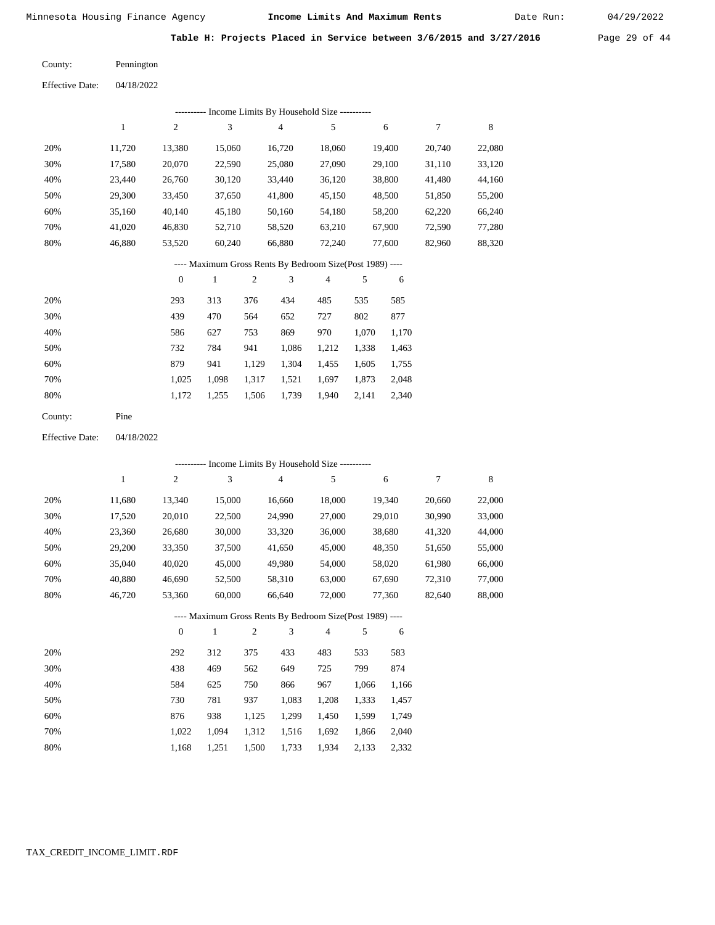Date Run:

Table H: Projects Placed in Service between 3/6/2015 and 3/27/2016 Page 29 of 44

Pennington County:

04/18/2022 Effective Date:

|     |        |                | ---------- Income Limits By Household Size ----------    |     |        |                |     |        |        |        |
|-----|--------|----------------|----------------------------------------------------------|-----|--------|----------------|-----|--------|--------|--------|
|     | 1      | $\overline{2}$ | 3                                                        |     | 4      | 5              |     | 6      | 7      | 8      |
| 20% | 11,720 | 13,380         | 15,060                                                   |     | 16,720 | 18,060         |     | 19,400 | 20,740 | 22,080 |
| 30% | 17,580 | 20,070         | 22,590                                                   |     | 25,080 | 27,090         |     | 29,100 | 31,110 | 33,120 |
| 40% | 23,440 | 26,760         | 30,120                                                   |     | 33,440 | 36,120         |     | 38,800 | 41,480 | 44,160 |
| 50% | 29,300 | 33,450         | 37,650                                                   |     | 41,800 | 45,150         |     | 48,500 | 51,850 | 55,200 |
| 60% | 35,160 | 40,140         | 45,180                                                   |     | 50,160 | 54,180         |     | 58,200 | 62,220 | 66,240 |
| 70% | 41,020 | 46,830         | 52,710                                                   |     | 58,520 | 63,210         |     | 67,900 | 72,590 | 77,280 |
| 80% | 46,880 | 53,520         | 60,240                                                   |     | 66,880 | 72,240         |     | 77.600 | 82,960 | 88,320 |
|     |        |                | ---- Maximum Gross Rents By Bedroom Size(Post 1989) ---- |     |        |                |     |        |        |        |
|     |        | $\theta$       | 1                                                        | 2   | 3      | $\overline{4}$ | 5   | 6      |        |        |
| 20% |        | 293            | 313                                                      | 376 | 434    | 485            | 535 | 585    |        |        |

| 20% | 293   | 313   | 376   | 434   | 485   | 535   | 585   |
|-----|-------|-------|-------|-------|-------|-------|-------|
| 30% | 439   | 470   | 564   | 652   | 727   | 802   | 877   |
| 40% | 586   | 627   | 753   | 869   | 970   | 1.070 | 1,170 |
| 50% | 732   | 784   | 941   | 1.086 | 1,212 | 1,338 | 1,463 |
| 60% | 879   | 941   | 1.129 | 1,304 | 1,455 | 1,605 | 1,755 |
| 70% | 1.025 | 1.098 | 1.317 | 1.521 | 1.697 | 1,873 | 2,048 |
| 80% | 1.172 | 1.255 | 1,506 | 1,739 | 1,940 | 2,141 | 2,340 |

Pine County:

04/18/2022 Effective Date:

|     |              |                |              |                | ---------- Income Limits By Household Size ----------    |        |       |        |        |        |
|-----|--------------|----------------|--------------|----------------|----------------------------------------------------------|--------|-------|--------|--------|--------|
|     | $\mathbf{1}$ | $\overline{c}$ | 3            |                | $\overline{4}$                                           | 5      |       | 6      | 7      | 8      |
| 20% | 11,680       | 13,340         | 15,000       |                | 16,660                                                   | 18,000 |       | 19,340 | 20,660 | 22,000 |
| 30% | 17,520       | 20,010         | 22,500       |                | 24,990                                                   | 27,000 |       | 29,010 | 30,990 | 33,000 |
| 40% | 23,360       | 26,680         | 30,000       |                | 33,320                                                   | 36,000 |       | 38,680 | 41,320 | 44,000 |
| 50% | 29,200       | 33,350         | 37,500       |                | 41,650                                                   | 45,000 |       | 48,350 | 51,650 | 55,000 |
| 60% | 35,040       | 40,020         | 45,000       |                | 49,980                                                   | 54,000 |       | 58,020 | 61,980 | 66,000 |
| 70% | 40,880       | 46,690         | 52,500       |                | 58,310                                                   | 63,000 |       | 67,690 | 72,310 | 77,000 |
| 80% | 46,720       | 53,360         | 60,000       |                | 66,640                                                   | 72,000 |       | 77,360 | 82,640 | 88,000 |
|     |              |                |              |                | ---- Maximum Gross Rents By Bedroom Size(Post 1989) ---- |        |       |        |        |        |
|     |              | $\mathbf{0}$   | $\mathbf{1}$ | $\overline{2}$ | 3                                                        | 4      | 5     | 6      |        |        |
| 20% |              | 292            | 312          | 375            | 433                                                      | 483    | 533   | 583    |        |        |
| 30% |              | 438            | 469          | 562            | 649                                                      | 725    | 799   | 874    |        |        |
| 40% |              | 584            | 625          | 750            | 866                                                      | 967    | 1,066 | 1,166  |        |        |
| 50% |              | 730            | 781          | 937            | 1,083                                                    | 1,208  | 1,333 | 1,457  |        |        |
| 60% |              | 876            | 938          | 1,125          | 1,299                                                    | 1,450  | 1,599 | 1,749  |        |        |
| 70% |              | 1,022          | 1,094        | 1,312          | 1,516                                                    | 1,692  | 1,866 | 2,040  |        |        |

 1,312 1,516 1,692 1,866 2,040 1,500 1,733 1,934 2,133 2,332

 1,022 1,094 1,168 1,251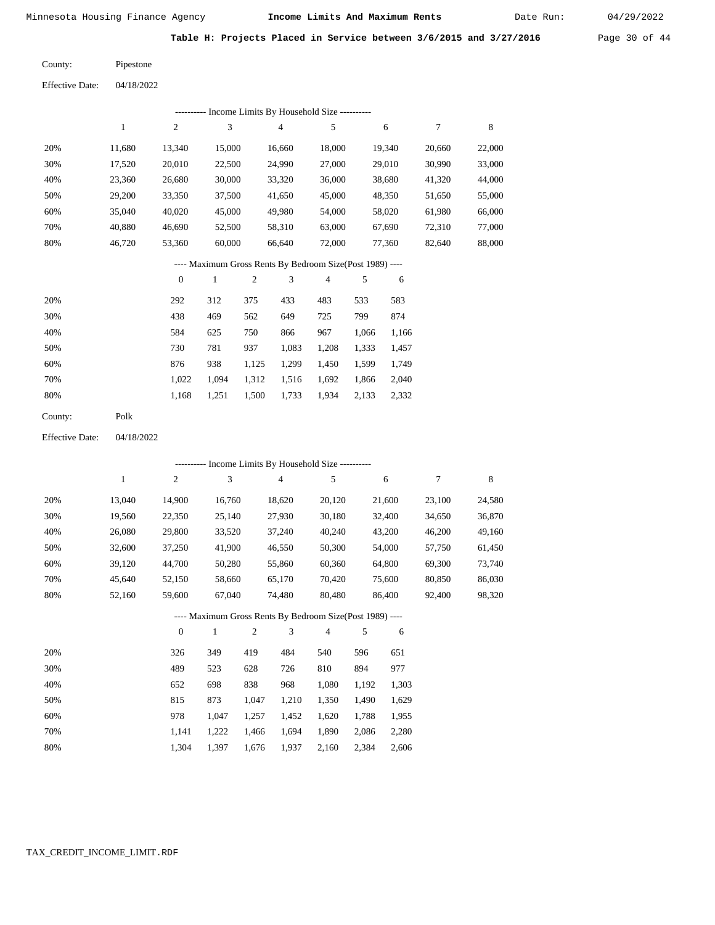Date Run:

Table H: Projects Placed in Service between 3/6/2015 and 3/27/2016 Page 30 of 44

Pipestone County:

04/18/2022 Effective Date:

|                        |              |                  |              |                | --------- Income Limits By Household Size ----------     |        |       |        |        |        |
|------------------------|--------------|------------------|--------------|----------------|----------------------------------------------------------|--------|-------|--------|--------|--------|
|                        | $\mathbf{1}$ | 2                | 3            |                | 4                                                        | 5      |       | 6      | 7      | 8      |
| 20%                    | 11,680       | 13,340           | 15,000       |                | 16,660                                                   | 18,000 |       | 19,340 | 20,660 | 22,000 |
| 30%                    | 17,520       | 20,010           | 22,500       |                | 24,990                                                   | 27,000 |       | 29,010 | 30,990 | 33,000 |
| 40%                    | 23,360       | 26,680           | 30,000       |                | 33,320                                                   | 36,000 |       | 38,680 | 41,320 | 44,000 |
| 50%                    | 29,200       | 33,350           | 37,500       |                | 41,650                                                   | 45,000 |       | 48,350 | 51,650 | 55,000 |
| 60%                    | 35,040       | 40,020           | 45,000       |                | 49,980                                                   | 54,000 |       | 58,020 | 61,980 | 66,000 |
| 70%                    | 40,880       | 46,690           | 52,500       |                | 58,310                                                   | 63,000 |       | 67,690 | 72,310 | 77,000 |
| 80%                    | 46,720       | 53,360           | 60,000       |                | 66,640                                                   | 72,000 |       | 77,360 | 82,640 | 88,000 |
|                        |              |                  |              |                | ---- Maximum Gross Rents By Bedroom Size(Post 1989) ---- |        |       |        |        |        |
|                        |              | $\boldsymbol{0}$ | $\mathbf{1}$ | $\overline{c}$ | 3                                                        | 4      | 5     | 6      |        |        |
| 20%                    |              | 292              | 312          | 375            | 433                                                      | 483    | 533   | 583    |        |        |
| 30%                    |              | 438              | 469          | 562            | 649                                                      | 725    | 799   | 874    |        |        |
| 40%                    |              | 584              | 625          | 750            | 866                                                      | 967    | 1,066 | 1,166  |        |        |
| 50%                    |              | 730              | 781          | 937            | 1,083                                                    | 1,208  | 1,333 | 1,457  |        |        |
| 60%                    |              | 876              | 938          | 1,125          | 1,299                                                    | 1,450  | 1,599 | 1,749  |        |        |
| 70%                    |              | 1,022            | 1,094        | 1,312          | 1,516                                                    | 1,692  | 1,866 | 2,040  |        |        |
| 80%                    |              | 1,168            | 1,251        | 1,500          | 1,733                                                    | 1,934  | 2,133 | 2,332  |        |        |
| County:                | Polk         |                  |              |                |                                                          |        |       |        |        |        |
| <b>Effective Date:</b> | 04/18/2022   |                  |              |                |                                                          |        |       |        |        |        |

|     | --------- Income Limits By Household Size ---------- |                |              |                |        |                                                          |       |        |        |        |  |  |
|-----|------------------------------------------------------|----------------|--------------|----------------|--------|----------------------------------------------------------|-------|--------|--------|--------|--|--|
|     | 1                                                    | $\overline{c}$ | 3            |                | 4      | 5                                                        |       | 6      | $\tau$ | 8      |  |  |
| 20% | 13,040                                               | 14,900         | 16,760       |                | 18,620 | 20,120                                                   |       | 21,600 | 23,100 | 24,580 |  |  |
| 30% | 19,560                                               | 22,350         | 25,140       |                | 27,930 | 30,180                                                   |       | 32,400 | 34,650 | 36,870 |  |  |
| 40% | 26,080                                               | 29,800         | 33,520       |                | 37,240 | 40,240                                                   |       | 43,200 | 46,200 | 49,160 |  |  |
| 50% | 32,600                                               | 37,250         | 41,900       |                | 46,550 | 50,300                                                   |       | 54,000 | 57,750 | 61,450 |  |  |
| 60% | 39,120                                               | 44,700         | 50,280       |                | 55,860 | 60,360                                                   |       | 64,800 | 69,300 | 73,740 |  |  |
| 70% | 45,640                                               | 52,150         | 58,660       |                | 65,170 | 70,420                                                   |       | 75,600 | 80,850 | 86,030 |  |  |
| 80% | 52,160                                               | 59,600         | 67,040       |                | 74,480 | 80,480                                                   |       | 86,400 | 92,400 | 98,320 |  |  |
|     |                                                      |                |              |                |        | ---- Maximum Gross Rents By Bedroom Size(Post 1989) ---- |       |        |        |        |  |  |
|     |                                                      | $\mathbf{0}$   | $\mathbf{1}$ | $\mathfrak{2}$ | 3      | 4                                                        | 5     | 6      |        |        |  |  |
| 20% |                                                      | 326            | 349          | 419            | 484    | 540                                                      | 596   | 651    |        |        |  |  |
| 30% |                                                      | 489            | 523          | 628            | 726    | 810                                                      | 894   | 977    |        |        |  |  |
| 40% |                                                      | 652            | 698          | 838            | 968    | 1,080                                                    | 1,192 | 1,303  |        |        |  |  |
| 50% |                                                      | 815            | 873          | 1,047          | 1,210  | 1,350                                                    | 1,490 | 1,629  |        |        |  |  |
| 60% |                                                      | 978            | 1,047        | 1,257          | 1,452  | 1,620                                                    | 1,788 | 1,955  |        |        |  |  |
| 70% |                                                      | 1,141          | 1,222        | 1,466          | 1,694  | 1,890                                                    | 2,086 | 2,280  |        |        |  |  |
| 80% |                                                      | 1,304          | 1,397        | 1,676          | 1,937  | 2,160                                                    | 2,384 | 2,606  |        |        |  |  |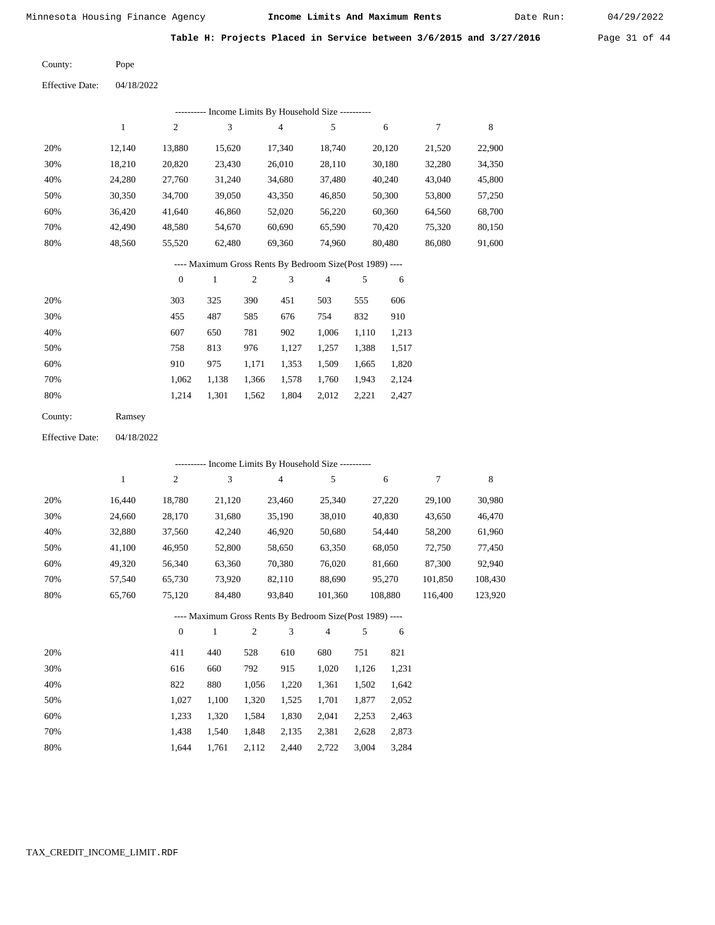Date Run:

Table H: Projects Placed in Service between 3/6/2015 and 3/27/2016 Page 31 of 44

Pope County:

Effective Date: 04/18/2022

|         | --------- Income Limits By Household Size ---------- |                  |        |                  |                                                          |                |       |        |        |        |  |  |  |
|---------|------------------------------------------------------|------------------|--------|------------------|----------------------------------------------------------|----------------|-------|--------|--------|--------|--|--|--|
|         | 1                                                    | $\overline{c}$   | 3      |                  | 4                                                        | 5              |       | 6      | 7      | 8      |  |  |  |
| 20%     | 12,140                                               | 13,880           | 15,620 |                  | 17,340                                                   | 18,740         |       | 20,120 | 21,520 | 22,900 |  |  |  |
| 30%     | 18,210                                               | 20,820           | 23,430 |                  | 26,010                                                   | 28,110         |       | 30,180 | 32,280 | 34,350 |  |  |  |
| 40%     | 24,280                                               | 27,760           | 31,240 |                  | 34,680                                                   | 37,480         |       | 40,240 | 43,040 | 45,800 |  |  |  |
| 50%     | 30,350                                               | 34,700           | 39,050 |                  | 43,350                                                   | 46,850         |       | 50,300 | 53,800 | 57,250 |  |  |  |
| 60%     | 36,420                                               | 41,640           | 46,860 |                  | 52,020                                                   | 56,220         |       | 60,360 | 64,560 | 68,700 |  |  |  |
| 70%     | 42,490                                               | 48,580           | 54,670 |                  | 60,690                                                   | 65,590         |       | 70,420 | 75,320 | 80,150 |  |  |  |
| 80%     | 48,560                                               | 55,520           | 62,480 |                  | 69,360                                                   | 74,960         |       | 80,480 | 86,080 | 91,600 |  |  |  |
|         |                                                      |                  |        |                  | ---- Maximum Gross Rents By Bedroom Size(Post 1989) ---- |                |       |        |        |        |  |  |  |
|         |                                                      | $\boldsymbol{0}$ | 1      | $\boldsymbol{2}$ | 3                                                        | $\overline{4}$ | 5     | 6      |        |        |  |  |  |
| 20%     |                                                      | 303              | 325    | 390              | 451                                                      | 503            | 555   | 606    |        |        |  |  |  |
| 30%     |                                                      | 455              | 487    | 585              | 676                                                      | 754            | 832   | 910    |        |        |  |  |  |
| 40%     |                                                      | 607              | 650    | 781              | 902                                                      | 1,006          | 1,110 | 1,213  |        |        |  |  |  |
| 50%     |                                                      | 758              | 813    | 976              | 1,127                                                    | 1,257          | 1,388 | 1,517  |        |        |  |  |  |
| 60%     |                                                      | 910              | 975    | 1,171            | 1,353                                                    | 1,509          | 1,665 | 1,820  |        |        |  |  |  |
| 70%     |                                                      | 1,062            | 1,138  | 1,366            | 1,578                                                    | 1,760          | 1,943 | 2,124  |        |        |  |  |  |
| 80%     |                                                      | 1,214            | 1,301  | 1,562            | 1,804                                                    | 2,012          | 2,221 | 2,427  |        |        |  |  |  |
| County: | Ramsey                                               |                  |        |                  |                                                          |                |       |        |        |        |  |  |  |

Effective Date: 04/18/2022

|     | ---------- Income Limits By Household Size ---------- |                |        |     |                                                          |                |     |         |         |         |  |  |
|-----|-------------------------------------------------------|----------------|--------|-----|----------------------------------------------------------|----------------|-----|---------|---------|---------|--|--|
|     | 1                                                     | $\overline{c}$ | 3      |     | $\overline{4}$                                           | 5              |     | 6       | 7       | 8       |  |  |
| 20% | 16.440                                                | 18,780         | 21,120 |     | 23,460                                                   | 25,340         |     | 27,220  | 29,100  | 30,980  |  |  |
| 30% | 24,660                                                | 28,170         | 31,680 |     | 35,190                                                   | 38,010         |     | 40,830  | 43,650  | 46,470  |  |  |
| 40% | 32,880                                                | 37,560         | 42,240 |     | 46,920                                                   | 50,680         |     | 54,440  | 58,200  | 61,960  |  |  |
| 50% | 41,100                                                | 46,950         | 52,800 |     | 58,650                                                   | 63,350         |     | 68,050  | 72,750  | 77,450  |  |  |
| 60% | 49,320                                                | 56,340         | 63,360 |     | 70,380                                                   | 76,020         |     | 81,660  | 87,300  | 92,940  |  |  |
| 70% | 57,540                                                | 65,730         | 73,920 |     | 82,110                                                   | 88,690         |     | 95,270  | 101,850 | 108,430 |  |  |
| 80% | 65,760                                                | 75,120         | 84,480 |     | 93,840                                                   | 101,360        |     | 108,880 | 116,400 | 123,920 |  |  |
|     |                                                       |                |        |     | ---- Maximum Gross Rents By Bedroom Size(Post 1989) ---- |                |     |         |         |         |  |  |
|     |                                                       | $\theta$       | 1      | 2   | 3                                                        | $\overline{4}$ | 5   | 6       |         |         |  |  |
| 20% |                                                       | 411            | 440    | 528 | 610                                                      | 680            | 751 | 821     |         |         |  |  |

| 2070 | $+11$ | 77 V  | ں∠ر   | <u>viv</u> | vov   | 721   | 0/1   |
|------|-------|-------|-------|------------|-------|-------|-------|
| 30%  | 616   | 660   | 792   | 915        | 1.020 | 1.126 | 1,231 |
| 40%  | 822   | 880   | 1.056 | 1.220      | 1,361 | 1.502 | 1,642 |
| 50%  | 1.027 | 1.100 | 1.320 | 1.525      | 1,701 | 1.877 | 2,052 |
| 60%  | 1.233 | 1.320 | 1.584 | 1.830      | 2.041 | 2.253 | 2,463 |
| 70%  | 1.438 | 1.540 | 1.848 | 2.135      | 2,381 | 2.628 | 2,873 |
| 80%  | 1.644 | 1.761 | 2,112 | 2,440      | 2,722 | 3,004 | 3,284 |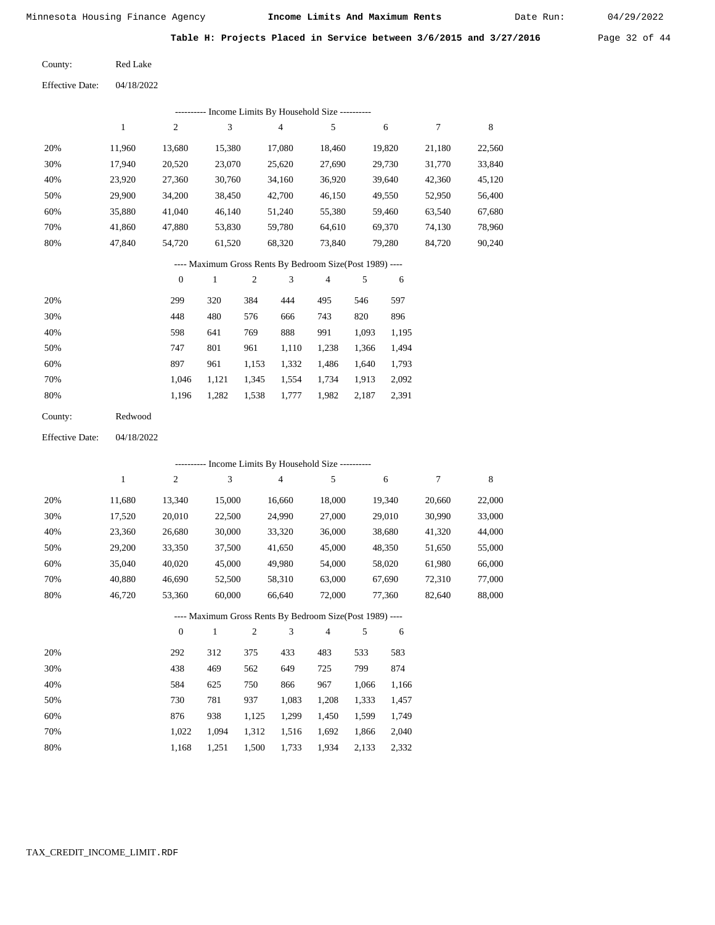Date Run:

**Table H: Projects Placed in Service between 3/6/2015 and 3/27/2016** Page 32 of 44

Red Lake County:

04/18/2022 Effective Date:

|     | ---------- Income Limits By Household Size ---------- |        |        |        |        |        |        |        |  |  |  |  |  |
|-----|-------------------------------------------------------|--------|--------|--------|--------|--------|--------|--------|--|--|--|--|--|
|     |                                                       | 2      | 3      | 4      | 5      | 6      | 7      | 8      |  |  |  |  |  |
| 20% | 11.960                                                | 13.680 | 15,380 | 17.080 | 18.460 | 19.820 | 21.180 | 22,560 |  |  |  |  |  |
| 30% | 17.940                                                | 20,520 | 23,070 | 25,620 | 27,690 | 29,730 | 31,770 | 33,840 |  |  |  |  |  |
| 40% | 23,920                                                | 27,360 | 30,760 | 34,160 | 36,920 | 39,640 | 42,360 | 45,120 |  |  |  |  |  |
| 50% | 29,900                                                | 34,200 | 38,450 | 42,700 | 46,150 | 49,550 | 52,950 | 56,400 |  |  |  |  |  |
| 60% | 35,880                                                | 41,040 | 46,140 | 51,240 | 55,380 | 59,460 | 63,540 | 67,680 |  |  |  |  |  |
| 70% | 41,860                                                | 47,880 | 53,830 | 59,780 | 64.610 | 69,370 | 74,130 | 78,960 |  |  |  |  |  |
| 80% | 47,840                                                | 54,720 | 61,520 | 68,320 | 73,840 | 79,280 | 84,720 | 90,240 |  |  |  |  |  |
|     |                                                       |        |        |        |        |        |        |        |  |  |  |  |  |

#### ---- Maximum Gross Rents By Bedroom Size(Post 1989) ----

|     | $\mathbf{0}$ |       | $\overline{2}$ | 3     | $\overline{4}$ | 5     | 6     |
|-----|--------------|-------|----------------|-------|----------------|-------|-------|
| 20% | 299          | 320   | 384            | 444   | 495            | 546   | 597   |
| 30% | 448          | 480   | 576            | 666   | 743            | 820   | 896   |
| 40% | 598          | 641   | 769            | 888   | 991            | 1,093 | 1,195 |
| 50% | 747          | 801   | 961            | 1,110 | 1,238          | 1,366 | 1,494 |
| 60% | 897          | 961   | 1,153          | 1,332 | 1,486          | 1,640 | 1,793 |
| 70% | 1.046        | 1,121 | 1,345          | 1,554 | 1,734          | 1,913 | 2,092 |
| 80% | 1,196        | 1,282 | 1,538          | 1,777 | 1,982          | 2,187 | 2,391 |
|     |              |       |                |       |                |       |       |

| County: | Redwood |
|---------|---------|
|         |         |

04/18/2022 Effective Date:

|     |        |                |              |                |                | --------- Income Limits By Household Size ----------     |       |        |        |        |
|-----|--------|----------------|--------------|----------------|----------------|----------------------------------------------------------|-------|--------|--------|--------|
|     | 1      | $\overline{c}$ | 3            |                | $\overline{4}$ | 5                                                        |       | 6      | 7      | 8      |
| 20% | 11,680 | 13,340         | 15,000       |                | 16,660         | 18,000                                                   |       | 19,340 | 20,660 | 22,000 |
| 30% | 17,520 | 20,010         | 22,500       |                | 24,990         | 27,000                                                   |       | 29,010 | 30,990 | 33,000 |
| 40% | 23,360 | 26,680         | 30,000       |                | 33,320         | 36,000                                                   |       | 38,680 | 41,320 | 44,000 |
| 50% | 29,200 | 33,350         | 37,500       |                | 41,650         | 45,000                                                   |       | 48,350 | 51,650 | 55,000 |
| 60% | 35,040 | 40,020         | 45,000       |                | 49,980         | 54,000                                                   |       | 58,020 | 61,980 | 66,000 |
| 70% | 40,880 | 46,690         | 52,500       |                | 58,310         | 63,000                                                   |       | 67,690 | 72,310 | 77,000 |
| 80% | 46,720 | 53,360         | 60,000       |                | 66,640         | 72,000                                                   |       | 77,360 | 82,640 | 88,000 |
|     |        |                |              |                |                | ---- Maximum Gross Rents By Bedroom Size(Post 1989) ---- |       |        |        |        |
|     |        | $\overline{0}$ | $\mathbf{1}$ | $\overline{2}$ | 3              | $\overline{4}$                                           | 5     | 6      |        |        |
| 20% |        | 292            | 312          | 375            | 433            | 483                                                      | 533   | 583    |        |        |
| 30% |        | 438            | 469          | 562            | 649            | 725                                                      | 799   | 874    |        |        |
| 40% |        | 584            | 625          | 750            | 866            | 967                                                      | 1,066 | 1,166  |        |        |
| 50% |        | 730            | 781          | 937            | 1,083          | 1,208                                                    | 1,333 | 1,457  |        |        |
| 60% |        | 876            | 938          | 1,125          | 1,299          | 1,450                                                    | 1,599 | 1,749  |        |        |
| 70% |        | 1,022          | 1,094        | 1,312          | 1,516          | 1,692                                                    | 1,866 | 2,040  |        |        |

1,733

1,934

 1,866 2,133

 2,040 2,332

1,500

 1,022 1,168

 1,094 1,251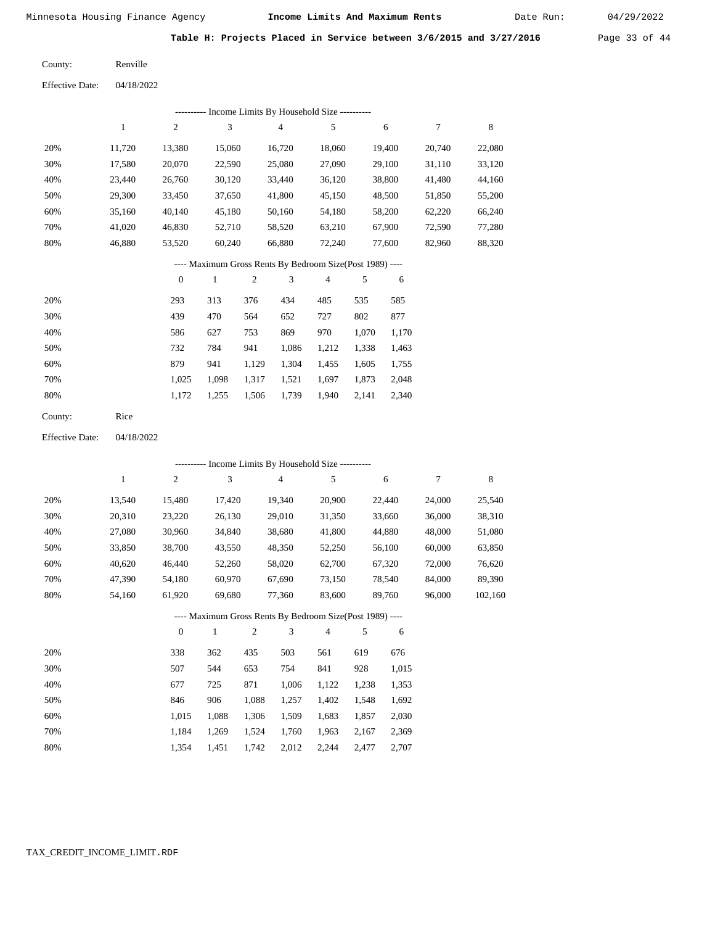Date Run:

**Table H: Projects Placed in Service between 3/6/2015 and 3/27/2016** Page 33 of 44

Renville County:

04/18/2022 Effective Date:

|     | -- Income Limits By Household Size ---------- |        |        |        |        |        |        |        |  |  |  |  |  |
|-----|-----------------------------------------------|--------|--------|--------|--------|--------|--------|--------|--|--|--|--|--|
|     |                                               | 2      | 3      | 4      | 5      | 6      |        | 8      |  |  |  |  |  |
| 20% | 11.720                                        | 13,380 | 15,060 | 16,720 | 18,060 | 19,400 | 20,740 | 22,080 |  |  |  |  |  |
| 30% | 17,580                                        | 20,070 | 22,590 | 25,080 | 27,090 | 29,100 | 31,110 | 33,120 |  |  |  |  |  |
| 40% | 23.440                                        | 26,760 | 30,120 | 33,440 | 36,120 | 38,800 | 41.480 | 44,160 |  |  |  |  |  |
| 50% | 29,300                                        | 33,450 | 37,650 | 41,800 | 45,150 | 48,500 | 51,850 | 55,200 |  |  |  |  |  |
| 60% | 35,160                                        | 40,140 | 45,180 | 50,160 | 54,180 | 58,200 | 62,220 | 66,240 |  |  |  |  |  |
| 70% | 41.020                                        | 46,830 | 52,710 | 58,520 | 63,210 | 67,900 | 72,590 | 77,280 |  |  |  |  |  |
| 80% | 46.880                                        | 53,520 | 60,240 | 66,880 | 72,240 | 77,600 | 82,960 | 88,320 |  |  |  |  |  |
|     |                                               |        |        |        |        |        |        |        |  |  |  |  |  |

## ---- Maximum Gross Rents By Bedroom Size(Post 1989) ----

|     | $\mathbf{0}$ |       | $\overline{c}$ | 3     | $\overline{4}$ | 5     | 6     |
|-----|--------------|-------|----------------|-------|----------------|-------|-------|
| 20% | 293          | 313   | 376            | 434   | 485            | 535   | 585   |
| 30% | 439          | 470   | 564            | 652   | 727            | 802   | 877   |
| 40% | 586          | 627   | 753            | 869   | 970            | 1,070 | 1,170 |
| 50% | 732          | 784   | 941            | 1,086 | 1,212          | 1,338 | 1,463 |
| 60% | 879          | 941   | 1,129          | 1,304 | 1,455          | 1,605 | 1,755 |
| 70% | 1,025        | 1,098 | 1,317          | 1,521 | 1,697          | 1,873 | 2,048 |
| 80% | 1,172        | 1,255 | 1,506          | 1,739 | 1,940          | 2,141 | 2,340 |
|     |              |       |                |       |                |       |       |

04/18/2022 Effective Date:

|     |              |              | ---------- Income Limits By Household Size ----------    |       |        |        |       |        |        |         |
|-----|--------------|--------------|----------------------------------------------------------|-------|--------|--------|-------|--------|--------|---------|
|     | $\mathbf{1}$ | 2            | 3                                                        |       | 4      | 5      |       | 6      | $\tau$ | 8       |
| 20% | 13,540       | 15,480       | 17,420                                                   |       | 19,340 | 20,900 |       | 22,440 | 24,000 | 25,540  |
| 30% | 20,310       | 23,220       | 26,130                                                   |       | 29,010 | 31,350 |       | 33,660 | 36,000 | 38,310  |
| 40% | 27,080       | 30,960       | 34,840                                                   |       | 38,680 | 41,800 |       | 44,880 | 48,000 | 51,080  |
| 50% | 33,850       | 38,700       | 43,550                                                   |       | 48,350 | 52,250 |       | 56,100 | 60,000 | 63,850  |
| 60% | 40,620       | 46,440       | 52,260                                                   |       | 58,020 | 62,700 |       | 67,320 | 72,000 | 76,620  |
| 70% | 47,390       | 54,180       | 60,970                                                   |       | 67,690 | 73,150 |       | 78,540 | 84,000 | 89,390  |
| 80% | 54,160       | 61,920       | 69,680                                                   |       | 77,360 | 83,600 |       | 89,760 | 96,000 | 102,160 |
|     |              |              | ---- Maximum Gross Rents By Bedroom Size(Post 1989) ---- |       |        |        |       |        |        |         |
|     |              | $\mathbf{0}$ | 1                                                        | 2     | 3      | 4      | 5     | 6      |        |         |
| 20% |              | 338          | 362                                                      | 435   | 503    | 561    | 619   | 676    |        |         |
| 30% |              | 507          | 544                                                      | 653   | 754    | 841    | 928   | 1,015  |        |         |
| 40% |              | 677          | 725                                                      | 871   | 1,006  | 1,122  | 1,238 | 1,353  |        |         |
| 50% |              | 846          | 906                                                      | 1,088 | 1,257  | 1,402  | 1,548 | 1,692  |        |         |

| 70% | 1,184 1,269 1,524 1,760 1,963 2,167 2,369 |  |  |  |
|-----|-------------------------------------------|--|--|--|
| 80% | 1,354 1,451 1,742 2,012 2,244 2,477 2,707 |  |  |  |

1,306

1,509

1,683

1,857

2,030

1,088

1,015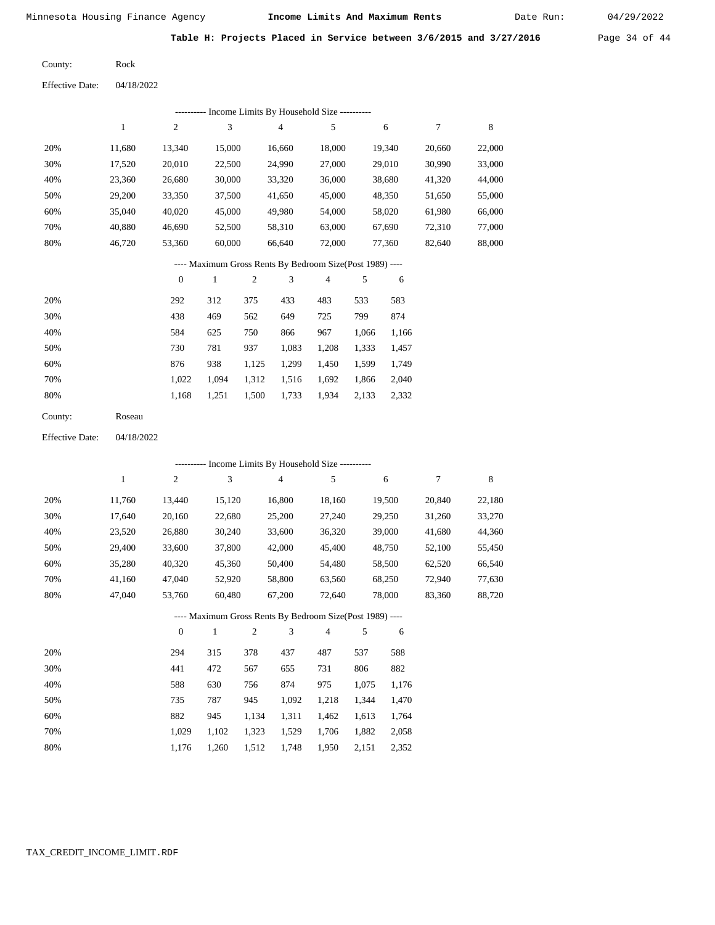Date Run:

Table H: Projects Placed in Service between 3/6/2015 and 3/27/2016 Page 34 of 44

Rock County:

04/18/2022 Effective Date:

|                        |              |                  |                             |                  | ---------- Income Limits By Household Size ----------    |            |       |        |        |             |
|------------------------|--------------|------------------|-----------------------------|------------------|----------------------------------------------------------|------------|-------|--------|--------|-------------|
|                        | $\mathbf{1}$ | $\sqrt{2}$       | $\ensuremath{\mathfrak{Z}}$ |                  | 4                                                        | $\sqrt{5}$ |       | 6      | $\tau$ | $\,$ 8 $\,$ |
| 20%                    | 11,680       | 13,340           | 15,000                      |                  | 16,660                                                   | 18,000     |       | 19,340 | 20,660 | 22,000      |
| 30%                    | 17,520       | 20,010           | 22,500                      |                  | 24,990                                                   | 27,000     |       | 29,010 | 30,990 | 33,000      |
| 40%                    | 23,360       | 26,680           | 30,000                      |                  | 33,320                                                   | 36,000     |       | 38,680 | 41,320 | 44,000      |
| 50%                    | 29,200       | 33,350           | 37,500                      |                  | 41,650                                                   | 45,000     |       | 48,350 | 51,650 | 55,000      |
| 60%                    | 35,040       | 40,020           | 45,000                      |                  | 49,980                                                   | 54,000     |       | 58,020 | 61,980 | 66,000      |
| 70%                    | 40,880       | 46,690           | 52,500                      |                  | 58,310                                                   | 63,000     |       | 67,690 | 72,310 | 77,000      |
| $80\%$                 | 46,720       | 53,360           |                             | 60,000<br>66,640 |                                                          | 72,000     |       | 77,360 | 82,640 | 88,000      |
|                        |              |                  |                             |                  | ---- Maximum Gross Rents By Bedroom Size(Post 1989) ---- |            |       |        |        |             |
|                        |              | $\boldsymbol{0}$ | $\mathbf{1}$                | $\mathbf{c}$     | 3                                                        | 4          | 5     | 6      |        |             |
| 20%                    |              | 292              | 312                         | 375              | 433                                                      | 483        | 533   | 583    |        |             |
| 30%                    |              | 438              | 469                         | 562              | 649                                                      | 725        | 799   | 874    |        |             |
| 40%                    |              | 584              | 625                         | 750              | 866                                                      | 967        | 1,066 | 1,166  |        |             |
| 50%                    |              | 730              | 781                         | 937              | 1,083                                                    | 1,208      | 1,333 | 1,457  |        |             |
| 60%                    |              | 876              | 938                         | 1,125            | 1,299                                                    | 1,450      | 1,599 | 1,749  |        |             |
| 70%                    |              | 1,022            | 1,094                       | 1,312            | 1,516                                                    | 1,692      | 1,866 | 2,040  |        |             |
| 80%                    |              | 1,168            | 1,251                       | 1,500            | 1,733                                                    | 1,934      | 2,133 | 2,332  |        |             |
| County:                | Roseau       |                  |                             |                  |                                                          |            |       |        |        |             |
| <b>Effective Date:</b> | 04/18/2022   |                  |                             |                  |                                                          |            |       |        |        |             |
|                        |              |                  |                             |                  | ---------- Income Limits By Household Size ----------    |            |       |        |        |             |
|                        | $\mathbf{1}$ | $\sqrt{2}$       | $\ensuremath{\mathfrak{Z}}$ |                  | 4                                                        | 5          |       | 6      | $\tau$ | $\,8\,$     |
| 20%                    | 11,760       | 13,440           | 15,120                      |                  | 16,800                                                   | 18,160     |       | 19,500 | 20,840 | 22,180      |
| 30%                    | 17,640       | 20,160           | 22,680                      |                  | 25,200                                                   | 27,240     |       | 29,250 | 31,260 | 33,270      |
| 40%                    | 23,520       | 26,880           | 30,240                      |                  | 33,600                                                   | 36,320     |       | 39,000 | 41,680 | 44,360      |
| 50%                    | 29,400       | 33,600           | 37,800                      |                  | 42,000                                                   | 45,400     |       | 48,750 | 52,100 | 55,450      |
| 60%                    | 35,280       | 40,320           | 45,360                      |                  | 50,400                                                   | 54,480     |       | 58,500 | 62,520 | 66,540      |
| 70%                    | 41,160       | 47,040           | 52,920                      |                  | 58,800                                                   | 63,560     |       | 68,250 | 72,940 | 77,630      |
| 80%                    | 47,040       | 53,760           | 60,480                      |                  | 67,200                                                   | 72,640     |       | 78,000 | 83,360 | 88,720      |
|                        |              |                  |                             |                  | ---- Maximum Gross Rents By Bedroom Size(Post 1989) ---- |            |       |        |        |             |
|                        |              | 0                | $\mathbf{1}$                | 2                | $\mathfrak{Z}$                                           | 4          | 5     | 6      |        |             |
| 20%                    |              | 294              | 315                         | 378              | 437                                                      | 487        | 537   | 588    |        |             |
|                        |              |                  |                             |                  |                                                          |            |       |        |        |             |
| 30%                    |              | 441              | 472                         | 567              | 655                                                      | 731        | 806   | 882    |        |             |
| 40%                    |              | 588              | 630                         | 756              | 874                                                      | 975        | 1,075 | 1,176  |        |             |
| 50%                    |              | 735              | 787                         | 945              | 1,092                                                    | 1,218      | 1,344 | 1,470  |        |             |

 1,029 1,102 1,323 1,529 1,706 1,882 2,058 1,176 1,260 1,512 1,748 1,950 2,151 2,352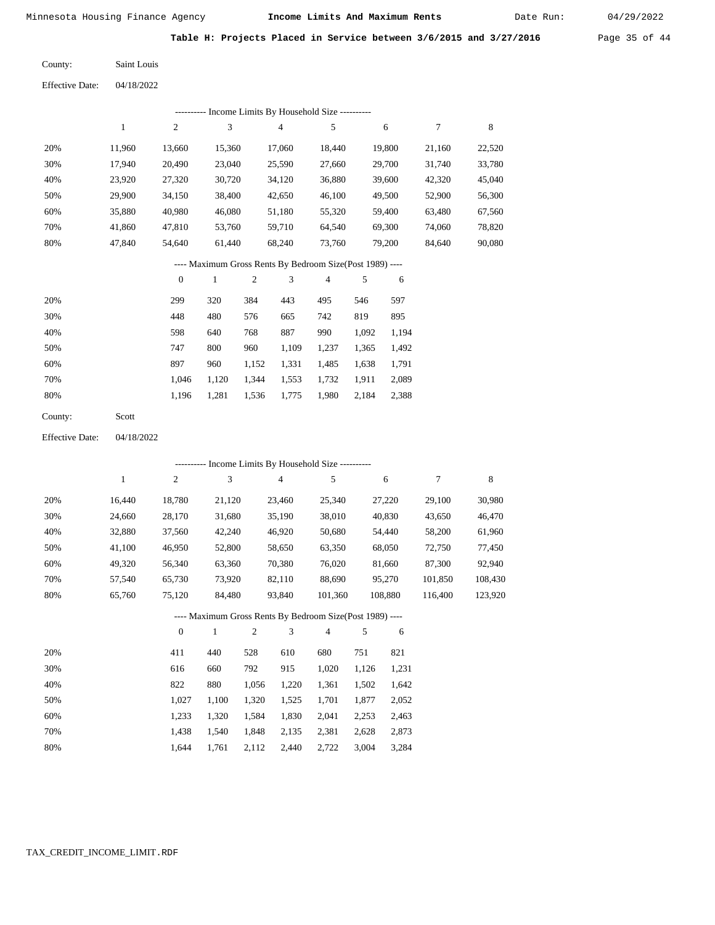Date Run:

Table H: Projects Placed in Service between 3/6/2015 and 3/27/2016 Page 35 of 44

| County: | Saint Louis |
|---------|-------------|
|         |             |

Effective Date: 04/18/2022

|                 |              |                  |              |                  |                         | --------- Income Limits By Household Size ----------     |       |         |                  |             |
|-----------------|--------------|------------------|--------------|------------------|-------------------------|----------------------------------------------------------|-------|---------|------------------|-------------|
|                 | $\,1$        | $\overline{c}$   | 3            |                  | $\overline{\mathbf{4}}$ | 5                                                        |       | 6       | $\tau$           | $\,$ 8 $\,$ |
| 20%             | 11,960       | 13,660           | 15,360       |                  | 17,060                  | 18,440                                                   |       | 19,800  | 21,160           | 22,520      |
| 30%             | 17,940       | 20,490           | 23,040       |                  | 25,590                  | 27,660                                                   |       | 29,700  | 31,740           | 33,780      |
| 40%             | 23,920       | 27,320           | 30,720       |                  | 34,120                  | 36,880                                                   |       | 39,600  | 42,320           | 45,040      |
| 50%             | 29,900       | 34,150           | 38,400       |                  | 42,650                  | 46,100                                                   |       | 49,500  | 52,900           | 56,300      |
| 60%             | 35,880       | 40,980           | 46,080       |                  | 51,180                  | 55,320                                                   |       | 59,400  | 63,480           | 67,560      |
| 70%             | 41,860       | 47,810           | 53,760       |                  | 59,710                  | 64,540                                                   |       | 69,300  | 74,060           | 78,820      |
| 80%             | 47,840       | 54,640           |              | 61,440<br>68,240 |                         | 73,760                                                   |       | 79,200  | 84,640           | 90,080      |
|                 |              |                  |              |                  |                         | ---- Maximum Gross Rents By Bedroom Size(Post 1989) ---- |       |         |                  |             |
|                 |              | $\boldsymbol{0}$ | $\mathbf{1}$ | $\sqrt{2}$       | 3                       | $\overline{4}$                                           | 5     | 6       |                  |             |
| 20%             |              | 299              | 320          | 384              | 443                     | 495                                                      | 546   | 597     |                  |             |
| 30%             |              | 448              | 480          | 576              | 665                     | 742                                                      | 819   | 895     |                  |             |
| 40%             |              | 598              | 640          | 768              | 887                     | 990                                                      | 1,092 | 1,194   |                  |             |
| 50%             |              | 747              | 800          | 960              | 1,109                   | 1,237                                                    | 1,365 | 1,492   |                  |             |
| 60%             |              | 897              | 960          | 1,152            | 1,331                   | 1,485                                                    | 1,638 | 1,791   |                  |             |
| 70%             |              | 1,046            | 1,120        | 1,344            | 1,553                   | 1,732                                                    | 1,911 | 2,089   |                  |             |
| 80%             |              | 1,196            | 1,281        | 1,536            | 1,775                   | 1,980                                                    | 2,184 | 2,388   |                  |             |
| County:         | Scott        |                  |              |                  |                         |                                                          |       |         |                  |             |
| Effective Date: | 04/18/2022   |                  |              |                  |                         |                                                          |       |         |                  |             |
|                 |              |                  |              |                  |                         |                                                          |       |         |                  |             |
|                 |              |                  |              |                  |                         | --------- Income Limits By Household Size ----------     |       |         |                  |             |
|                 | $\mathbf{1}$ | $\sqrt{2}$       | 3            |                  | $\overline{4}$          | 5                                                        |       | 6       | $\boldsymbol{7}$ | $\,$ 8 $\,$ |
| 20%             | 16,440       | 18,780           | 21,120       |                  | 23,460                  | 25,340                                                   |       | 27,220  | 29,100           | 30,980      |
| 30%             | 24,660       | 28,170           | 31,680       |                  | 35,190                  | 38,010                                                   |       | 40,830  | 43,650           | 46,470      |
| 40%             | 32,880       | 37,560           | 42,240       |                  | 46,920                  | 50,680                                                   |       | 54,440  | 58,200           | 61,960      |
| 50%             | 41,100       | 46,950           | 52,800       |                  | 58,650                  | 63,350                                                   |       | 68,050  | 72,750           | 77,450      |
| 60%             | 49,320       | 56,340           | 63,360       |                  | 70,380                  | 76,020                                                   |       | 81,660  | 87,300           | 92,940      |
| 70%             | 57,540       | 65,730           | 73,920       |                  | 82,110                  | 88,690                                                   |       | 95,270  | 101,850          | 108,430     |
| 80%             | 65,760       | 75,120           | 84,480       |                  | 93,840                  | 101,360                                                  |       | 108,880 | 116,400          | 123,920     |

---- Maximum Gross Rents By Bedroom Size(Post 1989) ----

|     | $\mathbf{0}$ |       | $\overline{c}$ | 3     | 4     | 5     | 6     |
|-----|--------------|-------|----------------|-------|-------|-------|-------|
| 20% | 411          | 440   | 528            | 610   | 680   | 751   | 821   |
| 30% | 616          | 660   | 792            | 915   | 1,020 | 1,126 | 1,231 |
| 40% | 822          | 880   | 1,056          | 1,220 | 1,361 | 1,502 | 1,642 |
| 50% | 1.027        | 1.100 | 1,320          | 1,525 | 1,701 | 1,877 | 2,052 |
| 60% | 1,233        | 1.320 | 1,584          | 1,830 | 2,041 | 2,253 | 2,463 |
| 70% | 1.438        | 1.540 | 1,848          | 2,135 | 2,381 | 2,628 | 2,873 |
| 80% | 1,644        | 1.761 | 2,112          | 2,440 | 2,722 | 3,004 | 3,284 |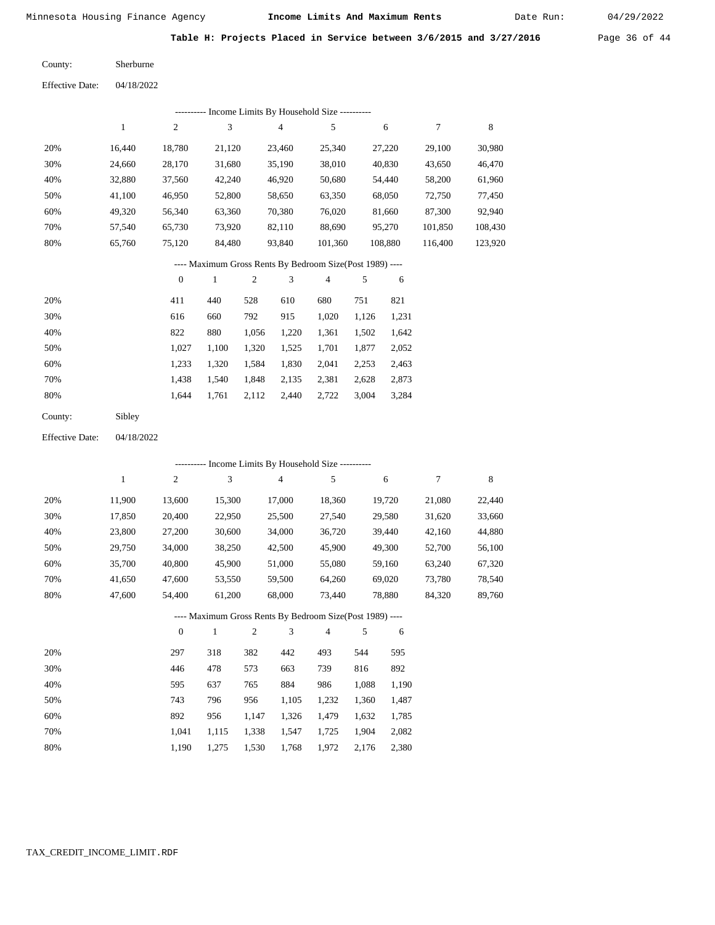Date Run:

Table H: Projects Placed in Service between 3/6/2015 and 3/27/2016 Page 36 of 44

Sherburne County:

04/18/2022 Effective Date:

|     | -- Income Limits By Household Size ---------- |        |        |        |         |         |         |         |  |  |  |  |
|-----|-----------------------------------------------|--------|--------|--------|---------|---------|---------|---------|--|--|--|--|
|     |                                               | 2      | 3      | 4      | 5       | 6       |         | 8       |  |  |  |  |
| 20% | 16.440                                        | 18.780 | 21,120 | 23,460 | 25,340  | 27,220  | 29,100  | 30,980  |  |  |  |  |
| 30% | 24.660                                        | 28,170 | 31,680 | 35,190 | 38,010  | 40,830  | 43,650  | 46,470  |  |  |  |  |
| 40% | 32,880                                        | 37,560 | 42,240 | 46,920 | 50,680  | 54,440  | 58,200  | 61,960  |  |  |  |  |
| 50% | 41,100                                        | 46,950 | 52,800 | 58,650 | 63,350  | 68,050  | 72,750  | 77,450  |  |  |  |  |
| 60% | 49,320                                        | 56,340 | 63,360 | 70,380 | 76,020  | 81,660  | 87,300  | 92,940  |  |  |  |  |
| 70% | 57,540                                        | 65,730 | 73,920 | 82,110 | 88,690  | 95,270  | 101,850 | 108,430 |  |  |  |  |
| 80% | 65,760                                        | 75,120 | 84,480 | 93,840 | 101,360 | 108,880 | 116,400 | 123,920 |  |  |  |  |

## ---- Maximum Gross Rents By Bedroom Size(Post 1989) ----

|     | $\mathbf{0}$ |       | $\overline{c}$ | 3     | 4     | 5     | 6     |
|-----|--------------|-------|----------------|-------|-------|-------|-------|
| 20% | 411          | 440   | 528            | 610   | 680   | 751   | 821   |
| 30% | 616          | 660   | 792            | 915   | 1,020 | 1,126 | 1,231 |
| 40% | 822          | 880   | 1,056          | 1,220 | 1,361 | 1,502 | 1,642 |
| 50% | 1.027        | 1.100 | 1,320          | 1,525 | 1,701 | 1,877 | 2,052 |
| 60% | 1,233        | 1,320 | 1,584          | 1,830 | 2,041 | 2,253 | 2,463 |
| 70% | 1.438        | 1.540 | 1,848          | 2,135 | 2,381 | 2,628 | 2,873 |
| 80% | 1.644        | 1,761 | 2,112          | 2,440 | 2,722 | 3,004 | 3,284 |
|     |              |       |                |       |       |       |       |

| Sibley |
|--------|
|        |

04/18/2022 Effective Date:

|     | ---------- Income Limits By Household Size ---------- |                |        |                |                |                                                          |       |        |        |        |  |
|-----|-------------------------------------------------------|----------------|--------|----------------|----------------|----------------------------------------------------------|-------|--------|--------|--------|--|
|     | $\mathbf{1}$                                          | $\overline{c}$ | 3      |                | $\overline{4}$ | 5                                                        |       | 6      | $\tau$ | 8      |  |
| 20% | 11,900                                                | 13,600         | 15,300 |                | 17,000         | 18,360                                                   |       | 19,720 | 21,080 | 22,440 |  |
| 30% | 17,850                                                | 20,400         | 22,950 |                | 25,500         | 27,540                                                   |       | 29,580 | 31,620 | 33,660 |  |
| 40% | 23,800                                                | 27,200         | 30,600 |                | 34,000         | 36,720                                                   |       | 39,440 | 42,160 | 44,880 |  |
| 50% | 29,750                                                | 34,000         | 38,250 |                | 42,500         | 45,900                                                   |       | 49,300 | 52,700 | 56,100 |  |
| 60% | 35,700                                                | 40,800         | 45,900 |                | 51,000         | 55,080                                                   |       | 59,160 | 63,240 | 67,320 |  |
| 70% | 41,650                                                | 47,600         | 53,550 |                | 59,500         | 64,260                                                   |       | 69,020 | 73,780 | 78,540 |  |
| 80% | 47,600                                                | 54,400         | 61,200 |                | 68,000         | 73,440                                                   |       | 78,880 | 84,320 | 89,760 |  |
|     |                                                       |                |        |                |                | ---- Maximum Gross Rents By Bedroom Size(Post 1989) ---- |       |        |        |        |  |
|     |                                                       | $\overline{0}$ | 1      | $\mathfrak{2}$ | 3              | 4                                                        | 5     | 6      |        |        |  |
| 20% |                                                       | 297            | 318    | 382            | 442            | 493                                                      | 544   | 595    |        |        |  |
| 30% |                                                       | 446            | 478    | 573            | 663            | 739                                                      | 816   | 892    |        |        |  |
| 40% |                                                       | 595            | 637    | 765            | 884            | 986                                                      | 1,088 | 1,190  |        |        |  |
| 50% |                                                       | 743            | 796    | 956            | 1,105          | 1,232                                                    | 1,360 | 1,487  |        |        |  |
| 60% |                                                       | 892            | 956    | 1,147          | 1,326          | 1,479                                                    | 1,632 | 1,785  |        |        |  |
| 70% |                                                       | 1,041          | 1,115  | 1,338          | 1,547          | 1,725                                                    | 1,904 | 2,082  |        |        |  |

1,768 1,972 2,176

2,380

1,190

1,275 1,530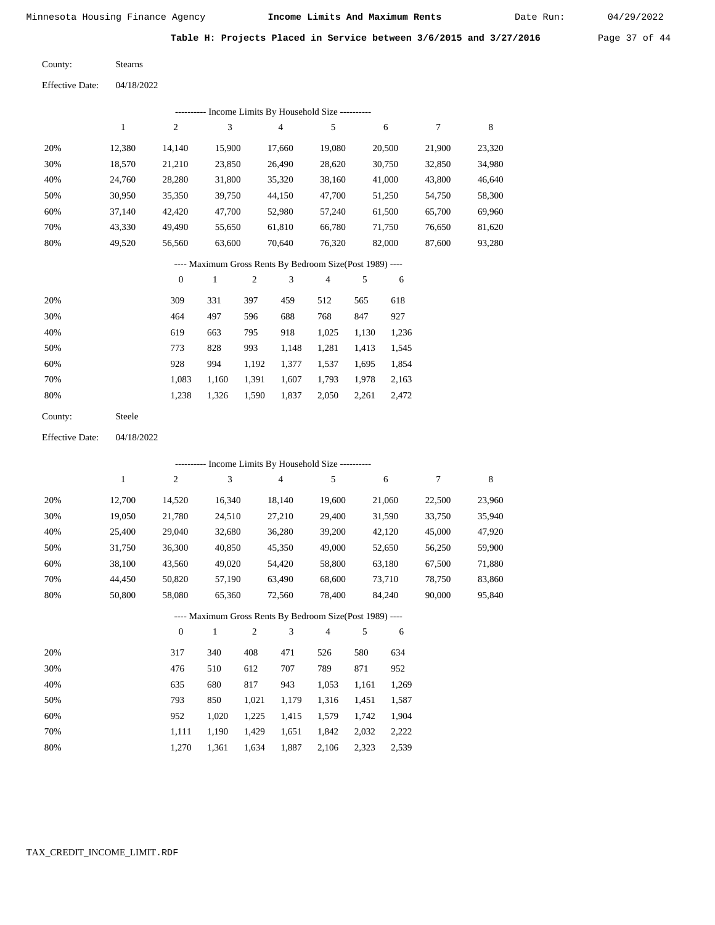Date Run:

Table H: Projects Placed in Service between 3/6/2015 and 3/27/2016 Page 37 of 44

Stearns County:

04/18/2022 Effective Date:

|     |        |        |        | ---------- Income Limits By Household Size ---------- |        |        |        |        |
|-----|--------|--------|--------|-------------------------------------------------------|--------|--------|--------|--------|
|     |        | 2      | 3      | 4                                                     | 5      | 6      | 7      | 8      |
| 20% | 12.380 | 14.140 | 15,900 | 17.660                                                | 19,080 | 20,500 | 21,900 | 23,320 |
| 30% | 18,570 | 21,210 | 23,850 | 26,490                                                | 28,620 | 30,750 | 32,850 | 34,980 |
| 40% | 24,760 | 28,280 | 31,800 | 35,320                                                | 38,160 | 41,000 | 43,800 | 46,640 |
| 50% | 30,950 | 35,350 | 39,750 | 44,150                                                | 47,700 | 51,250 | 54,750 | 58,300 |
| 60% | 37,140 | 42,420 | 47,700 | 52,980                                                | 57,240 | 61,500 | 65,700 | 69,960 |
| 70% | 43,330 | 49.490 | 55,650 | 61,810                                                | 66,780 | 71,750 | 76,650 | 81,620 |
| 80% | 49,520 | 56,560 | 63,600 | 70,640                                                | 76,320 | 82,000 | 87,600 | 93,280 |
|     |        |        |        |                                                       |        |        |        |        |

#### ---- Maximum Gross Rents By Bedroom Size(Post 1989) ----

|     | $\mathbf{0}$ |       | 2     | 3     | 4     | 5     | 6     |
|-----|--------------|-------|-------|-------|-------|-------|-------|
| 20% | 309          | 331   | 397   | 459   | 512   | 565   | 618   |
| 30% | 464          | 497   | 596   | 688   | 768   | 847   | 927   |
| 40% | 619          | 663   | 795   | 918   | 1,025 | 1,130 | 1,236 |
| 50% | 773          | 828   | 993   | 1,148 | 1,281 | 1,413 | 1,545 |
| 60% | 928          | 994   | 1,192 | 1,377 | 1,537 | 1.695 | 1,854 |
| 70% | 1,083        | 1,160 | 1,391 | 1,607 | 1,793 | 1,978 | 2,163 |
| 80% | 1,238        | 1,326 | 1,590 | 1,837 | 2,050 | 2,261 | 2,472 |
|     |              |       |       |       |       |       |       |

Steele County:

04/18/2022 Effective Date:

|     |        |                | --------- Income Limits By Household Size ----------     |                |                |        |       |        |        |        |
|-----|--------|----------------|----------------------------------------------------------|----------------|----------------|--------|-------|--------|--------|--------|
|     | 1      | $\overline{c}$ | 3                                                        |                | $\overline{4}$ | 5      |       | 6      | $\tau$ | 8      |
| 20% | 12,700 | 14,520         | 16,340                                                   |                | 18,140         | 19,600 |       | 21,060 | 22,500 | 23,960 |
| 30% | 19,050 | 21,780         | 24,510                                                   |                | 27,210         | 29,400 |       | 31,590 | 33,750 | 35,940 |
| 40% | 25,400 | 29,040         | 32,680                                                   |                | 36,280         | 39,200 |       | 42,120 | 45,000 | 47,920 |
| 50% | 31,750 | 36,300         | 40,850                                                   |                | 45,350         | 49,000 |       | 52,650 | 56,250 | 59,900 |
| 60% | 38,100 | 43,560         | 49,020                                                   |                | 54,420         | 58,800 |       | 63,180 | 67,500 | 71,880 |
| 70% | 44,450 | 50,820         | 57,190                                                   |                | 63,490         | 68,600 |       | 73,710 | 78,750 | 83,860 |
| 80% | 50,800 | 58,080         | 65,360                                                   |                | 72,560         | 78,400 |       | 84,240 | 90,000 | 95,840 |
|     |        |                | ---- Maximum Gross Rents By Bedroom Size(Post 1989) ---- |                |                |        |       |        |        |        |
|     |        | $\overline{0}$ | 1                                                        | $\overline{c}$ | 3              | 4      | 5     | 6      |        |        |
| 20% |        | 317            | 340                                                      | 408            | 471            | 526    | 580   | 634    |        |        |
| 30% |        | 476            | 510                                                      | 612            | 707            | 789    | 871   | 952    |        |        |
| 40% |        | 635            | 680                                                      | 817            | 943            | 1,053  | 1,161 | 1,269  |        |        |
| 50% |        | 793            | 850                                                      | 1,021          | 1,179          | 1,316  | 1,451 | 1,587  |        |        |

|  |  | 1,111 1,190 1,429 1,651 1,842 2,032 2,222 |  |
|--|--|-------------------------------------------|--|
|  |  | 1,270 1,361 1,634 1,887 2,106 2,323 2,539 |  |

1,225

1,415

1,579

1,742

1,904

1,020

952

 60% 70% 80%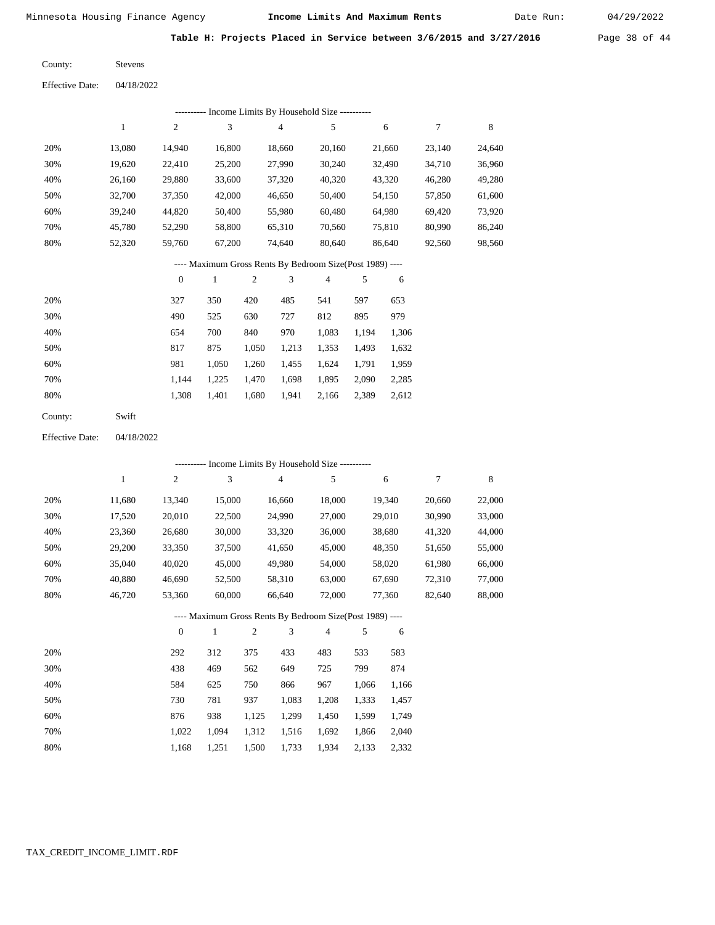Date Run:

Table H: Projects Placed in Service between 3/6/2015 and 3/27/2016 Page 38 of 44

Stevens County:

04/18/2022 Effective Date:

|     | ---------- Income Limits By Household Size ---------- |        |        |        |        |        |        |        |  |  |  |  |
|-----|-------------------------------------------------------|--------|--------|--------|--------|--------|--------|--------|--|--|--|--|
|     |                                                       | 2      | 3      | 4      | 5      | 6      | 7      | 8      |  |  |  |  |
| 20% | 13.080                                                | 14,940 | 16,800 | 18,660 | 20,160 | 21,660 | 23.140 | 24,640 |  |  |  |  |
| 30% | 19,620                                                | 22,410 | 25,200 | 27,990 | 30,240 | 32.490 | 34,710 | 36,960 |  |  |  |  |
| 40% | 26,160                                                | 29,880 | 33,600 | 37,320 | 40,320 | 43,320 | 46,280 | 49,280 |  |  |  |  |
| 50% | 32,700                                                | 37,350 | 42,000 | 46,650 | 50,400 | 54,150 | 57,850 | 61,600 |  |  |  |  |
| 60% | 39.240                                                | 44.820 | 50,400 | 55,980 | 60.480 | 64,980 | 69.420 | 73,920 |  |  |  |  |
| 70% | 45.780                                                | 52,290 | 58,800 | 65,310 | 70,560 | 75,810 | 80,990 | 86,240 |  |  |  |  |
| 80% | 52,320                                                | 59,760 | 67,200 | 74,640 | 80,640 | 86,640 | 92,560 | 98,560 |  |  |  |  |
|     |                                                       |        |        |        |        |        |        |        |  |  |  |  |

#### ---- Maximum Gross Rents By Bedroom Size(Post 1989) ----

|     | $\mathbf{0}$ |       | $\overline{c}$ | 3     | 4     | 5     | 6     |
|-----|--------------|-------|----------------|-------|-------|-------|-------|
| 20% | 327          | 350   | 420            | 485   | 541   | 597   | 653   |
| 30% | 490          | 525   | 630            | 727   | 812   | 895   | 979   |
| 40% | 654          | 700   | 840            | 970   | 1,083 | 1,194 | 1,306 |
| 50% | 817          | 875   | 1,050          | 1,213 | 1,353 | 1,493 | 1,632 |
| 60% | 981          | 1,050 | 1,260          | 1,455 | 1,624 | 1.791 | 1,959 |
| 70% | 1.144        | 1,225 | 1,470          | 1,698 | 1,895 | 2,090 | 2,285 |
| 80% | 1,308        | 1,401 | 1,680          | 1,941 | 2,166 | 2,389 | 2,612 |
|     |              |       |                |       |       |       |       |

Swift County:

04/18/2022 Effective Date:

|     |        |                  |        |                |        | ---------- Income Limits By Household Size ----------    |       |        |        |             |
|-----|--------|------------------|--------|----------------|--------|----------------------------------------------------------|-------|--------|--------|-------------|
|     | 1      | $\boldsymbol{2}$ | 3      |                | 4      | 5                                                        |       | 6      | 7      | $\,$ 8 $\,$ |
| 20% | 11,680 | 13,340           | 15,000 |                | 16,660 | 18,000                                                   |       | 19,340 | 20,660 | 22,000      |
| 30% | 17,520 | 20,010           | 22,500 |                | 24,990 | 27,000                                                   |       | 29,010 | 30,990 | 33,000      |
| 40% | 23,360 | 26,680           | 30,000 |                | 33,320 | 36,000                                                   |       | 38,680 | 41,320 | 44,000      |
| 50% | 29,200 | 33,350           | 37,500 |                | 41,650 | 45,000                                                   |       | 48,350 | 51,650 | 55,000      |
| 60% | 35,040 | 40,020           | 45,000 |                | 49,980 | 54,000                                                   |       | 58,020 | 61,980 | 66,000      |
| 70% | 40,880 | 46,690           | 52,500 |                | 58,310 | 63,000                                                   |       | 67,690 | 72,310 | 77,000      |
| 80% | 46,720 | 53,360           | 60,000 |                | 66,640 | 72,000                                                   |       | 77,360 | 82,640 | 88,000      |
|     |        |                  |        |                |        | ---- Maximum Gross Rents By Bedroom Size(Post 1989) ---- |       |        |        |             |
|     |        | $\overline{0}$   | 1      | $\overline{2}$ | 3      | $\overline{4}$                                           | 5     | 6      |        |             |
| 20% |        | 292              | 312    | 375            | 433    | 483                                                      | 533   | 583    |        |             |
| 30% |        | 438              | 469    | 562            | 649    | 725                                                      | 799   | 874    |        |             |
| 40% |        | 584              | 625    | 750            | 866    | 967                                                      | 1,066 | 1,166  |        |             |
| 50% |        | 730              | 781    | 937            | 1,083  | 1,208                                                    | 1,333 | 1,457  |        |             |
| 60% |        | 876              | 938    | 1,125          | 1,299  | 1,450                                                    | 1,599 | 1,749  |        |             |
| 70% |        | 1,022            | 1,094  | 1,312          | 1,516  | 1,692                                                    | 1,866 | 2,040  |        |             |

1,934

2,133

2,332

1,733

1,168

1,251

1,500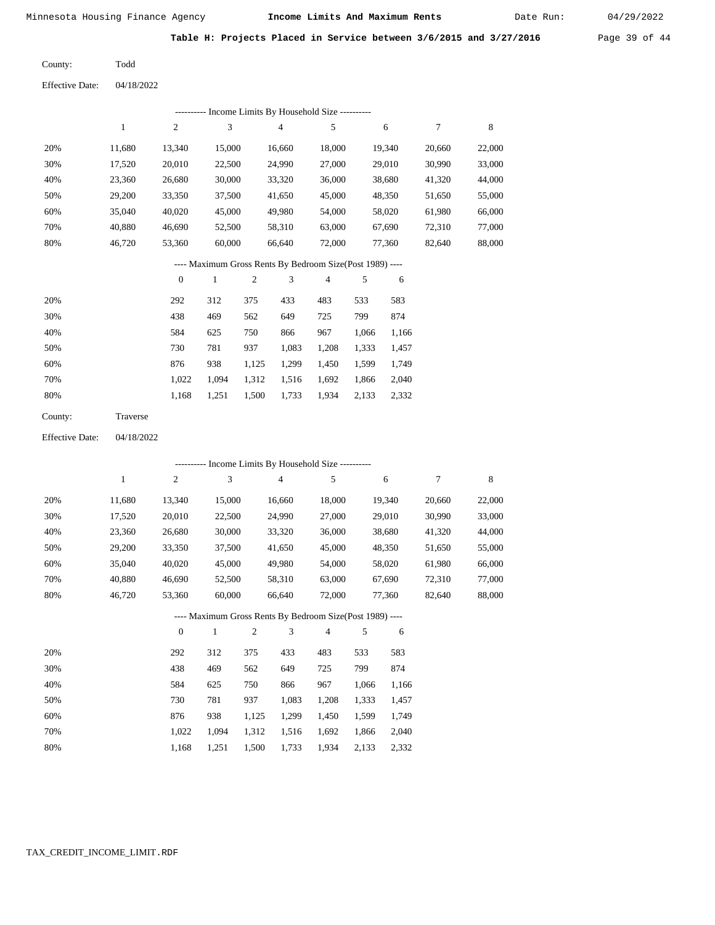Date Run:

Table H: Projects Placed in Service between 3/6/2015 and 3/27/2016 Page 39 of 44

Todd County:

04/18/2022 Effective Date:

|                        |                                                          |                  |              |                  | ---------- Income Limits By Household Size ----------    |                |        |        |                  |         |  |  |
|------------------------|----------------------------------------------------------|------------------|--------------|------------------|----------------------------------------------------------|----------------|--------|--------|------------------|---------|--|--|
|                        | $\mathbf{1}$                                             | $\mathbf{2}$     | 3            |                  | $\overline{4}$                                           | 5              |        | 6      | $\boldsymbol{7}$ | $\,8\,$ |  |  |
| 20%                    | 11,680                                                   | 13,340           | 15,000       |                  | 16,660                                                   | 18,000         |        | 19,340 | 20,660           | 22,000  |  |  |
| 30%                    | 17,520                                                   | 20,010           | 22,500       |                  | 24,990                                                   | 27,000         |        | 29,010 | 30,990           | 33,000  |  |  |
| 40%                    | 23,360                                                   | 26,680           |              | 30,000<br>33,320 |                                                          | 36,000         |        | 38,680 | 41,320           | 44,000  |  |  |
| 50%                    | 29,200                                                   | 33,350           |              | 37,500<br>41,650 |                                                          | 45,000         |        | 48,350 | 51,650           | 55,000  |  |  |
| 60%                    | 35,040                                                   | 40,020           |              | 45,000<br>49,980 |                                                          | 54,000         |        | 58,020 | 61,980           | 66,000  |  |  |
| 70%                    | 40,880                                                   | 46,690           | 52,500       |                  | 58,310                                                   | 63,000         |        | 67,690 | 72,310           | 77,000  |  |  |
| 80%                    | 46,720                                                   | 53,360           |              | 60,000<br>66,640 |                                                          | 72,000         | 77,360 |        | 82,640           | 88,000  |  |  |
|                        | ---- Maximum Gross Rents By Bedroom Size(Post 1989) ---- |                  |              |                  |                                                          |                |        |        |                  |         |  |  |
|                        |                                                          | $\boldsymbol{0}$ | $\mathbf{1}$ | $\mathfrak{2}$   | 3                                                        | $\overline{4}$ | 5      | 6      |                  |         |  |  |
| 20%                    |                                                          | 292              | 312          | 375              | 433                                                      | 483            | 533    | 583    |                  |         |  |  |
| 30%                    |                                                          | 438              | 469          | 562              | 649                                                      | 725            | 799    | 874    |                  |         |  |  |
| 40%                    |                                                          | 584              | 625          | 750              | 866                                                      | 967            | 1,066  | 1,166  |                  |         |  |  |
| 50%                    |                                                          | 730              | 781          | 937              | 1,083                                                    | 1,208          | 1,333  | 1,457  |                  |         |  |  |
| 60%                    |                                                          | 876              | 938          | 1,125            | 1,299                                                    | 1,450          | 1,599  | 1,749  |                  |         |  |  |
| 70%                    |                                                          | 1,022            | 1,094        | 1,312            | 1,516                                                    | 1,692          | 1,866  | 2,040  |                  |         |  |  |
| 80%                    |                                                          | 1,168            | 1,251        | 1,500            | 1,733                                                    | 1,934          | 2,133  | 2,332  |                  |         |  |  |
| County:                | Traverse                                                 |                  |              |                  |                                                          |                |        |        |                  |         |  |  |
| <b>Effective Date:</b> | 04/18/2022                                               |                  |              |                  |                                                          |                |        |        |                  |         |  |  |
|                        |                                                          |                  |              |                  | ---------- Income Limits By Household Size ----------    |                |        |        |                  |         |  |  |
|                        | $\mathbf{1}$                                             | $\overline{c}$   | 3            |                  | $\overline{\mathbf{4}}$                                  | 5              |        | 6      | $\tau$           | 8       |  |  |
| 20%                    | 11,680                                                   | 13,340           | 15,000       |                  | 16,660                                                   | 18,000         |        | 19,340 | 20,660           | 22,000  |  |  |
| 30%                    | 17,520                                                   | 20,010           | 22,500       |                  | 24,990                                                   | 27,000         |        | 29,010 | 30,990           | 33,000  |  |  |
| 40%                    | 23,360                                                   | 26,680           | 30,000       |                  | 33,320                                                   | 36,000         |        | 38,680 | 41,320           | 44,000  |  |  |
| 50%                    | 29,200                                                   | 33,350           | 37,500       |                  | 41,650                                                   | 45,000         |        | 48,350 | 51,650           | 55,000  |  |  |
| 60%                    | 35,040                                                   | 40,020           | 45,000       |                  | 49,980                                                   | 54,000         |        | 58,020 | 61,980           | 66,000  |  |  |
| 70%                    | 40,880                                                   | 46,690           | 52,500       |                  | 58,310                                                   | 63,000         |        | 67,690 | 72,310           | 77,000  |  |  |
| 80%                    | 46,720                                                   | 53,360           | 60,000       |                  | 66,640                                                   | 72,000         |        | 77,360 | 82,640           | 88,000  |  |  |
|                        |                                                          |                  |              |                  | ---- Maximum Gross Rents By Bedroom Size(Post 1989) ---- |                |        |        |                  |         |  |  |
|                        |                                                          | $\boldsymbol{0}$ | $\mathbf{1}$ | $\overline{c}$   | 3                                                        | $\overline{4}$ | 5      | 6      |                  |         |  |  |
| 20%                    |                                                          | 292              | 312          | 375              | 433                                                      | 483            | 533    | 583    |                  |         |  |  |
| 30%                    |                                                          | 438              | 469          | 562              | 649                                                      | 725            | 799    | 874    |                  |         |  |  |

| - 20 70 | 490   | ナリフ         | JUZ.  | $1 + 7$                 |             | $123$ $133$ $01$ + |             |
|---------|-------|-------------|-------|-------------------------|-------------|--------------------|-------------|
| 40%     | 584   | 625         | 750   | 866                     | 967         |                    | 1,066 1,166 |
| 50%     | 730   | 781         | 937   |                         | 1.083 1.208 | 1,333              | 1,457       |
| 60%     | 876   | 938         | 1.125 | 1,299 1,450 1,599 1,749 |             |                    |             |
| 70%     | 1.022 | 1.094 1.312 |       | 1,516 1,692             |             | 1,866 2,040        |             |
| 80%     | 1.168 | 1,251       | 1,500 | 1,733 1,934 2,133       |             |                    | 2,332       |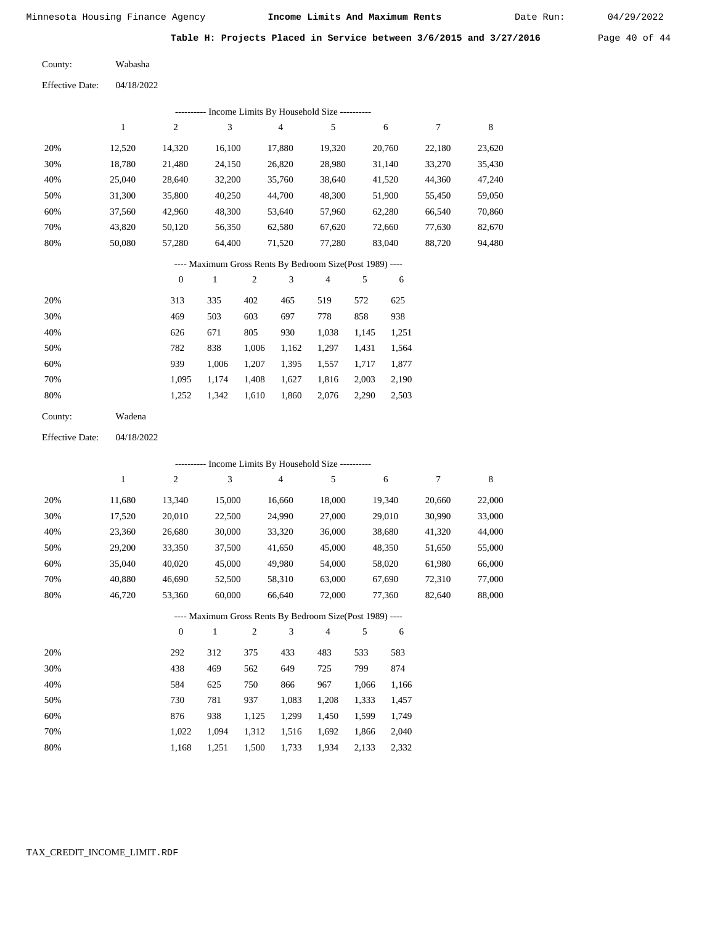Date Run:

Table H: Projects Placed in Service between 3/6/2015 and 3/27/2016 Page 40 of 44

Wabasha County:

04/18/2022 Effective Date:

|     | ---------- Income Limits By Household Size ---------- |                |        |        |        |        |        |        |  |  |  |  |  |
|-----|-------------------------------------------------------|----------------|--------|--------|--------|--------|--------|--------|--|--|--|--|--|
|     |                                                       | $\overline{c}$ | 3      | 4      | 5      | 6      |        | 8      |  |  |  |  |  |
| 20% | 12.520                                                | 14,320         | 16,100 | 17,880 | 19,320 | 20,760 | 22,180 | 23,620 |  |  |  |  |  |
| 30% | 18,780                                                | 21,480         | 24,150 | 26,820 | 28,980 | 31,140 | 33,270 | 35,430 |  |  |  |  |  |
| 40% | 25,040                                                | 28,640         | 32,200 | 35,760 | 38,640 | 41,520 | 44,360 | 47,240 |  |  |  |  |  |
| 50% | 31,300                                                | 35,800         | 40,250 | 44,700 | 48,300 | 51,900 | 55,450 | 59,050 |  |  |  |  |  |
| 60% | 37,560                                                | 42,960         | 48,300 | 53.640 | 57.960 | 62,280 | 66,540 | 70,860 |  |  |  |  |  |
| 70% | 43,820                                                | 50,120         | 56,350 | 62,580 | 67,620 | 72,660 | 77,630 | 82,670 |  |  |  |  |  |
| 80% | 50.080                                                | 57,280         | 64,400 | 71,520 | 77,280 | 83,040 | 88,720 | 94,480 |  |  |  |  |  |
|     |                                                       |                |        |        |        |        |        |        |  |  |  |  |  |

---- Maximum Gross Rents By Bedroom Size(Post 1989) ----

|     | $\theta$ |       | $\overline{2}$ | 3     | 4     | 5     | 6     |
|-----|----------|-------|----------------|-------|-------|-------|-------|
| 20% | 313      | 335   | 402            | 465   | 519   | 572   | 625   |
| 30% | 469      | 503   | 603            | 697   | 778   | 858   | 938   |
| 40% | 626      | 671   | 805            | 930   | 1,038 | 1,145 | 1,251 |
| 50% | 782      | 838   | 1,006          | 1,162 | 1,297 | 1,431 | 1,564 |
| 60% | 939      | 1.006 | 1,207          | 1,395 | 1,557 | 1,717 | 1,877 |
| 70% | 1.095    | 1.174 | 1,408          | 1,627 | 1,816 | 2,003 | 2,190 |
| 80% | 1,252    | 1,342 | 1,610          | 1,860 | 2,076 | 2,290 | 2,503 |
|     |          |       |                |       |       |       |       |

| County: | Wadena |
|---------|--------|
|---------|--------|

04/18/2022 Effective Date:

|     | ---------- Income Limits By Household Size ---------- |                |              |                |                |                                                          |       |        |        |        |  |
|-----|-------------------------------------------------------|----------------|--------------|----------------|----------------|----------------------------------------------------------|-------|--------|--------|--------|--|
|     | $\mathbf{1}$                                          | $\overline{c}$ | 3            |                | $\overline{4}$ | 5                                                        |       | 6      | 7      | 8      |  |
| 20% | 11,680                                                | 13,340         | 15,000       |                | 16,660         | 18,000                                                   |       | 19,340 | 20,660 | 22,000 |  |
| 30% | 17,520                                                | 20,010         | 22,500       |                | 24,990         | 27,000                                                   |       | 29,010 | 30,990 | 33,000 |  |
| 40% | 23,360                                                | 26,680         | 30,000       |                | 33,320         | 36,000                                                   |       | 38,680 | 41,320 | 44,000 |  |
| 50% | 29,200                                                | 33,350         | 37,500       |                | 41,650         | 45,000                                                   |       | 48,350 | 51,650 | 55,000 |  |
| 60% | 35,040                                                | 40,020         | 45,000       |                | 49,980         | 54,000                                                   |       | 58,020 | 61,980 | 66,000 |  |
| 70% | 40,880                                                | 46,690         | 52,500       |                | 58,310         | 63,000                                                   |       | 67,690 | 72,310 | 77,000 |  |
| 80% | 46,720                                                | 53,360         | 60,000       |                | 66,640         | 72,000                                                   |       | 77,360 | 82,640 | 88,000 |  |
|     |                                                       |                |              |                |                | ---- Maximum Gross Rents By Bedroom Size(Post 1989) ---- |       |        |        |        |  |
|     |                                                       | $\overline{0}$ | $\mathbf{1}$ | $\overline{2}$ | 3              | $\overline{4}$                                           | 5     | 6      |        |        |  |
| 20% |                                                       | 292            | 312          | 375            | 433            | 483                                                      | 533   | 583    |        |        |  |
| 30% |                                                       | 438            | 469          | 562            | 649            | 725                                                      | 799   | 874    |        |        |  |
| 40% |                                                       | 584            | 625          | 750            | 866            | 967                                                      | 1,066 | 1,166  |        |        |  |
| 50% |                                                       | 730            | 781          | 937            | 1,083          | 1,208                                                    | 1,333 | 1,457  |        |        |  |
| 60% |                                                       | 876            | 938          | 1,125          | 1,299          | 1,450                                                    | 1,599 | 1,749  |        |        |  |
| 70% |                                                       | 1,022          | 1,094        | 1,312          | 1,516          | 1,692                                                    | 1,866 | 2,040  |        |        |  |

1,500 1,733

1,934 2,133 2,332

1,168 1,251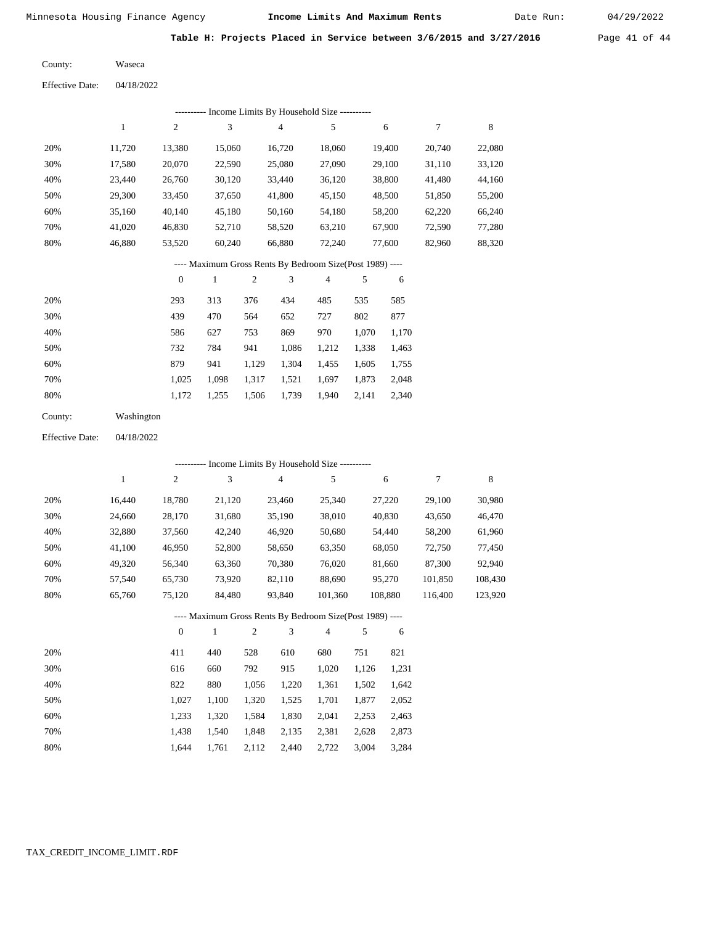Date Run:

Table H: Projects Placed in Service between 3/6/2015 and 3/27/2016 Page 41 of 44

Waseca County:

04/18/2022 Effective Date:

|     | Income Limits By Household Size ---------- |                |        |        |        |        |        |        |  |  |  |  |  |
|-----|--------------------------------------------|----------------|--------|--------|--------|--------|--------|--------|--|--|--|--|--|
|     |                                            | $\overline{c}$ | 3      | 4      | 5      | 6      |        | 8      |  |  |  |  |  |
| 20% | 11.720                                     | 13.380         | 15,060 | 16.720 | 18.060 | 19.400 | 20,740 | 22,080 |  |  |  |  |  |
| 30% | 17,580                                     | 20,070         | 22,590 | 25,080 | 27,090 | 29,100 | 31,110 | 33,120 |  |  |  |  |  |
| 40% | 23.440                                     | 26,760         | 30,120 | 33,440 | 36,120 | 38,800 | 41,480 | 44,160 |  |  |  |  |  |
| 50% | 29,300                                     | 33,450         | 37,650 | 41,800 | 45,150 | 48,500 | 51,850 | 55,200 |  |  |  |  |  |
| 60% | 35,160                                     | 40,140         | 45,180 | 50,160 | 54,180 | 58,200 | 62,220 | 66,240 |  |  |  |  |  |
| 70% | 41.020                                     | 46,830         | 52,710 | 58,520 | 63,210 | 67,900 | 72,590 | 77,280 |  |  |  |  |  |
| 80% | 46.880                                     | 53,520         | 60,240 | 66,880 | 72,240 | 77,600 | 82,960 | 88,320 |  |  |  |  |  |

## ---- Maximum Gross Rents By Bedroom Size(Post 1989) ----

|     | $\mathbf{0}$ |       | 2     | 3     | 4     | 5     | 6     |
|-----|--------------|-------|-------|-------|-------|-------|-------|
| 20% | 293          | 313   | 376   | 434   | 485   | 535   | 585   |
| 30% | 439          | 470   | 564   | 652   | 727   | 802   | 877   |
| 40% | 586          | 627   | 753   | 869   | 970   | 1,070 | 1,170 |
| 50% | 732          | 784   | 941   | 1,086 | 1,212 | 1,338 | 1,463 |
| 60% | 879          | 941   | 1,129 | 1,304 | 1,455 | 1,605 | 1,755 |
| 70% | 1.025        | 1.098 | 1,317 | 1,521 | 1,697 | 1,873 | 2,048 |
| 80% | 1,172        | 1,255 | 1,506 | 1,739 | 1,940 | 2,141 | 2,340 |
|     |              |       |       |       |       |       |       |

| County: | Washington |
|---------|------------|
|         |            |

04/18/2022 Effective Date:

|      |        |          |        |     |        | ---------- Income Limits By Household Size ----------    |       |         |         |         |
|------|--------|----------|--------|-----|--------|----------------------------------------------------------|-------|---------|---------|---------|
|      | 1      | 2        | 3      |     | 4      | 5                                                        |       | 6       | 7       | 8       |
| 20%  | 16,440 | 18,780   | 21,120 |     | 23,460 | 25,340                                                   |       | 27,220  | 29,100  | 30,980  |
| 30%  | 24,660 | 28,170   | 31,680 |     | 35,190 | 38,010                                                   |       | 40,830  | 43,650  | 46,470  |
| 40%  | 32,880 | 37,560   | 42,240 |     | 46,920 | 50,680                                                   |       | 54,440  | 58,200  | 61,960  |
| 50%  | 41,100 | 46,950   | 52,800 |     | 58,650 | 63,350                                                   |       | 68,050  | 72,750  | 77,450  |
| 60%  | 49,320 | 56,340   | 63,360 |     | 70,380 | 76,020                                                   |       | 81,660  | 87,300  | 92,940  |
| 70%  | 57,540 | 65,730   | 73,920 |     | 82,110 | 88,690                                                   |       | 95,270  | 101,850 | 108,430 |
| 80%  | 65,760 | 75,120   | 84,480 |     | 93,840 | 101,360                                                  |       | 108,880 | 116,400 | 123,920 |
|      |        |          |        |     |        | ---- Maximum Gross Rents By Bedroom Size(Post 1989) ---- |       |         |         |         |
|      |        | $\theta$ | 1      | 2   | 3      | $\overline{4}$                                           | 5     | 6       |         |         |
| 20%  |        | 411      | 440    | 528 | 610    | 680                                                      | 751   | 821     |         |         |
| 200/ |        | 616      | 660    | 702 | 015    | 1.020                                                    | 1.126 | 1.221   |         |         |

| 30% | 616   | 660   | 792   | 915   | 1.020 | 1.126 | 1,231 |
|-----|-------|-------|-------|-------|-------|-------|-------|
| 40% | 822   | 880   | 1.056 | 1.220 | 1.361 | 1.502 | 1,642 |
| 50% | 1.027 | 1.100 | 1.320 | 1.525 | 1.701 | 1.877 | 2,052 |
| 60% | 1.233 | 1.320 | 1.584 | 1.830 | 2.041 | 2.253 | 2.463 |
| 70% | 1.438 | 1.540 | 1.848 | 2.135 | 2,381 | 2.628 | 2,873 |
| 80% | 1.644 | 1.761 | 2,112 | 2,440 | 2.722 | 3,004 | 3,284 |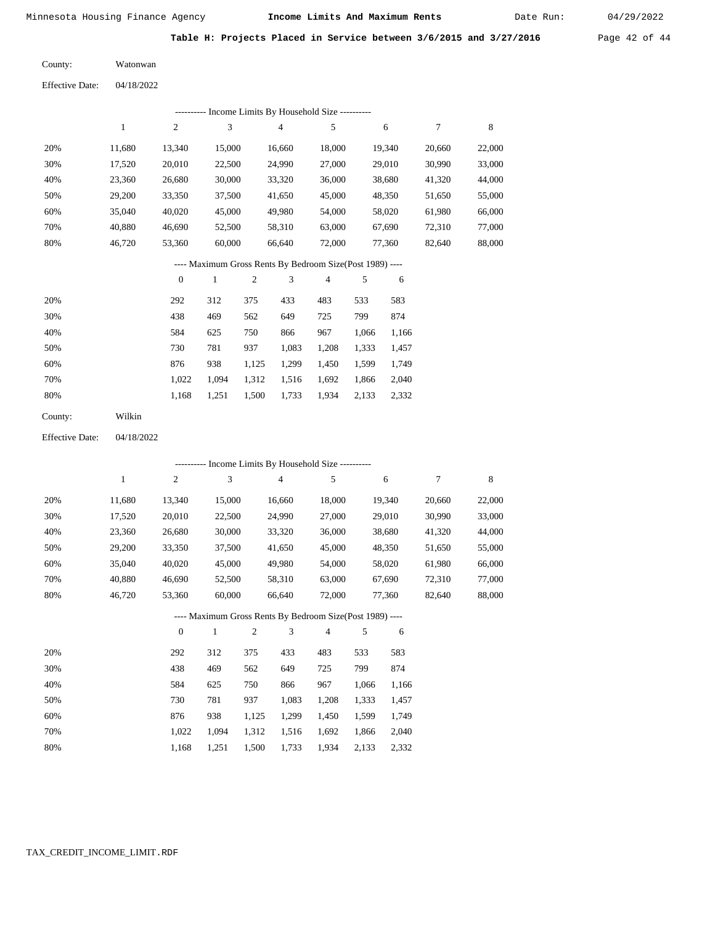Date Run:

Table H: Projects Placed in Service between 3/6/2015 and 3/27/2016 Page 42 of 44

Watonwan County:

04/18/2022 Effective Date:

| ---------- Income Limits By Household Size ---------- |        |              |        |                                                          |        |        |        |        |  |  |  |  |
|-------------------------------------------------------|--------|--------------|--------|----------------------------------------------------------|--------|--------|--------|--------|--|--|--|--|
|                                                       | 1      | 2            | 3      | $\overline{4}$                                           | 5      | 6      | 7      | 8      |  |  |  |  |
| 20%                                                   | 11,680 | 13,340       | 15,000 | 16,660                                                   | 18,000 | 19,340 | 20,660 | 22,000 |  |  |  |  |
| 30%                                                   | 17,520 | 20,010       | 22,500 | 24,990                                                   | 27,000 | 29,010 | 30.990 | 33,000 |  |  |  |  |
| 40%                                                   | 23,360 | 26,680       | 30,000 | 33,320                                                   | 36,000 | 38,680 | 41,320 | 44,000 |  |  |  |  |
| 50%                                                   | 29,200 | 33,350       | 37,500 | 41,650                                                   | 45,000 | 48,350 | 51,650 | 55,000 |  |  |  |  |
| 60%                                                   | 35,040 | 40,020       | 45,000 | 49,980                                                   | 54,000 | 58,020 | 61,980 | 66,000 |  |  |  |  |
| 70%                                                   | 40,880 | 46.690       | 52,500 | 58,310                                                   | 63,000 | 67,690 | 72,310 | 77,000 |  |  |  |  |
| 80%                                                   | 46,720 | 53,360       | 60,000 | 66,640                                                   | 72,000 | 77,360 | 82,640 | 88,000 |  |  |  |  |
|                                                       |        |              |        | ---- Maximum Gross Rents By Bedroom Size(Post 1989) ---- |        |        |        |        |  |  |  |  |
|                                                       |        | $\mathbf{0}$ |        | 3<br>2                                                   | 4      | 5<br>6 |        |        |  |  |  |  |

| 20% | 292   | 312   | 375   | 433   | 483   | 533   | 583   |
|-----|-------|-------|-------|-------|-------|-------|-------|
| 30% | 438   | 469   | 562   | 649   | 725   | 799   | 874   |
| 40% | 584   | 625   | 750   | 866   | 967   | 1,066 | 1,166 |
| 50% | 730   | 781   | 937   | 1,083 | 1,208 | 1,333 | 1,457 |
| 60% | 876   | 938   | 1,125 | 1,299 | 1,450 | 1,599 | 1,749 |
| 70% | 1.022 | 1.094 | 1,312 | 1,516 | 1,692 | 1,866 | 2,040 |
| 80% | 1,168 | 1,251 | 1,500 | 1,733 | 1,934 | 2,133 | 2,332 |
|     |       |       |       |       |       |       |       |

Wilkin County:

04/18/2022 Effective Date:

| --------- Income Limits By Household Size ----------     |              |                  |              |                |                |                |       |        |        |        |
|----------------------------------------------------------|--------------|------------------|--------------|----------------|----------------|----------------|-------|--------|--------|--------|
|                                                          | $\mathbf{1}$ | $\overline{c}$   | 3            |                | $\overline{4}$ | 5              |       | 6      | 7      | 8      |
| 20%                                                      | 11,680       | 13,340           | 15,000       |                | 16,660         | 18,000         |       | 19,340 | 20,660 | 22,000 |
| 30%                                                      | 17,520       | 20,010           | 22,500       |                | 24,990         | 27,000         |       | 29,010 | 30,990 | 33,000 |
| 40%                                                      | 23,360       | 26,680           | 30,000       |                | 33,320         | 36,000         |       | 38,680 | 41,320 | 44,000 |
| 50%                                                      | 29,200       | 33,350           | 37,500       |                | 41,650         | 45,000         |       | 48,350 | 51,650 | 55,000 |
| 60%                                                      | 35,040       | 40,020           | 45,000       |                | 49,980         | 54,000         |       | 58,020 | 61,980 | 66,000 |
| 70%                                                      | 40,880       | 46,690           | 52,500       |                | 58,310         | 63,000         |       | 67,690 | 72,310 | 77,000 |
| 80%                                                      | 46,720       | 53,360           | 60,000       |                | 66,640         | 72,000         |       | 77,360 | 82,640 | 88,000 |
| ---- Maximum Gross Rents By Bedroom Size(Post 1989) ---- |              |                  |              |                |                |                |       |        |        |        |
|                                                          |              | $\boldsymbol{0}$ | $\mathbf{1}$ | $\mathfrak{2}$ | 3              | $\overline{4}$ | 5     | 6      |        |        |
| 20%                                                      |              | 292              | 312          | 375            | 433            | 483            | 533   | 583    |        |        |
| 30%                                                      |              | 438              | 469          | 562            | 649            | 725            | 799   | 874    |        |        |
| 40%                                                      |              | 584              | 625          | 750            | 866            | 967            | 1,066 | 1,166  |        |        |
| 50%                                                      |              | 730              | 781          | 937            | 1,083          | 1,208          | 1,333 | 1,457  |        |        |
| 60%                                                      |              | 876              | 938          | 1,125          | 1,299          | 1,450          | 1,599 | 1,749  |        |        |

1,312 1,516 1,692 1,866

1,934 2,133 2,332

2,040

1,733

 1,022 1,168

 1,094 1,251

1,500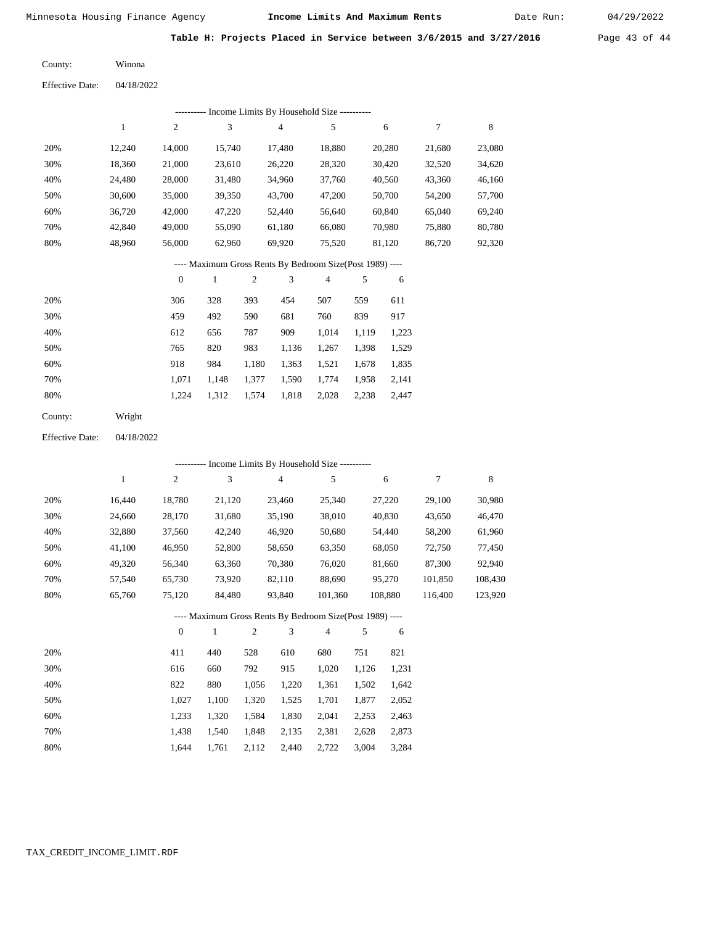Date Run:

Table H: Projects Placed in Service between 3/6/2015 and 3/27/2016 Page 43 of 44

Winona County:

04/18/2022 Effective Date:

|                                                          |              |                  |                           |                | --------- Income Limits By Household Size --------- |                |       |        |        |             |
|----------------------------------------------------------|--------------|------------------|---------------------------|----------------|-----------------------------------------------------|----------------|-------|--------|--------|-------------|
|                                                          | $\mathbf{1}$ | $\boldsymbol{2}$ | $\ensuremath{\mathbf{3}}$ |                | 4                                                   | 5              |       | 6      | 7      | $\,$ 8 $\,$ |
| 20%                                                      | 12,240       | 14,000           | 15,740                    |                | 17,480                                              | 18,880         |       | 20,280 | 21,680 | 23,080      |
| 30%                                                      | 18,360       | 21,000           | 23,610                    |                | 26,220                                              | 28,320         |       | 30,420 | 32,520 | 34,620      |
| 40%                                                      | 24,480       | 28,000           | 31,480                    |                | 34,960                                              | 37,760         |       | 40,560 | 43,360 | 46,160      |
| 50%                                                      | 30,600       | 35,000           | 39,350                    |                | 43,700                                              | 47,200         |       | 50,700 | 54,200 | 57,700      |
| 60%                                                      | 36,720       | 42,000           | 47,220                    |                | 52,440                                              | 56,640         |       | 60,840 | 65,040 | 69,240      |
| 70%                                                      | 42,840       | 49,000           | 55,090                    |                | 61,180                                              | 66,080         |       | 70,980 | 75,880 | 80,780      |
| 80%                                                      | 48,960       | 56,000           | 62,960                    |                | 69,920                                              | 75,520         |       | 81,120 | 86,720 | 92,320      |
| ---- Maximum Gross Rents By Bedroom Size(Post 1989) ---- |              |                  |                           |                |                                                     |                |       |        |        |             |
|                                                          |              | $\boldsymbol{0}$ | $\mathbf{1}$              | $\mathfrak{2}$ | 3                                                   | $\overline{4}$ | 5     | 6      |        |             |
| 20%                                                      |              | 306              | 328                       | 393            | 454                                                 | 507            | 559   | 611    |        |             |
| 30%                                                      |              | 459              | 492                       | 590            | 681                                                 | 760            | 839   | 917    |        |             |
| 40%                                                      |              | 612              | 656                       | 787            | 909                                                 | 1,014          | 1,119 | 1,223  |        |             |
| 50%                                                      |              | 765              | 820                       | 983            | 1,136                                               | 1,267          | 1,398 | 1,529  |        |             |
| 60%                                                      |              | 918              | 984                       | 1,180          | 1,363                                               | 1,521          | 1,678 | 1,835  |        |             |
| 70%                                                      |              | 1,071            | 1,148                     | 1,377          | 1,590                                               | 1,774          | 1,958 | 2,141  |        |             |
| 80%                                                      |              | 1,224            | 1,312                     | 1,574          | 1,818                                               | 2,028          | 2,238 | 2,447  |        |             |
| County:                                                  | Wright       |                  |                           |                |                                                     |                |       |        |        |             |
| <b>Effective Date:</b>                                   | 04/18/2022   |                  |                           |                |                                                     |                |       |        |        |             |
|                                                          |              |                  |                           |                | --------- Income Limits By Household Size --------- |                |       |        |        |             |

|     |        | $\overline{c}$ | 3      | $\overline{4}$ | 5       | 6       |         | 8       |
|-----|--------|----------------|--------|----------------|---------|---------|---------|---------|
| 20% | 16.440 | 18.780         | 21,120 | 23,460         | 25,340  | 27.220  | 29.100  | 30,980  |
| 30% | 24,660 | 28,170         | 31,680 | 35,190         | 38,010  | 40,830  | 43,650  | 46,470  |
| 40% | 32,880 | 37,560         | 42,240 | 46,920         | 50,680  | 54,440  | 58,200  | 61,960  |
| 50% | 41,100 | 46,950         | 52,800 | 58,650         | 63,350  | 68,050  | 72,750  | 77,450  |
| 60% | 49,320 | 56,340         | 63,360 | 70,380         | 76,020  | 81,660  | 87,300  | 92,940  |
| 70% | 57.540 | 65,730         | 73.920 | 82.110         | 88,690  | 95,270  | 101,850 | 108,430 |
| 80% | 65,760 | 75,120         | 84,480 | 93,840         | 101,360 | 108,880 | 116,400 | 123,920 |

## ---- Maximum Gross Rents By Bedroom Size(Post 1989) ----

|     | $\mathbf{0}$ |       | $\overline{c}$ | 3     | 4     | 5     | 6     |
|-----|--------------|-------|----------------|-------|-------|-------|-------|
| 20% | 411          | 440   | 528            | 610   | 680   | 751   | 821   |
| 30% | 616          | 660   | 792            | 915   | 1,020 | 1,126 | 1,231 |
| 40% | 822          | 880   | 1,056          | 1,220 | 1,361 | 1,502 | 1,642 |
| 50% | 1.027        | 1.100 | 1,320          | 1,525 | 1,701 | 1,877 | 2,052 |
| 60% | 1.233        | 1.320 | 1,584          | 1,830 | 2,041 | 2,253 | 2,463 |
| 70% | 1.438        | 1,540 | 1,848          | 2,135 | 2,381 | 2,628 | 2,873 |
| 80% | 1.644        | 1.761 | 2,112          | 2,440 | 2,722 | 3,004 | 3,284 |